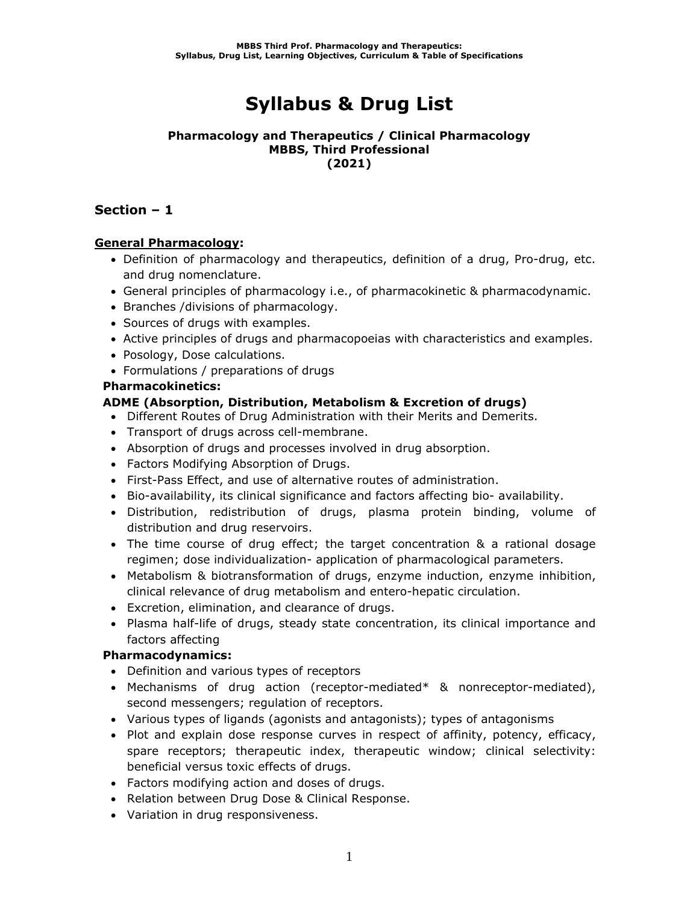# **Syllabus & Drug List**

#### **Pharmacology and Therapeutics / Clinical Pharmacology MBBS, Third Professional (2021)**

## **Section – 1**

### **General Pharmacology:**

- Definition of pharmacology and therapeutics, definition of a drug, Pro-drug, etc. and drug nomenclature.
- General principles of pharmacology i.e., of pharmacokinetic & pharmacodynamic.
- Branches /divisions of pharmacology.
- Sources of drugs with examples.
- Active principles of drugs and pharmacopoeias with characteristics and examples.
- Posology, Dose calculations.
- Formulations / preparations of drugs

### **Pharmacokinetics:**

### **ADME (Absorption, Distribution, Metabolism & Excretion of drugs)**

- Different Routes of Drug Administration with their Merits and Demerits.
- Transport of drugs across cell-membrane.
- Absorption of drugs and processes involved in drug absorption.
- Factors Modifying Absorption of Drugs.
- First-Pass Effect, and use of alternative routes of administration.
- Bio-availability, its clinical significance and factors affecting bio- availability.
- Distribution, redistribution of drugs, plasma protein binding, volume of distribution and drug reservoirs.
- The time course of drug effect; the target concentration & a rational dosage regimen; dose individualization- application of pharmacological parameters.
- Metabolism & biotransformation of drugs, enzyme induction, enzyme inhibition, clinical relevance of drug metabolism and entero-hepatic circulation.
- Excretion, elimination, and clearance of drugs.
- Plasma half-life of drugs, steady state concentration, its clinical importance and factors affecting

### **Pharmacodynamics:**

- Definition and various types of receptors
- Mechanisms of drug action (receptor-mediated\* & nonreceptor-mediated), second messengers; regulation of receptors.
- Various types of ligands (agonists and antagonists); types of antagonisms
- Plot and explain dose response curves in respect of affinity, potency, efficacy, spare receptors; therapeutic index, therapeutic window; clinical selectivity: beneficial versus toxic effects of drugs.
- Factors modifying action and doses of drugs.
- Relation between Drug Dose & Clinical Response.
- Variation in drug responsiveness.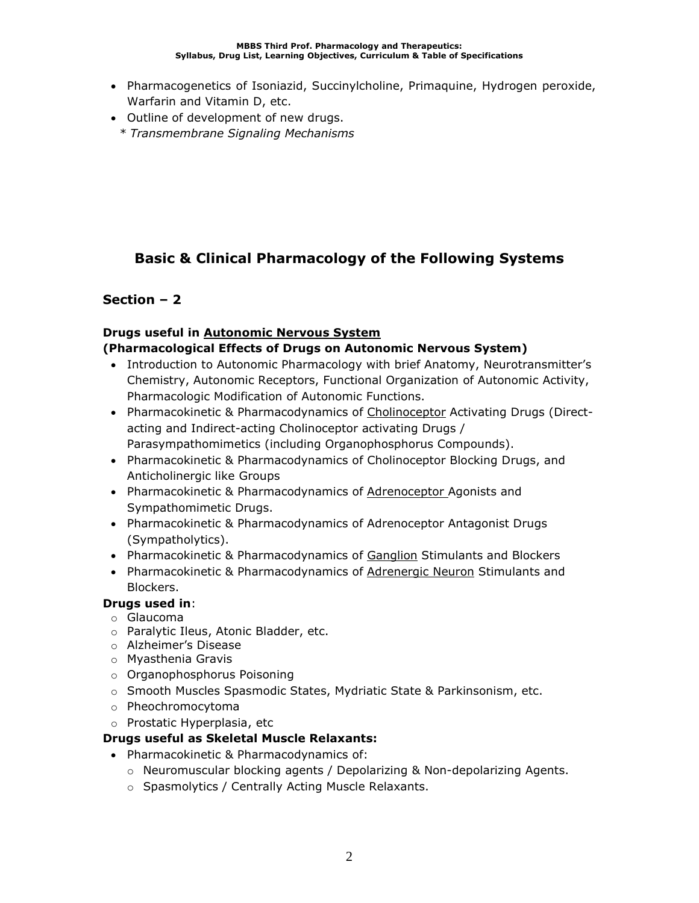- Pharmacogenetics of Isoniazid, Succinylcholine, Primaquine, Hydrogen peroxide, Warfarin and Vitamin D, etc.
- Outline of development of new drugs.
	- *\* Transmembrane Signaling Mechanisms*

# **Basic & Clinical Pharmacology of the Following Systems**

## **Section – 2**

# **Drugs useful in Autonomic Nervous System**

## **(Pharmacological Effects of Drugs on Autonomic Nervous System)**

- Introduction to Autonomic Pharmacology with brief Anatomy, Neurotransmitter's Chemistry, Autonomic Receptors, Functional Organization of Autonomic Activity, Pharmacologic Modification of Autonomic Functions.
- Pharmacokinetic & Pharmacodynamics of Cholinoceptor Activating Drugs (Directacting and Indirect-acting Cholinoceptor activating Drugs / Parasympathomimetics (including Organophosphorus Compounds).
- Pharmacokinetic & Pharmacodynamics of Cholinoceptor Blocking Drugs, and Anticholinergic like Groups
- Pharmacokinetic & Pharmacodynamics of **Adrenoceptor** Agonists and Sympathomimetic Drugs.
- Pharmacokinetic & Pharmacodynamics of Adrenoceptor Antagonist Drugs (Sympatholytics).
- Pharmacokinetic & Pharmacodynamics of Ganglion Stimulants and Blockers
- Pharmacokinetic & Pharmacodynamics of Adrenergic Neuron Stimulants and Blockers.

## **Drugs used in**:

- o Glaucoma
- o Paralytic Ileus, Atonic Bladder, etc.
- o Alzheimer's Disease
- o Myasthenia Gravis
- o Organophosphorus Poisoning
- o Smooth Muscles Spasmodic States, Mydriatic State & Parkinsonism, etc.
- o Pheochromocytoma
- o Prostatic Hyperplasia, etc

## **Drugs useful as Skeletal Muscle Relaxants:**

- Pharmacokinetic & Pharmacodynamics of:
	- o Neuromuscular blocking agents / Depolarizing & Non-depolarizing Agents.
	- o Spasmolytics / Centrally Acting Muscle Relaxants.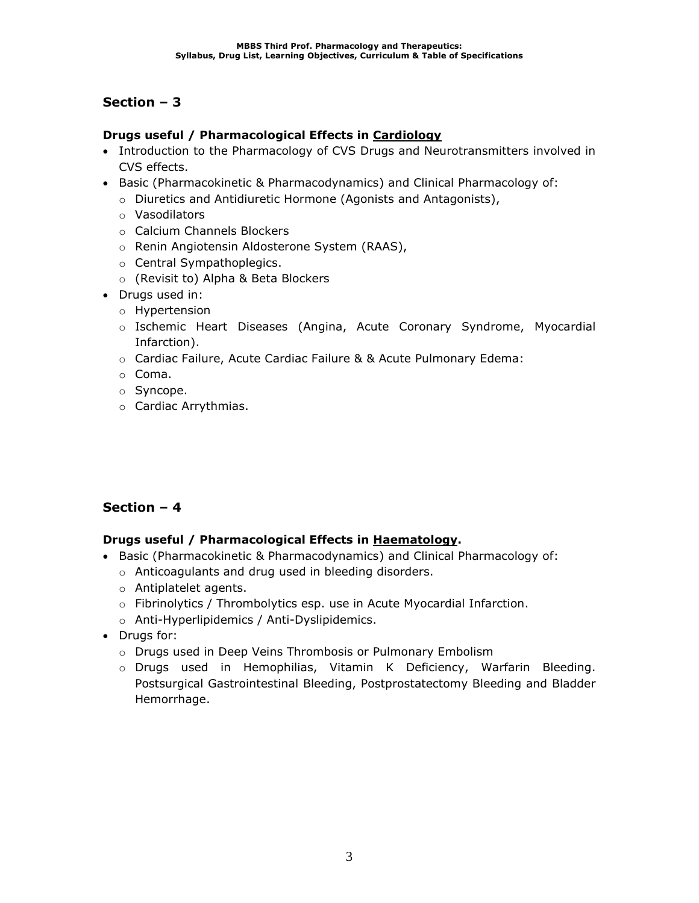### **Drugs useful / Pharmacological Effects in Cardiology**

- Introduction to the Pharmacology of CVS Drugs and Neurotransmitters involved in CVS effects.
- Basic (Pharmacokinetic & Pharmacodynamics) and Clinical Pharmacology of:
	- o Diuretics and Antidiuretic Hormone (Agonists and Antagonists),
	- o Vasodilators
	- o Calcium Channels Blockers
	- o Renin Angiotensin Aldosterone System (RAAS),
	- o Central Sympathoplegics.
	- o (Revisit to) Alpha & Beta Blockers
- Drugs used in:
	- o Hypertension
	- o Ischemic Heart Diseases (Angina, Acute Coronary Syndrome, Myocardial Infarction).
	- $\circ$  Cardiac Failure, Acute Cardiac Failure & & Acute Pulmonary Edema:
	- o Coma.
	- o Syncope.
	- o Cardiac Arrythmias.

## **Section – 4**

### **Drugs useful / Pharmacological Effects in Haematology.**

- Basic (Pharmacokinetic & Pharmacodynamics) and Clinical Pharmacology of:
	- o Anticoagulants and drug used in bleeding disorders.
	- o Antiplatelet agents.
	- o Fibrinolytics / Thrombolytics esp. use in Acute Myocardial Infarction.
	- o Anti-Hyperlipidemics / Anti-Dyslipidemics.
- Drugs for:
	- o Drugs used in Deep Veins Thrombosis or Pulmonary Embolism
	- o Drugs used in Hemophilias, Vitamin K Deficiency, Warfarin Bleeding. Postsurgical Gastrointestinal Bleeding, Postprostatectomy Bleeding and Bladder Hemorrhage.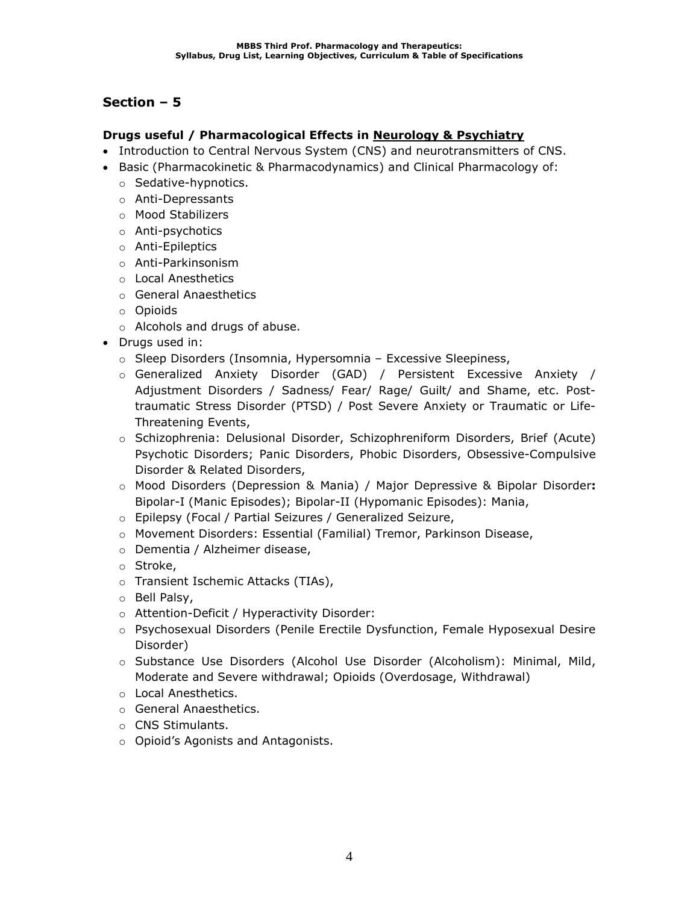### **Drugs useful / Pharmacological Effects in Neurology & Psychiatry**

- Introduction to Central Nervous System (CNS) and neurotransmitters of CNS.
- Basic (Pharmacokinetic & Pharmacodynamics) and Clinical Pharmacology of:
	- o Sedative-hypnotics.
	- o Anti-Depressants
	- o Mood Stabilizers
	- o Anti-psychotics
	- o Anti-Epileptics
	- o Anti-Parkinsonism
	- o Local Anesthetics
	- o General Anaesthetics
	- o Opioids
	- o Alcohols and drugs of abuse.
- Drugs used in:
	- o Sleep Disorders (Insomnia, Hypersomnia Excessive Sleepiness,
	- o Generalized Anxiety Disorder (GAD) / Persistent Excessive Anxiety / Adjustment Disorders / Sadness/ Fear/ Rage/ Guilt/ and Shame, etc. Posttraumatic Stress Disorder (PTSD) / Post Severe Anxiety or Traumatic or Life-Threatening Events,
	- o Schizophrenia: Delusional Disorder, Schizophreniform Disorders, Brief (Acute) Psychotic Disorders; Panic Disorders, Phobic Disorders, Obsessive-Compulsive Disorder & Related Disorders,
	- o Mood Disorders (Depression & Mania) / Major Depressive & Bipolar Disorder**:**  Bipolar-I (Manic Episodes); Bipolar-II (Hypomanic Episodes): Mania,
	- o Epilepsy (Focal / Partial Seizures / Generalized Seizure,
	- o Movement Disorders: Essential (Familial) Tremor, Parkinson Disease,
	- o Dementia / Alzheimer disease,
	- o Stroke,
	- o Transient Ischemic Attacks (TIAs),
	- o Bell Palsy,
	- o Attention-Deficit / Hyperactivity Disorder:
	- o Psychosexual Disorders (Penile Erectile Dysfunction, Female Hyposexual Desire Disorder)
	- o Substance Use Disorders (Alcohol Use Disorder (Alcoholism): Minimal, Mild, Moderate and Severe withdrawal; Opioids (Overdosage, Withdrawal)
	- o Local Anesthetics.
	- o General Anaesthetics.
	- o CNS Stimulants.
	- o Opioid's Agonists and Antagonists.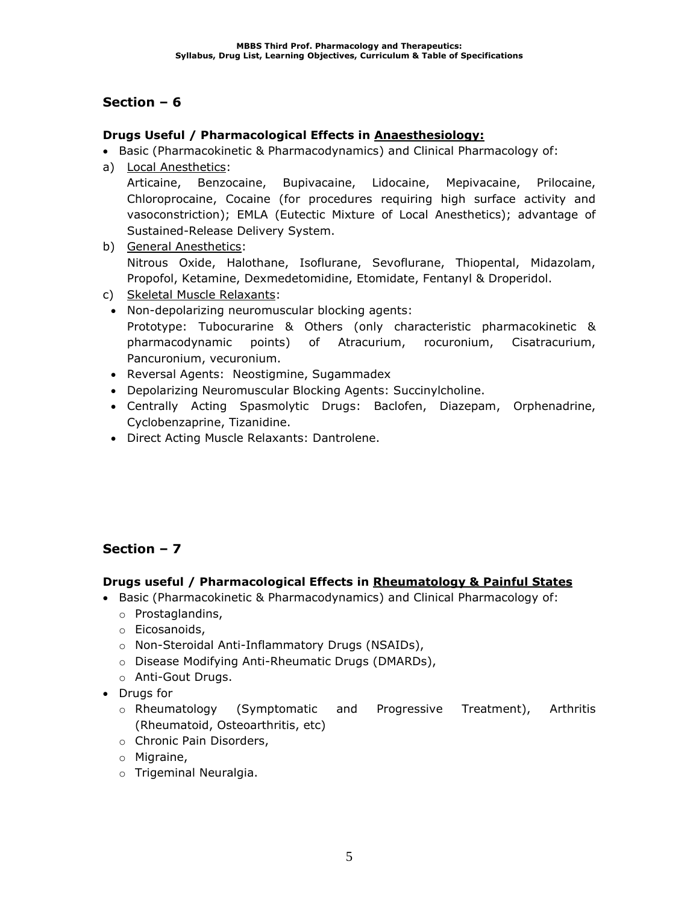## **Drugs Useful / Pharmacological Effects in Anaesthesiology:**

• Basic (Pharmacokinetic & Pharmacodynamics) and Clinical Pharmacology of:

a) Local Anesthetics:

Articaine, Benzocaine, Bupivacaine, Lidocaine, Mepivacaine, Prilocaine, Chloroprocaine, Cocaine (for procedures requiring high surface activity and vasoconstriction); EMLA (Eutectic Mixture of Local Anesthetics); advantage of Sustained-Release Delivery System.

- b) General Anesthetics: Nitrous Oxide, Halothane, Isoflurane, Sevoflurane, Thiopental, Midazolam, Propofol, Ketamine, Dexmedetomidine, Etomidate, Fentanyl & Droperidol.
- c) Skeletal Muscle Relaxants:
- Non-depolarizing neuromuscular blocking agents: Prototype: Tubocurarine & Others (only characteristic pharmacokinetic & pharmacodynamic points) of Atracurium, rocuronium, Cisatracurium, Pancuronium, vecuronium.
- Reversal Agents: Neostigmine, Sugammadex
- Depolarizing Neuromuscular Blocking Agents: Succinylcholine.
- Centrally Acting Spasmolytic Drugs: Baclofen, Diazepam, Orphenadrine, Cyclobenzaprine, Tizanidine.
- Direct Acting Muscle Relaxants: Dantrolene.

# **Section – 7**

## **Drugs useful / Pharmacological Effects in Rheumatology & Painful States**

- Basic (Pharmacokinetic & Pharmacodynamics) and Clinical Pharmacology of:
	- o Prostaglandins,
	- o Eicosanoids,
	- o Non-Steroidal Anti-Inflammatory Drugs (NSAIDs),
	- o Disease Modifying Anti-Rheumatic Drugs (DMARDs),
	- o Anti-Gout Drugs.
- Drugs for
	- o Rheumatology (Symptomatic and Progressive Treatment), Arthritis (Rheumatoid, Osteoarthritis, etc)
	- o Chronic Pain Disorders,
	- o Migraine,
	- o Trigeminal Neuralgia.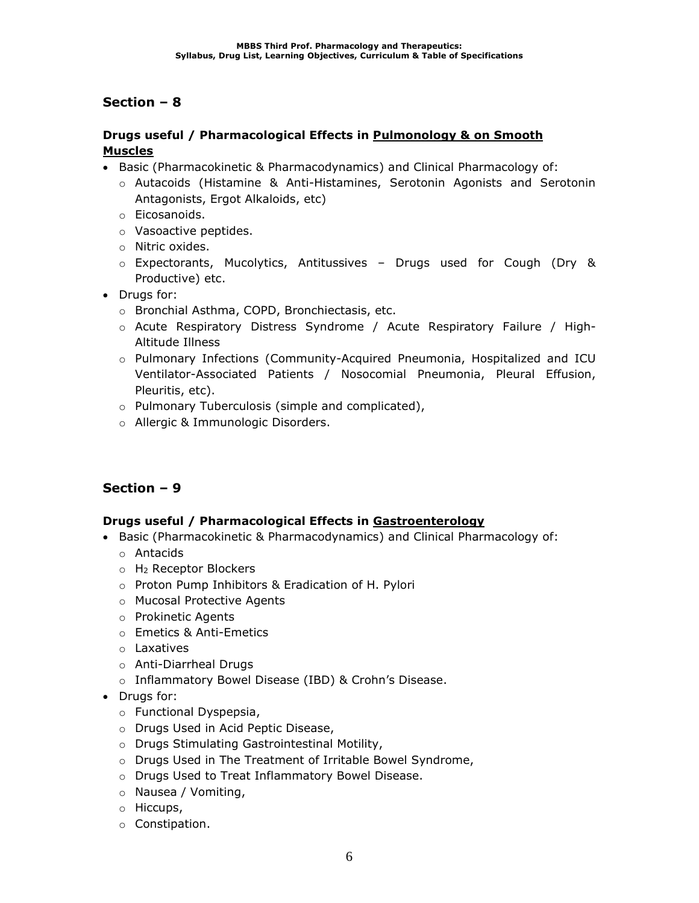### **Drugs useful / Pharmacological Effects in Pulmonology & on Smooth Muscles**

- Basic (Pharmacokinetic & Pharmacodynamics) and Clinical Pharmacology of:
	- o Autacoids (Histamine & Anti-Histamines, Serotonin Agonists and Serotonin Antagonists, Ergot Alkaloids, etc)
	- o Eicosanoids.
	- o Vasoactive peptides.
	- o Nitric oxides.
	- o Expectorants, Mucolytics, Antitussives Drugs used for Cough (Dry & Productive) etc.
- Drugs for:
	- o Bronchial Asthma, COPD, Bronchiectasis, etc.
	- o Acute Respiratory Distress Syndrome / Acute Respiratory Failure / High-Altitude Illness
	- o Pulmonary Infections (Community-Acquired Pneumonia, Hospitalized and ICU Ventilator-Associated Patients / Nosocomial Pneumonia, Pleural Effusion, Pleuritis, etc).
	- o Pulmonary Tuberculosis (simple and complicated),
	- o Allergic & Immunologic Disorders.

## **Section – 9**

### **Drugs useful / Pharmacological Effects in Gastroenterology**

- Basic (Pharmacokinetic & Pharmacodynamics) and Clinical Pharmacology of:
	- o Antacids
	- o H<sup>2</sup> Receptor Blockers
	- o Proton Pump Inhibitors & Eradication of H. Pylori
	- o Mucosal Protective Agents
	- o Prokinetic Agents
	- o Emetics & Anti-Emetics
	- o Laxatives
	- o Anti-Diarrheal Drugs
	- o Inflammatory Bowel Disease (IBD) & Crohn's Disease.
- Drugs for:
	- o Functional Dyspepsia,
	- o Drugs Used in Acid Peptic Disease,
	- o Drugs Stimulating Gastrointestinal Motility,
	- o Drugs Used in The Treatment of Irritable Bowel Syndrome,
	- o Drugs Used to Treat Inflammatory Bowel Disease.
	- o Nausea / Vomiting,
	- o Hiccups,
	- o Constipation.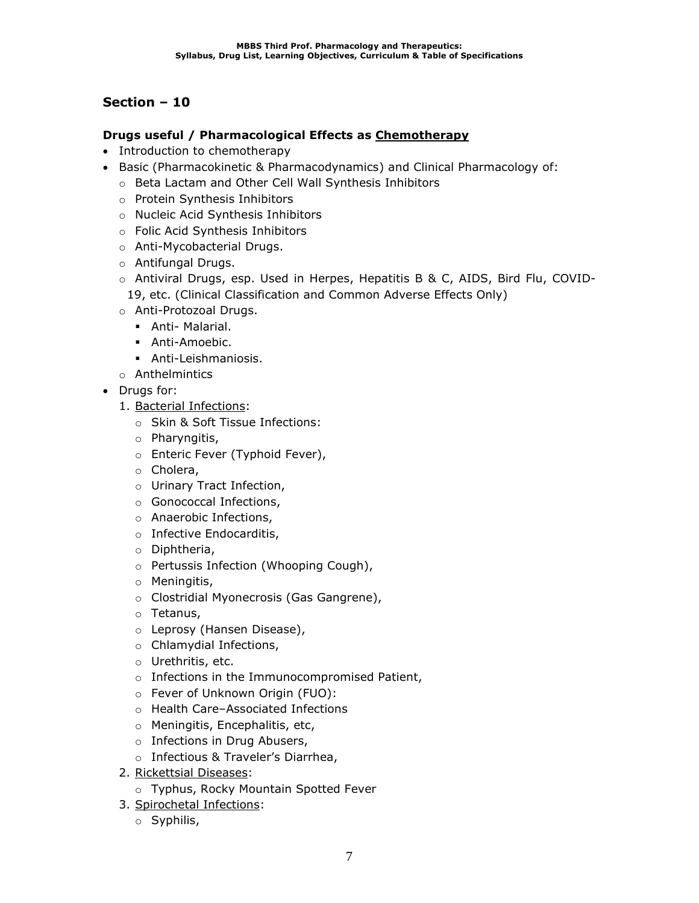### **Drugs useful / Pharmacological Effects as Chemotherapy**

- Introduction to chemotherapy
- Basic (Pharmacokinetic & Pharmacodynamics) and Clinical Pharmacology of:
	- o Beta Lactam and Other Cell Wall Synthesis Inhibitors
	- o Protein Synthesis Inhibitors
	- o Nucleic Acid Synthesis Inhibitors
	- o Folic Acid Synthesis Inhibitors
	- o Anti-Mycobacterial Drugs.
	- o Antifungal Drugs.
	- o Antiviral Drugs, esp. Used in Herpes, Hepatitis B & C, AIDS, Bird Flu, COVID-19, etc. (Clinical Classification and Common Adverse Effects Only)
	- o Anti-Protozoal Drugs.
		- **•** Anti- Malarial.
		- Anti-Amoebic.
		- Anti-Leishmaniosis.
	- o Anthelmintics
- Drugs for:
	- 1. Bacterial Infections:
		- o Skin & Soft Tissue Infections:
		- o Pharyngitis,
		- o Enteric Fever (Typhoid Fever),
		- o Cholera,
		- o Urinary Tract Infection,
		- o Gonococcal Infections,
		- o Anaerobic Infections,
		- o Infective Endocarditis,
		- o Diphtheria,
		- o Pertussis Infection (Whooping Cough),
		- o Meningitis,
		- o Clostridial Myonecrosis (Gas Gangrene),
		- o Tetanus,
		- o Leprosy (Hansen Disease),
		- o Chlamydial Infections,
		- o Urethritis, etc.
		- o Infections in the Immunocompromised Patient,
		- o Fever of Unknown Origin (FUO):
		- o Health Care–Associated Infections
		- o Meningitis, Encephalitis, etc,
		- o Infections in Drug Abusers,
		- o Infectious & Traveler's Diarrhea,
	- 2. Rickettsial Diseases:
		- o Typhus, Rocky Mountain Spotted Fever
	- 3. Spirochetal Infections:
		- o Syphilis,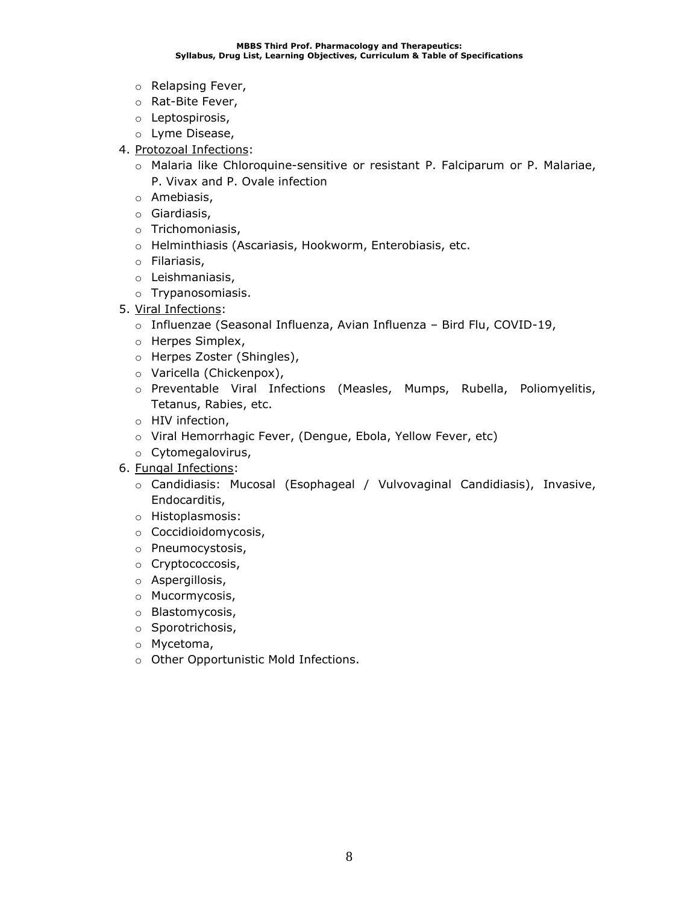- o Relapsing Fever,
- o Rat-Bite Fever,
- o Leptospirosis,
- o Lyme Disease,
- 4. Protozoal Infections:
	- o Malaria like Chloroquine-sensitive or resistant P. Falciparum or P. Malariae, P. Vivax and P. Ovale infection
	- o Amebiasis,
	- o Giardiasis,
	- o Trichomoniasis,
	- o Helminthiasis (Ascariasis, Hookworm, Enterobiasis, etc.
	- o Filariasis,
	- o Leishmaniasis,
	- o Trypanosomiasis.
- 5. Viral Infections:
	- o Influenzae (Seasonal Influenza, Avian Influenza Bird Flu, COVID-19,
	- o Herpes Simplex,
	- o Herpes Zoster (Shingles),
	- o Varicella (Chickenpox),
	- o Preventable Viral Infections (Measles, Mumps, Rubella, Poliomyelitis, Tetanus, Rabies, etc.
	- o HIV infection,
	- o Viral Hemorrhagic Fever, (Dengue, Ebola, Yellow Fever, etc)
	- o Cytomegalovirus,
- 6. Fungal Infections:
	- o Candidiasis: Mucosal (Esophageal / Vulvovaginal Candidiasis), Invasive, Endocarditis,
	- o Histoplasmosis:
	- o Coccidioidomycosis,
	- o Pneumocystosis,
	- o Cryptococcosis,
	- o Aspergillosis,
	- o Mucormycosis,
	- o Blastomycosis,
	- o Sporotrichosis,
	- o Mycetoma,
	- o Other Opportunistic Mold Infections.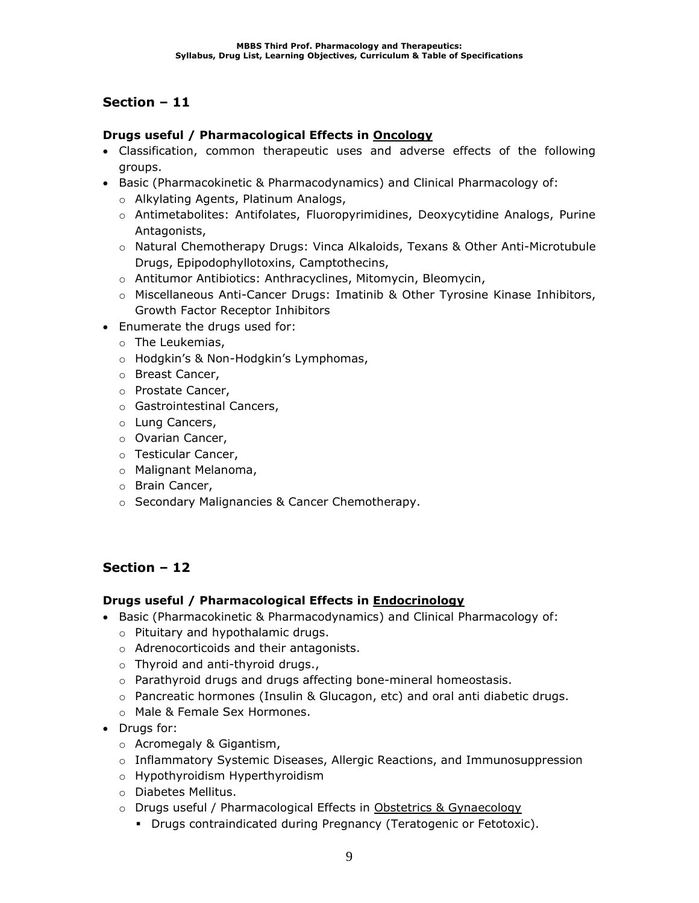### **Drugs useful / Pharmacological Effects in Oncology**

- Classification, common therapeutic uses and adverse effects of the following groups.
- Basic (Pharmacokinetic & Pharmacodynamics) and Clinical Pharmacology of:
	- o Alkylating Agents, Platinum Analogs,
	- o Antimetabolites: Antifolates, Fluoropyrimidines, Deoxycytidine Analogs, Purine Antagonists,
	- o Natural Chemotherapy Drugs: Vinca Alkaloids, Texans & Other Anti-Microtubule Drugs, Epipodophyllotoxins, Camptothecins,
	- o Antitumor Antibiotics: Anthracyclines, Mitomycin, Bleomycin,
	- $\circ$  Miscellaneous Anti-Cancer Drugs: Imatinib & Other Tyrosine Kinase Inhibitors, Growth Factor Receptor Inhibitors
- Enumerate the drugs used for:
	- o The Leukemias,
	- o Hodgkin's & Non-Hodgkin's Lymphomas,
	- o Breast Cancer,
	- o Prostate Cancer,
	- o Gastrointestinal Cancers,
	- o Lung Cancers,
	- o Ovarian Cancer,
	- o Testicular Cancer,
	- o Malignant Melanoma,
	- o Brain Cancer,
	- o Secondary Malignancies & Cancer Chemotherapy.

## **Section – 12**

### **Drugs useful / Pharmacological Effects in Endocrinology**

- Basic (Pharmacokinetic & Pharmacodynamics) and Clinical Pharmacology of:
	- o Pituitary and hypothalamic drugs.
	- o Adrenocorticoids and their antagonists.
	- o Thyroid and anti-thyroid drugs.,
	- o Parathyroid drugs and drugs affecting bone-mineral homeostasis.
	- o Pancreatic hormones (Insulin & Glucagon, etc) and oral anti diabetic drugs.
	- o Male & Female Sex Hormones.
- Drugs for:
	- o Acromegaly & Gigantism,
	- $\circ$  Inflammatory Systemic Diseases, Allergic Reactions, and Immunosuppression
	- o Hypothyroidism Hyperthyroidism
	- o Diabetes Mellitus.
	- o Drugs useful / Pharmacological Effects in Obstetrics & Gynaecology
		- Drugs contraindicated during Pregnancy (Teratogenic or Fetotoxic).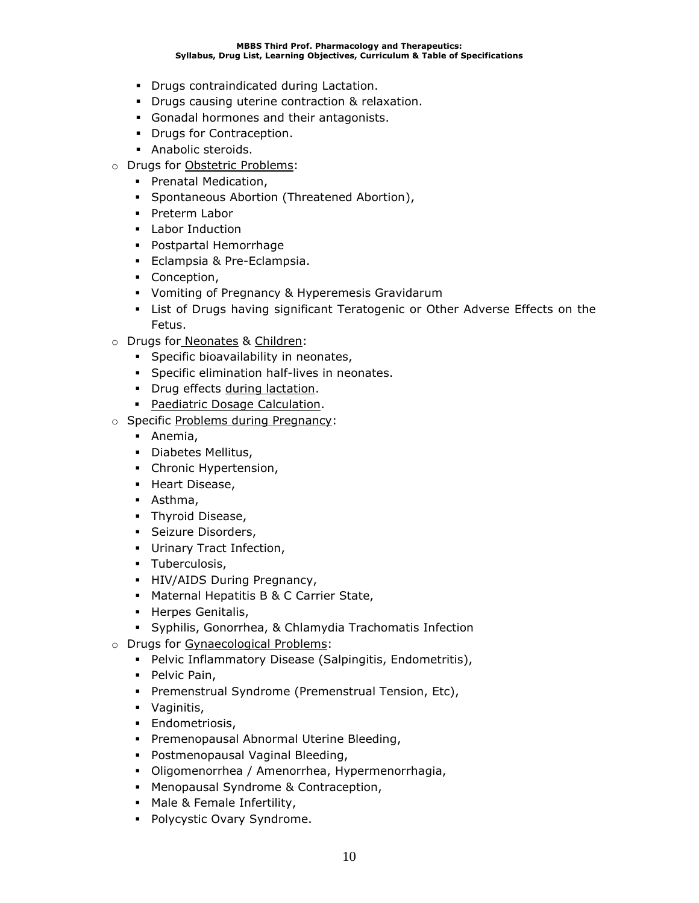- Drugs contraindicated during Lactation.
- Drugs causing uterine contraction & relaxation.
- Gonadal hormones and their antagonists.
- Drugs for Contraception.
- Anabolic steroids.
- o Drugs for Obstetric Problems:
	- **•** Prenatal Medication,
	- Spontaneous Abortion (Threatened Abortion),
	- Preterm Labor
	- Labor Induction
	- Postpartal Hemorrhage
	- Eclampsia & Pre-Eclampsia.
	- Conception,
	- Vomiting of Pregnancy & Hyperemesis Gravidarum
	- **.** List of Drugs having significant Teratogenic or Other Adverse Effects on the Fetus.
- o Drugs for Neonates & Children:
	- **·** Specific bioavailability in neonates,
	- **•** Specific elimination half-lives in neonates.
	- **•** Drug effects during lactation.
	- Paediatric Dosage Calculation.
- o Specific Problems during Pregnancy:
	- Anemia,
	- Diabetes Mellitus,
	- Chronic Hypertension,
	- Heart Disease,
	- Asthma,
	- **•** Thyroid Disease,
	- **·** Seizure Disorders,
	- Urinary Tract Infection,
	- **·** Tuberculosis,
	- **·** HIV/AIDS During Pregnancy,
	- Maternal Hepatitis B & C Carrier State,
	- Herpes Genitalis,
	- Syphilis, Gonorrhea, & Chlamydia Trachomatis Infection
- o Drugs for Gynaecological Problems:
	- Pelvic Inflammatory Disease (Salpingitis, Endometritis),
	- Pelvic Pain,
	- **Premenstrual Syndrome (Premenstrual Tension, Etc),**
	- Vaginitis,
	- **·** Endometriosis,
	- **Premenopausal Abnormal Uterine Bleeding,**
	- Postmenopausal Vaginal Bleeding,
	- Oligomenorrhea / Amenorrhea, Hypermenorrhagia,
	- Menopausal Syndrome & Contraception,
	- Male & Female Infertility,
	- Polycystic Ovary Syndrome.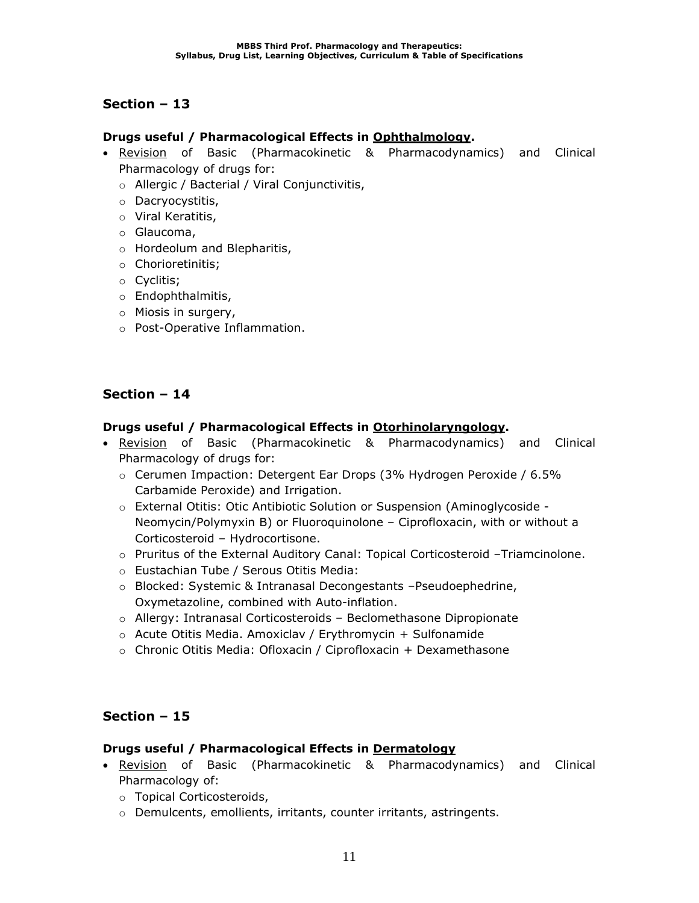### **Drugs useful / Pharmacological Effects in Ophthalmology.**

- Revision of Basic (Pharmacokinetic & Pharmacodynamics) and Clinical Pharmacology of drugs for:
	- o Allergic / Bacterial / Viral Conjunctivitis,
	- o Dacryocystitis,
	- o Viral Keratitis,
	- o Glaucoma,
	- o Hordeolum and Blepharitis,
	- o Chorioretinitis;
	- o Cyclitis;
	- o Endophthalmitis,
	- o Miosis in surgery,
	- o Post-Operative Inflammation.

## **Section – 14**

### **Drugs useful / Pharmacological Effects in Otorhinolaryngology.**

- Revision of Basic (Pharmacokinetic & Pharmacodynamics) and Clinical Pharmacology of drugs for:
	- o Cerumen Impaction: Detergent Ear Drops (3% Hydrogen Peroxide / 6.5% Carbamide Peroxide) and Irrigation.
	- o External Otitis: Otic Antibiotic Solution or Suspension (Aminoglycoside Neomycin/Polymyxin B) or Fluoroquinolone – Ciprofloxacin, with or without a Corticosteroid – Hydrocortisone.
	- o Pruritus of the External Auditory Canal: Topical Corticosteroid –Triamcinolone.
	- o Eustachian Tube / Serous Otitis Media:
	- o Blocked: Systemic & Intranasal Decongestants –Pseudoephedrine, Oxymetazoline, combined with Auto-inflation.
	- $\circ$  Allergy: Intranasal Corticosteroids Beclomethasone Dipropionate
	- $\circ$  Acute Otitis Media. Amoxiclav / Erythromycin + Sulfonamide
	- o Chronic Otitis Media: Ofloxacin / Ciprofloxacin + Dexamethasone

## **Section – 15**

### **Drugs useful / Pharmacological Effects in Dermatology**

- Revision of Basic (Pharmacokinetic & Pharmacodynamics) and Clinical Pharmacology of:
	- o Topical Corticosteroids,
	- o Demulcents, emollients, irritants, counter irritants, astringents.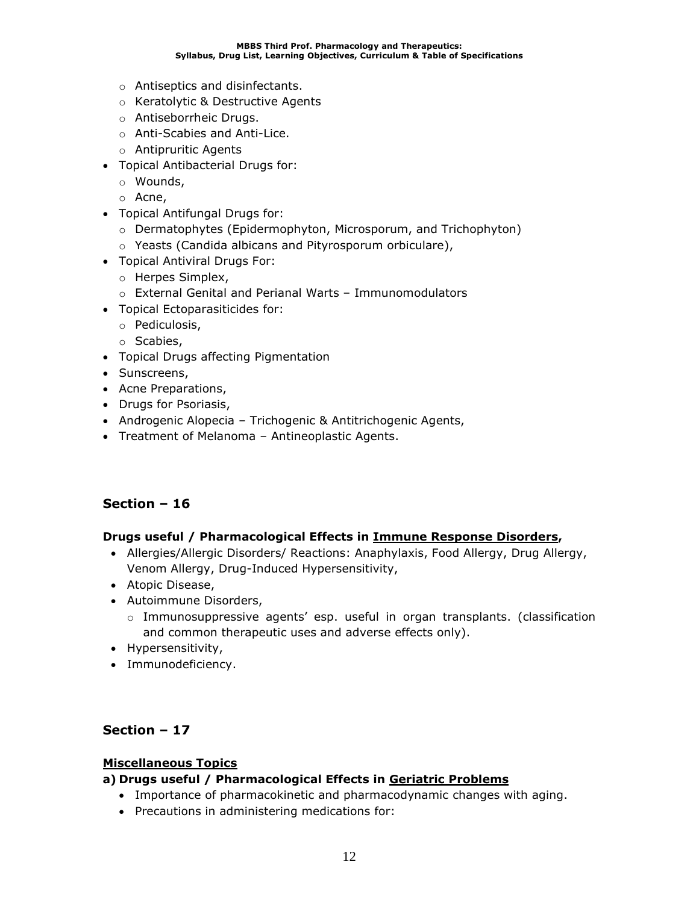- o Antiseptics and disinfectants.
- o Keratolytic & Destructive Agents
- o Antiseborrheic Drugs.
- o Anti-Scabies and Anti-Lice.
- o Antipruritic Agents
- Topical Antibacterial Drugs for:
	- o Wounds,
	- o Acne,
- Topical Antifungal Drugs for:
	- o Dermatophytes (Epidermophyton, Microsporum, and Trichophyton)
	- o Yeasts (Candida albicans and Pityrosporum orbiculare),
- Topical Antiviral Drugs For:
	- o Herpes Simplex,
	- o External Genital and Perianal Warts Immunomodulators
- Topical Ectoparasiticides for:
	- o Pediculosis,
	- o Scabies,
- Topical Drugs affecting Pigmentation
- Sunscreens,
- Acne Preparations,
- Drugs for Psoriasis,
- Androgenic Alopecia Trichogenic & Antitrichogenic Agents,
- Treatment of Melanoma Antineoplastic Agents.

### **Drugs useful / Pharmacological Effects in Immune Response Disorders,**

- Allergies/Allergic Disorders/ Reactions: Anaphylaxis, Food Allergy, Drug Allergy, Venom Allergy, Drug-Induced Hypersensitivity,
- Atopic Disease,
- Autoimmune Disorders,
	- $\circ$  Immunosuppressive agents' esp. useful in organ transplants. (classification and common therapeutic uses and adverse effects only).
- Hypersensitivity,
- Immunodeficiency.

### **Section – 17**

### **Miscellaneous Topics**

### **a) Drugs useful / Pharmacological Effects in Geriatric Problems**

- Importance of pharmacokinetic and pharmacodynamic changes with aging.
- Precautions in administering medications for: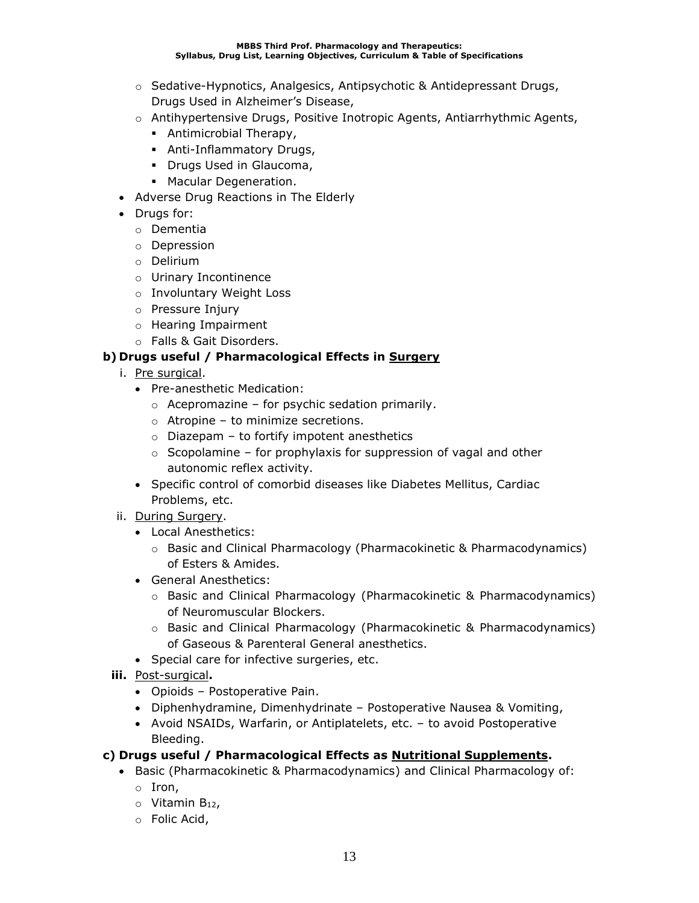- o Sedative-Hypnotics, Analgesics, Antipsychotic & Antidepressant Drugs, Drugs Used in Alzheimer's Disease,
- o Antihypertensive Drugs, Positive Inotropic Agents, Antiarrhythmic Agents,
	- **•** Antimicrobial Therapy,
	- **EXECT:** Anti-Inflammatory Drugs,
	- **Drugs Used in Glaucoma,**
	- Macular Degeneration.
- Adverse Drug Reactions in The Elderly
- Drugs for:
	- o Dementia
	- o Depression
	- o Delirium
	- o Urinary Incontinence
	- o Involuntary Weight Loss
	- o Pressure Injury
	- o Hearing Impairment
	- o Falls & Gait Disorders.

### **b) Drugs useful / Pharmacological Effects in Surgery**

- i. Pre surgical.
	- Pre-anesthetic Medication:
		- $\circ$  Acepromazine for psychic sedation primarily.
		- $\circ$  Atropine to minimize secretions.
		- $\circ$  Diazepam to fortify impotent anesthetics
		- $\circ$  Scopolamine for prophylaxis for suppression of vagal and other autonomic reflex activity.
	- Specific control of comorbid diseases like Diabetes Mellitus, Cardiac Problems, etc.
- ii. During Surgery.
	- Local Anesthetics:
		- $\circ$  Basic and Clinical Pharmacology (Pharmacokinetic & Pharmacodynamics) of Esters & Amides.
	- General Anesthetics:
		- o Basic and Clinical Pharmacology (Pharmacokinetic & Pharmacodynamics) of Neuromuscular Blockers.
		- o Basic and Clinical Pharmacology (Pharmacokinetic & Pharmacodynamics) of Gaseous & Parenteral General anesthetics.
	- Special care for infective surgeries, etc.
- **iii.** Post-surgical**.**
	- Opioids Postoperative Pain.
	- Diphenhydramine, Dimenhydrinate Postoperative Nausea & Vomiting,
	- Avoid NSAIDs, Warfarin, or Antiplatelets, etc. to avoid Postoperative Bleeding.
- **c) Drugs useful / Pharmacological Effects as Nutritional Supplements.**
	- Basic (Pharmacokinetic & Pharmacodynamics) and Clinical Pharmacology of:
		- o Iron,
		- o Vitamin B12,
		- o Folic Acid,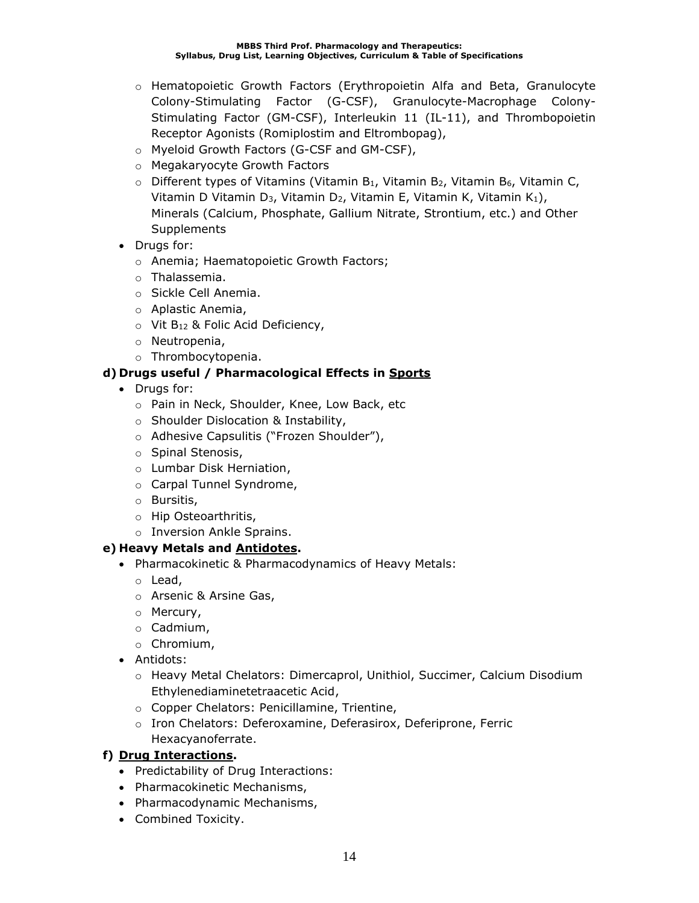- o Hematopoietic Growth Factors (Erythropoietin Alfa and Beta, Granulocyte Colony-Stimulating Factor (G-CSF), Granulocyte-Macrophage Colony-Stimulating Factor (GM-CSF), Interleukin 11 (IL-11), and Thrombopoietin Receptor Agonists (Romiplostim and Eltrombopag),
- o Myeloid Growth Factors (G-CSF and GM-CSF),
- o Megakaryocyte Growth Factors
- $\circ$  Different types of Vitamins (Vitamin B<sub>1</sub>, Vitamin B<sub>2</sub>, Vitamin B<sub>6</sub>, Vitamin C, Vitamin D Vitamin D<sub>3</sub>, Vitamin D<sub>2</sub>, Vitamin E, Vitamin K, Vitamin K<sub>1</sub>), Minerals (Calcium, Phosphate, Gallium Nitrate, Strontium, etc.) and Other **Supplements**
- Drugs for:
	- o Anemia; Haematopoietic Growth Factors;
	- o Thalassemia.
	- o Sickle Cell Anemia.
	- o Aplastic Anemia,
	- $\circ$  Vit B<sub>12</sub> & Folic Acid Deficiency,
	- o Neutropenia,
	- o Thrombocytopenia.

## **d) Drugs useful / Pharmacological Effects in Sports**

- Drugs for:
	- o Pain in Neck, Shoulder, Knee, Low Back, etc
	- o Shoulder Dislocation & Instability,
	- o Adhesive Capsulitis ("Frozen Shoulder"),
	- o Spinal Stenosis,
	- o Lumbar Disk Herniation,
	- o Carpal Tunnel Syndrome,
	- o Bursitis,
	- o Hip Osteoarthritis,
	- o Inversion Ankle Sprains.

## **e) Heavy Metals and Antidotes.**

- Pharmacokinetic & Pharmacodynamics of Heavy Metals:
	- o Lead,
	- o Arsenic & Arsine Gas,
	- o Mercury,
	- o Cadmium,
	- o Chromium,
- Antidots:
	- o Heavy Metal Chelators: Dimercaprol, Unithiol, Succimer, Calcium Disodium Ethylenediaminetetraacetic Acid,
	- o Copper Chelators: Penicillamine, Trientine,
	- o Iron Chelators: Deferoxamine, Deferasirox, Deferiprone, Ferric Hexacyanoferrate.

## **f) Drug Interactions.**

- Predictability of Drug Interactions:
- Pharmacokinetic Mechanisms,
- Pharmacodynamic Mechanisms,
- Combined Toxicity.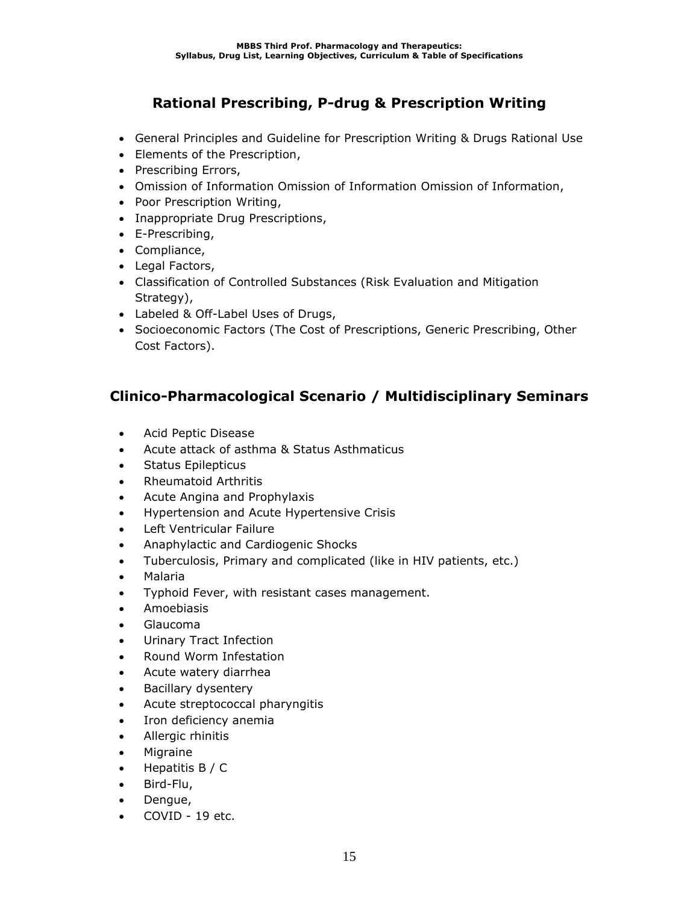# **Rational Prescribing, P-drug & Prescription Writing**

- General Principles and Guideline for Prescription Writing & Drugs Rational Use
- Elements of the Prescription,
- Prescribing Errors,
- Omission of Information Omission of Information Omission of Information,
- Poor Prescription Writing,
- Inappropriate Drug Prescriptions,
- E-Prescribing,
- Compliance,
- Legal Factors,
- Classification of Controlled Substances (Risk Evaluation and Mitigation Strategy),
- Labeled & Off-Label Uses of Drugs,
- Socioeconomic Factors (The Cost of Prescriptions, Generic Prescribing, Other Cost Factors).

# **Clinico-Pharmacological Scenario / Multidisciplinary Seminars**

- Acid Peptic Disease
- Acute attack of asthma & Status Asthmaticus
- Status Epilepticus
- Rheumatoid Arthritis
- Acute Angina and Prophylaxis
- Hypertension and Acute Hypertensive Crisis
- Left Ventricular Failure
- Anaphylactic and Cardiogenic Shocks
- Tuberculosis, Primary and complicated (like in HIV patients, etc.)
- Malaria
- Typhoid Fever, with resistant cases management.
- Amoebiasis
- Glaucoma
- Urinary Tract Infection
- Round Worm Infestation
- Acute watery diarrhea
- Bacillary dysentery
- Acute streptococcal pharyngitis
- Iron deficiency anemia
- Allergic rhinitis
- Migraine
- Hepatitis B / C
- Bird-Flu,
- Dengue,
- COVID 19 etc.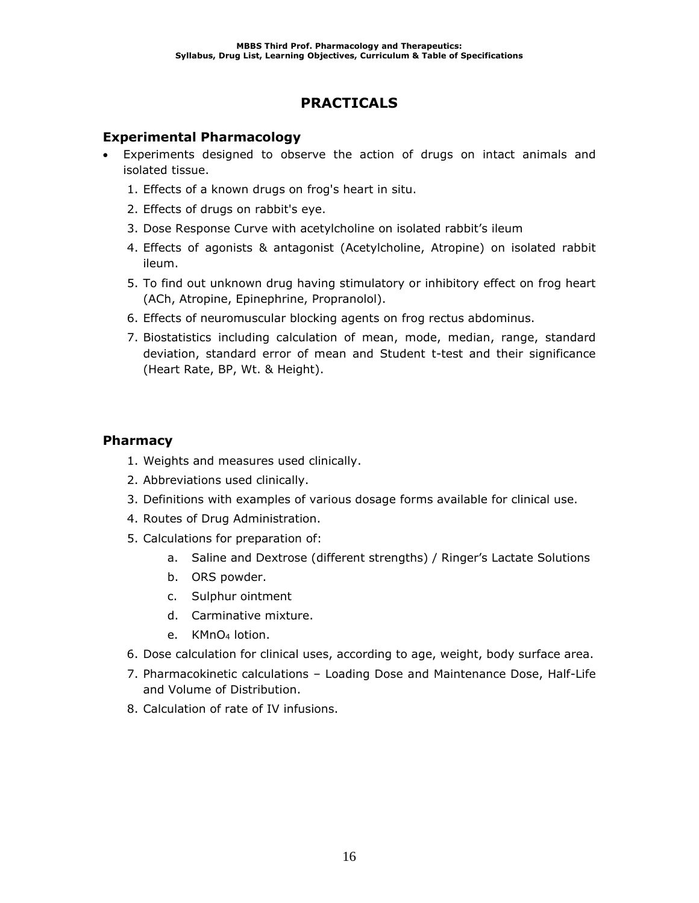# **PRACTICALS**

### **Experimental Pharmacology**

- Experiments designed to observe the action of drugs on intact animals and isolated tissue.
	- 1. Effects of a known drugs on frog's heart in situ.
	- 2. Effects of drugs on rabbit's eye.
	- 3. Dose Response Curve with acetylcholine on isolated rabbit's ileum
	- 4. Effects of agonists & antagonist (Acetylcholine, Atropine) on isolated rabbit ileum.
	- 5. To find out unknown drug having stimulatory or inhibitory effect on frog heart (ACh, Atropine, Epinephrine, Propranolol).
	- 6. Effects of neuromuscular blocking agents on frog rectus abdominus.
	- 7. Biostatistics including calculation of mean, mode, median, range, standard deviation, standard error of mean and Student t-test and their significance (Heart Rate, BP, Wt. & Height).

### **Pharmacy**

- 1. Weights and measures used clinically.
- 2. Abbreviations used clinically.
- 3. Definitions with examples of various dosage forms available for clinical use.
- 4. Routes of Drug Administration.
- 5. Calculations for preparation of:
	- a. Saline and Dextrose (different strengths) / Ringer's Lactate Solutions
	- b. ORS powder.
	- c. Sulphur ointment
	- d. Carminative mixture.
	- e. KMnO<sup>4</sup> lotion.
- 6. Dose calculation for clinical uses, according to age, weight, body surface area.
- 7. Pharmacokinetic calculations Loading Dose and Maintenance Dose, Half-Life and Volume of Distribution.
- 8. Calculation of rate of IV infusions.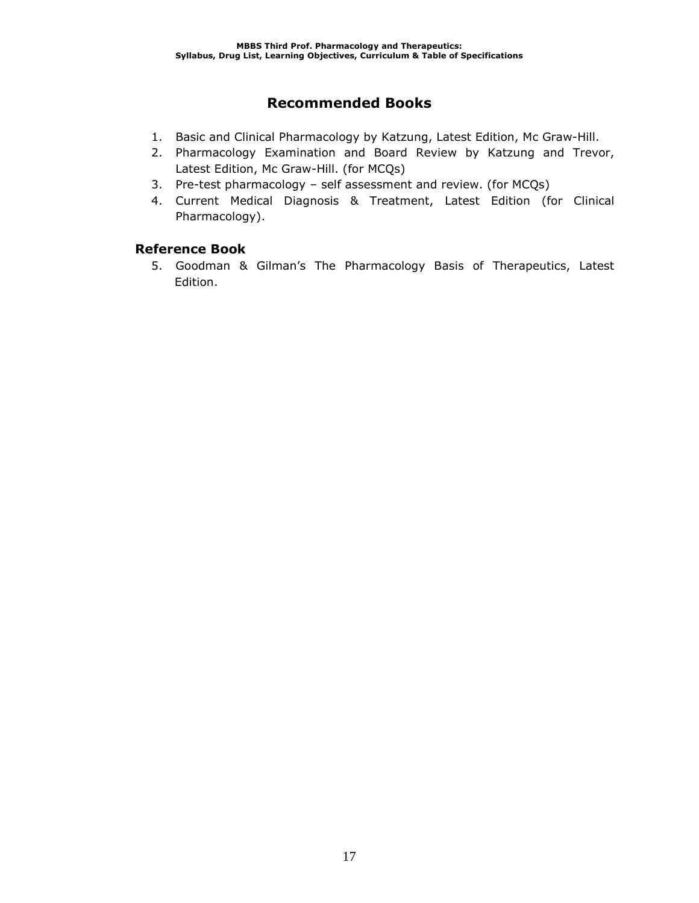# **Recommended Books**

- 1. Basic and Clinical Pharmacology by Katzung, Latest Edition, Mc Graw-Hill.
- 2. Pharmacology Examination and Board Review by Katzung and Trevor, Latest Edition, Mc Graw-Hill. (for MCQs)
- 3. Pre-test pharmacology self assessment and review. (for MCQs)
- 4. Current Medical Diagnosis & Treatment, Latest Edition (for Clinical Pharmacology).

### **Reference Book**

5. Goodman & Gilman's The Pharmacology Basis of Therapeutics, Latest Edition.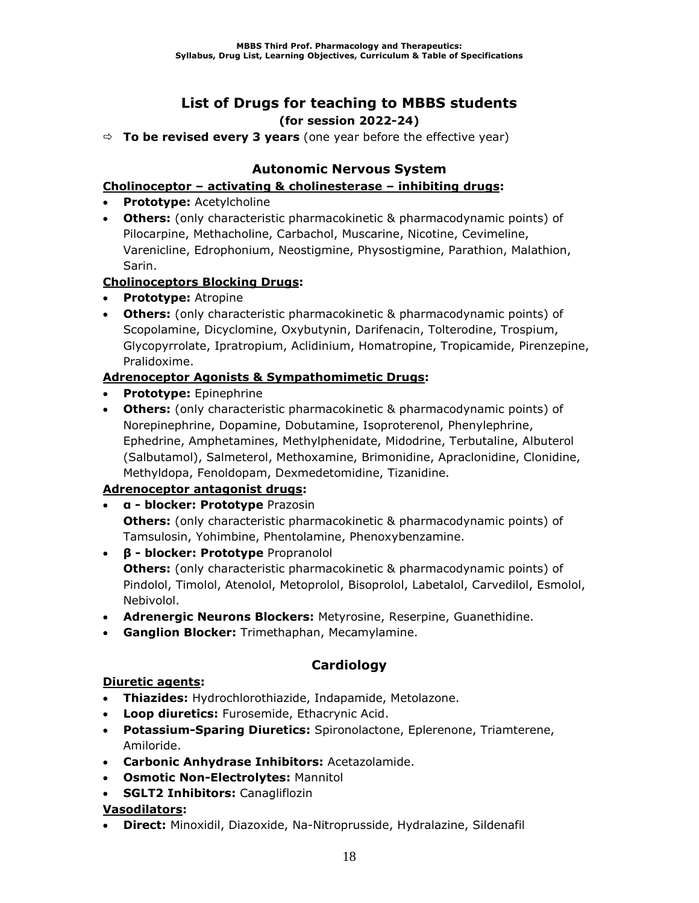## **List of Drugs for teaching to MBBS students (for session 2022-24)**

**To be revised every 3 years** (one year before the effective year)

## **Autonomic Nervous System**

### **Cholinoceptor – activating & cholinesterase – inhibiting drugs:**

- **Prototype:** Acetylcholine
- **Others:** (only characteristic pharmacokinetic & pharmacodynamic points) of Pilocarpine, Methacholine, Carbachol, Muscarine, Nicotine, Cevimeline, Varenicline, Edrophonium, Neostigmine, Physostigmine, Parathion, Malathion, Sarin.

### **Cholinoceptors Blocking Drugs:**

- **Prototype:** Atropine
- **Others:** (only characteristic pharmacokinetic & pharmacodynamic points) of Scopolamine, Dicyclomine, Oxybutynin, Darifenacin, Tolterodine, Trospium, Glycopyrrolate, Ipratropium, Aclidinium, Homatropine, Tropicamide, Pirenzepine, Pralidoxime.

### **Adrenoceptor Agonists & Sympathomimetic Drugs:**

- **Prototype:** Epinephrine
- **Others:** (only characteristic pharmacokinetic & pharmacodynamic points) of Norepinephrine, Dopamine, Dobutamine, Isoproterenol, Phenylephrine, Ephedrine, Amphetamines, Methylphenidate, Midodrine, Terbutaline, Albuterol (Salbutamol), Salmeterol, Methoxamine, Brimonidine, Apraclonidine, Clonidine, Methyldopa, Fenoldopam, Dexmedetomidine, Tizanidine.

## **Adrenoceptor antagonist drugs:**

- **α - blocker: Prototype** Prazosin **Others:** (only characteristic pharmacokinetic & pharmacodynamic points) of Tamsulosin, Yohimbine, Phentolamine, Phenoxybenzamine.
- **β - blocker: Prototype** Propranolol **Others:** (only characteristic pharmacokinetic & pharmacodynamic points) of Pindolol, Timolol, Atenolol, Metoprolol, Bisoprolol, Labetalol, Carvedilol, Esmolol, Nebivolol.
- **Adrenergic Neurons Blockers:** Metyrosine, Reserpine, Guanethidine.
- **Ganglion Blocker:** Trimethaphan, Mecamylamine.

## **Cardiology**

### **Diuretic agents:**

- **Thiazides:** Hydrochlorothiazide, Indapamide, Metolazone.
- **Loop diuretics:** Furosemide, Ethacrynic Acid.
- **Potassium-Sparing Diuretics:** Spironolactone, Eplerenone, Triamterene, Amiloride.
- **Carbonic Anhydrase Inhibitors:** Acetazolamide.
- **Osmotic Non-Electrolytes:** Mannitol
- **SGLT2 Inhibitors:** Canagliflozin

### **Vasodilators:**

• **Direct:** Minoxidil, Diazoxide, Na-Nitroprusside, Hydralazine, Sildenafil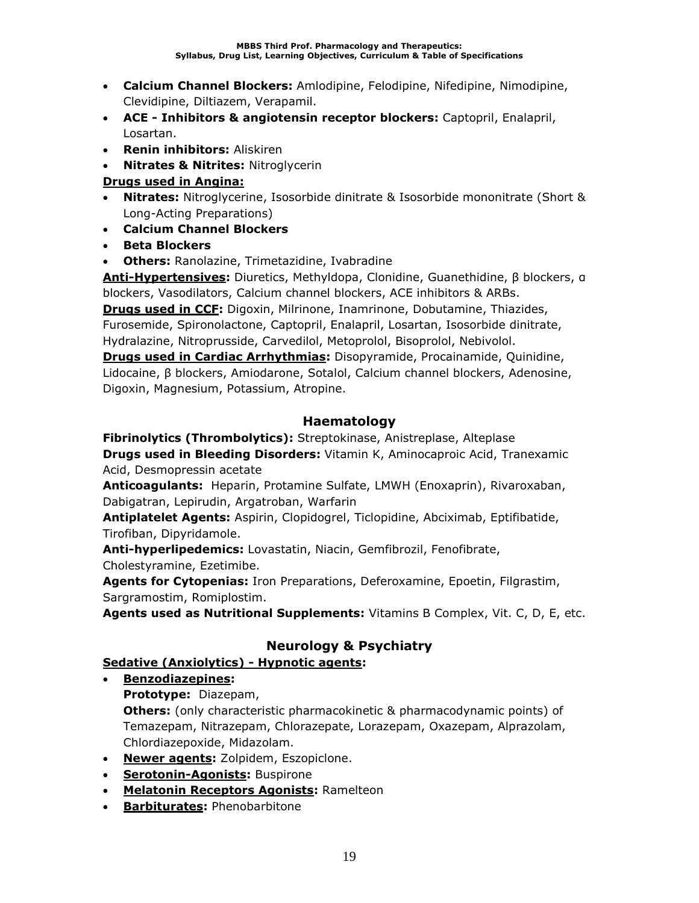- **Calcium Channel Blockers:** Amlodipine, Felodipine, Nifedipine, Nimodipine, Clevidipine, Diltiazem, Verapamil.
- **ACE - Inhibitors & angiotensin receptor blockers:** Captopril, Enalapril, Losartan.
- **Renin inhibitors:** Aliskiren
- **Nitrates & Nitrites:** Nitroglycerin

## **Drugs used in Angina:**

- **Nitrates:** Nitroglycerine, Isosorbide dinitrate & Isosorbide mononitrate (Short & Long-Acting Preparations)
- **Calcium Channel Blockers**
- **Beta Blockers**
- **Others:** Ranolazine, Trimetazidine, Ivabradine

**Anti-Hypertensives:** Diuretics, Methyldopa, Clonidine, Guanethidine, β blockers, α blockers, Vasodilators, Calcium channel blockers, ACE inhibitors & ARBs.

**Drugs used in CCF:** Digoxin, Milrinone, Inamrinone, Dobutamine, Thiazides, Furosemide, Spironolactone, Captopril, Enalapril, Losartan, Isosorbide dinitrate, Hydralazine, Nitroprusside, Carvedilol, Metoprolol, Bisoprolol, Nebivolol.

**Drugs used in Cardiac Arrhythmias:** Disopyramide, Procainamide, Quinidine, Lidocaine, β blockers, Amiodarone, Sotalol, Calcium channel blockers, Adenosine, Digoxin, Magnesium, Potassium, Atropine.

## **Haematology**

**Fibrinolytics (Thrombolytics):** Streptokinase, Anistreplase, Alteplase **Drugs used in Bleeding Disorders:** Vitamin K, Aminocaproic Acid, Tranexamic Acid, Desmopressin acetate

**Anticoagulants:** Heparin, Protamine Sulfate, LMWH (Enoxaprin), Rivaroxaban, Dabigatran, Lepirudin, Argatroban, Warfarin

**Antiplatelet Agents:** Aspirin, Clopidogrel, Ticlopidine, Abciximab, Eptifibatide, Tirofiban, Dipyridamole.

**Anti-hyperlipedemics:** Lovastatin, Niacin, Gemfibrozil, Fenofibrate, Cholestyramine, Ezetimibe.

**Agents for Cytopenias:** Iron Preparations, Deferoxamine, Epoetin, Filgrastim, Sargramostim, Romiplostim.

**Agents used as Nutritional Supplements:** Vitamins B Complex, Vit. C, D, E, etc.

## **Neurology & Psychiatry**

## **Sedative (Anxiolytics) - Hypnotic agents:**

- **Benzodiazepines:**
	- **Prototype:** Diazepam,

**Others:** (only characteristic pharmacokinetic & pharmacodynamic points) of Temazepam, Nitrazepam, Chlorazepate, Lorazepam, Oxazepam, Alprazolam, Chlordiazepoxide, Midazolam.

- **Newer agents:** Zolpidem, Eszopiclone.
- **Serotonin-Agonists:** Buspirone
- **Melatonin Receptors Agonists:** Ramelteon
- **Barbiturates:** Phenobarbitone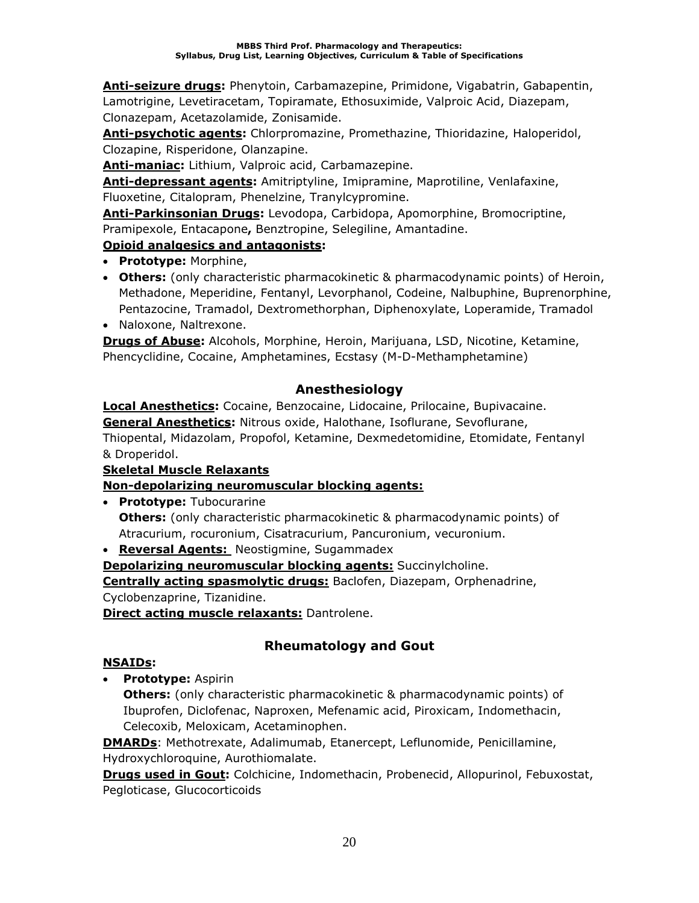**Anti-seizure drugs:** Phenytoin, Carbamazepine, Primidone, Vigabatrin, Gabapentin, Lamotrigine, Levetiracetam, Topiramate, Ethosuximide, Valproic Acid, Diazepam, Clonazepam, Acetazolamide, Zonisamide.

**Anti-psychotic agents:** Chlorpromazine, Promethazine, Thioridazine, Haloperidol, Clozapine, Risperidone, Olanzapine.

**Anti-maniac:** Lithium, Valproic acid, Carbamazepine.

**Anti-depressant agents:** Amitriptyline, Imipramine, Maprotiline, Venlafaxine, Fluoxetine, Citalopram, Phenelzine, Tranylcypromine.

**Anti-Parkinsonian Drugs:** Levodopa, Carbidopa, Apomorphine, Bromocriptine, Pramipexole, Entacapone**,** Benztropine, Selegiline, Amantadine.

## **Opioid analgesics and antagonists:**

- **Prototype:** Morphine,
- **Others:** (only characteristic pharmacokinetic & pharmacodynamic points) of Heroin, Methadone, Meperidine, Fentanyl, Levorphanol, Codeine, Nalbuphine, Buprenorphine, Pentazocine, Tramadol, Dextromethorphan, Diphenoxylate, Loperamide, Tramadol
- Naloxone, Naltrexone.

**Drugs of Abuse:** Alcohols, Morphine, Heroin, Marijuana, LSD, Nicotine, Ketamine, Phencyclidine, Cocaine, Amphetamines, Ecstasy (M-D-Methamphetamine)

## **Anesthesiology**

**Local Anesthetics:** Cocaine, Benzocaine, Lidocaine, Prilocaine, Bupivacaine. **General Anesthetics:** Nitrous oxide, Halothane, Isoflurane, Sevoflurane, Thiopental, Midazolam, Propofol, Ketamine, Dexmedetomidine, Etomidate, Fentanyl & Droperidol.

## **Skeletal Muscle Relaxants**

## **Non-depolarizing neuromuscular blocking agents:**

• **Prototype:** Tubocurarine **Others:** (only characteristic pharmacokinetic & pharmacodynamic points) of Atracurium, rocuronium, Cisatracurium, Pancuronium, vecuronium.

• **Reversal Agents:** Neostigmine, Sugammadex

**Depolarizing neuromuscular blocking agents:** Succinylcholine.

**Centrally acting spasmolytic drugs:** Baclofen, Diazepam, Orphenadrine,

Cyclobenzaprine, Tizanidine.

**Direct acting muscle relaxants:** Dantrolene.

# **Rheumatology and Gout**

## **NSAIDs:**

• **Prototype:** Aspirin

**Others:** (only characteristic pharmacokinetic & pharmacodynamic points) of Ibuprofen, Diclofenac, Naproxen, Mefenamic acid, Piroxicam, Indomethacin, Celecoxib, Meloxicam, Acetaminophen.

**DMARDs**: Methotrexate, Adalimumab, Etanercept, Leflunomide, Penicillamine, Hydroxychloroquine, Aurothiomalate.

**Drugs used in Gout:** Colchicine, Indomethacin, Probenecid, Allopurinol, Febuxostat, Pegloticase, Glucocorticoids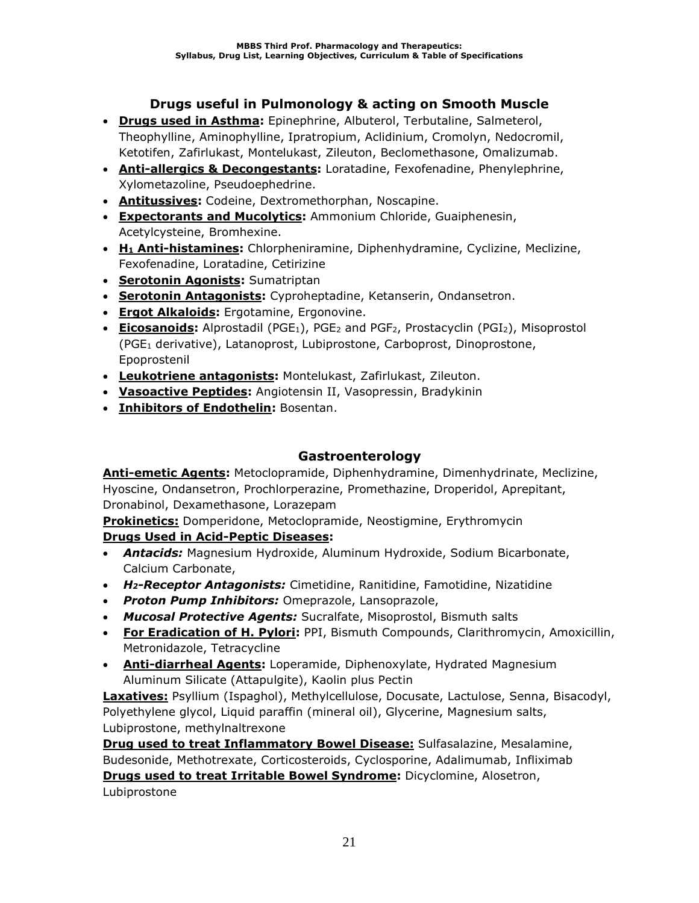## **Drugs useful in Pulmonology & acting on Smooth Muscle**

- **Drugs used in Asthma:** Epinephrine, Albuterol, Terbutaline, Salmeterol, Theophylline, Aminophylline, Ipratropium, Aclidinium, Cromolyn, Nedocromil, Ketotifen, Zafirlukast, Montelukast, Zileuton, Beclomethasone, Omalizumab.
- **Anti-allergics & Decongestants:** Loratadine, Fexofenadine, Phenylephrine, Xylometazoline, Pseudoephedrine.
- **Antitussives:** Codeine, Dextromethorphan, Noscapine.
- **Expectorants and Mucolytics:** Ammonium Chloride, Guaiphenesin, Acetylcysteine, Bromhexine.
- **H<sup>1</sup> Anti-histamines:** Chlorpheniramine, Diphenhydramine, Cyclizine, Meclizine, Fexofenadine, Loratadine, Cetirizine
- **Serotonin Agonists:** Sumatriptan
- **Serotonin Antagonists:** Cyproheptadine, Ketanserin, Ondansetron.
- **Ergot Alkaloids:** Ergotamine, Ergonovine.
- **Eicosanoids:** Alprostadil (PGE<sub>1</sub>), PGE<sub>2</sub> and PGF<sub>2</sub>, Prostacyclin (PGI<sub>2</sub>), Misoprostol (PGE<sup>1</sup> derivative), Latanoprost, Lubiprostone, Carboprost, Dinoprostone, Epoprostenil
- **Leukotriene antagonists:** Montelukast, Zafirlukast, Zileuton.
- **Vasoactive Peptides:** Angiotensin II, Vasopressin, Bradykinin
- **Inhibitors of Endothelin:** Bosentan.

## **Gastroenterology**

**Anti-emetic Agents:** Metoclopramide, Diphenhydramine, Dimenhydrinate, Meclizine, Hyoscine, Ondansetron, Prochlorperazine, Promethazine, Droperidol, Aprepitant, Dronabinol, Dexamethasone, Lorazepam

**Prokinetics:** Domperidone, Metoclopramide, Neostigmine, Erythromycin

### **Drugs Used in Acid-Peptic Diseases:**

- *Antacids:* Magnesium Hydroxide, Aluminum Hydroxide, Sodium Bicarbonate, Calcium Carbonate,
- *H2-Receptor Antagonists:* Cimetidine, Ranitidine, Famotidine, Nizatidine
- *Proton Pump Inhibitors:* Omeprazole, Lansoprazole,
- *Mucosal Protective Agents:* Sucralfate, Misoprostol, Bismuth salts
- **For Eradication of H. Pylori:** PPI, Bismuth Compounds, Clarithromycin, Amoxicillin, Metronidazole, Tetracycline
- **Anti-diarrheal Agents:** Loperamide, Diphenoxylate, Hydrated Magnesium Aluminum Silicate (Attapulgite), Kaolin plus Pectin

**Laxatives:** Psyllium (Ispaghol), Methylcellulose, Docusate, Lactulose, Senna, Bisacodyl, Polyethylene glycol, Liquid paraffin (mineral oil), Glycerine, Magnesium salts, Lubiprostone, methylnaltrexone

**Drug used to treat Inflammatory Bowel Disease:** Sulfasalazine, Mesalamine, Budesonide, Methotrexate, Corticosteroids, Cyclosporine, Adalimumab, Infliximab **Drugs used to treat Irritable Bowel Syndrome:** Dicyclomine, Alosetron, Lubiprostone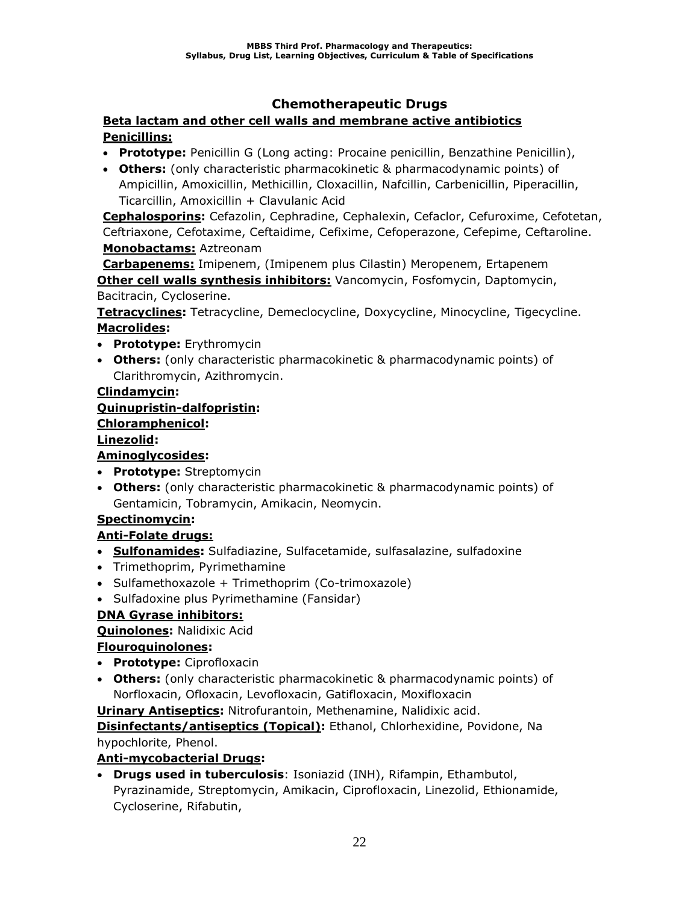## **Chemotherapeutic Drugs**

### **Beta lactam and other cell walls and membrane active antibiotics Penicillins:**

- **Prototype:** Penicillin G (Long acting: Procaine penicillin, Benzathine Penicillin),
- **Others:** (only characteristic pharmacokinetic & pharmacodynamic points) of Ampicillin, Amoxicillin, Methicillin, Cloxacillin, Nafcillin, Carbenicillin, Piperacillin, Ticarcillin, Amoxicillin + Clavulanic Acid

**Cephalosporins:** Cefazolin, Cephradine, Cephalexin, Cefaclor, Cefuroxime, Cefotetan, Ceftriaxone, Cefotaxime, Ceftaidime, Cefixime, Cefoperazone, Cefepime, Ceftaroline. **Monobactams:** Aztreonam

**Carbapenems:** Imipenem, (Imipenem plus Cilastin) Meropenem, Ertapenem **Other cell walls synthesis inhibitors:** Vancomycin, Fosfomycin, Daptomycin, Bacitracin, Cycloserine.

**Tetracyclines:** Tetracycline, Demeclocycline, Doxycycline, Minocycline, Tigecycline. **Macrolides:**

- **Prototype:** Erythromycin
- **Others:** (only characteristic pharmacokinetic & pharmacodynamic points) of Clarithromycin, Azithromycin.

### **Clindamycin:**

### **Quinupristin-dalfopristin:**

### **Chloramphenicol:**

### **Linezolid:**

## **Aminoglycosides:**

- **Prototype:** Streptomycin
- **Others:** (only characteristic pharmacokinetic & pharmacodynamic points) of Gentamicin, Tobramycin, Amikacin, Neomycin.

## **Spectinomycin:**

## **Anti-Folate drugs:**

- **Sulfonamides:** Sulfadiazine, Sulfacetamide, sulfasalazine, sulfadoxine
- Trimethoprim, Pyrimethamine
- Sulfamethoxazole + Trimethoprim (Co-trimoxazole)
- Sulfadoxine plus Pyrimethamine (Fansidar)

## **DNA Gyrase inhibitors:**

### **Quinolones:** Nalidixic Acid

### **Flouroquinolones:**

- **Prototype:** Ciprofloxacin
- **Others:** (only characteristic pharmacokinetic & pharmacodynamic points) of Norfloxacin, Ofloxacin, Levofloxacin, Gatifloxacin, Moxifloxacin

**Urinary Antiseptics:** Nitrofurantoin, Methenamine, Nalidixic acid.

**Disinfectants/antiseptics (Topical):** Ethanol, Chlorhexidine, Povidone, Na hypochlorite, Phenol.

### **Anti-mycobacterial Drugs:**

• **Drugs used in tuberculosis**: Isoniazid (INH), Rifampin, Ethambutol, Pyrazinamide, Streptomycin, Amikacin, Ciprofloxacin, Linezolid, Ethionamide, Cycloserine, Rifabutin,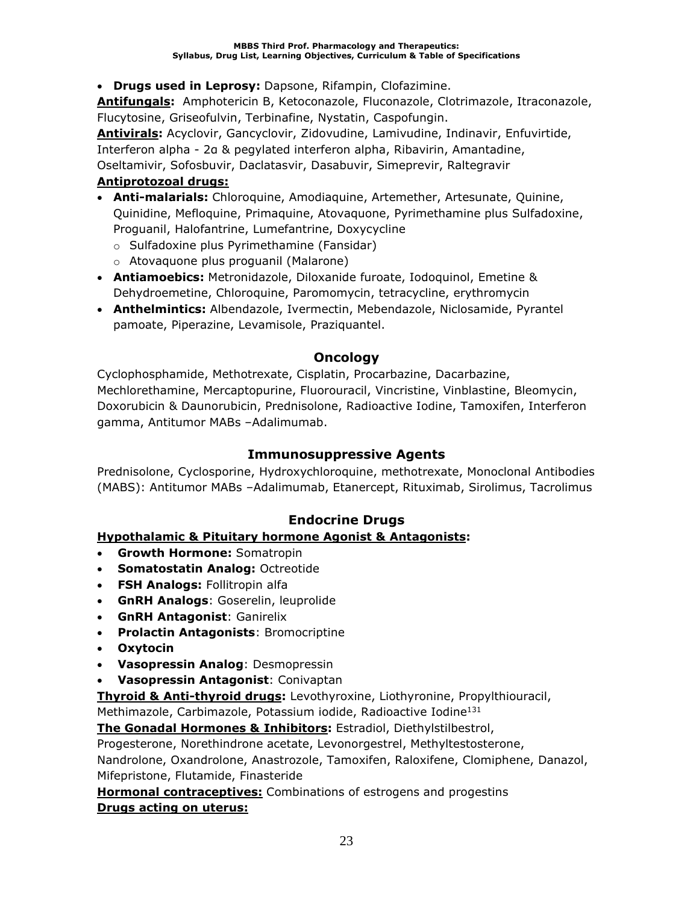• **Drugs used in Leprosy:** Dapsone, Rifampin, Clofazimine.

**Antifungals:** Amphotericin B, Ketoconazole, Fluconazole, Clotrimazole, Itraconazole, Flucytosine, Griseofulvin, Terbinafine, Nystatin, Caspofungin.

**Antivirals:** Acyclovir, Gancyclovir, Zidovudine, Lamivudine, Indinavir, Enfuvirtide, Interferon alpha - 2α & pegylated interferon alpha, Ribavirin, Amantadine, Oseltamivir, Sofosbuvir, Daclatasvir, Dasabuvir, Simeprevir, Raltegravir

### **Antiprotozoal drugs:**

- **Anti-malarials:** Chloroquine, Amodiaquine, Artemether, Artesunate, Quinine, Quinidine, Mefloquine, Primaquine, Atovaquone, Pyrimethamine plus Sulfadoxine, Proguanil, Halofantrine, Lumefantrine, Doxycycline
	- o Sulfadoxine plus Pyrimethamine (Fansidar)
	- o Atovaquone plus proguanil (Malarone)
- **Antiamoebics:** Metronidazole, Diloxanide furoate, Iodoquinol, Emetine & Dehydroemetine, Chloroquine, Paromomycin, tetracycline, erythromycin
- **Anthelmintics:** Albendazole, Ivermectin, Mebendazole, Niclosamide, Pyrantel pamoate, Piperazine, Levamisole, Praziquantel.

## **Oncology**

Cyclophosphamide, Methotrexate, Cisplatin, Procarbazine, Dacarbazine, Mechlorethamine, Mercaptopurine, Fluorouracil, Vincristine, Vinblastine, Bleomycin, Doxorubicin & Daunorubicin, Prednisolone, Radioactive Iodine, Tamoxifen, Interferon gamma, Antitumor MABs –Adalimumab.

### **Immunosuppressive Agents**

Prednisolone, Cyclosporine, Hydroxychloroquine, methotrexate, Monoclonal Antibodies (MABS): Antitumor MABs –Adalimumab, Etanercept, Rituximab, Sirolimus, Tacrolimus

## **Endocrine Drugs**

### **Hypothalamic & Pituitary hormone Agonist & Antagonists:**

- **Growth Hormone:** Somatropin
- **Somatostatin Analog:** Octreotide
- **FSH Analogs:** Follitropin alfa
- **GnRH Analogs**: Goserelin, leuprolide
- **GnRH Antagonist**: Ganirelix
- **Prolactin Antagonists**: Bromocriptine
- **Oxytocin**
- **Vasopressin Analog**: Desmopressin
- **Vasopressin Antagonist**: Conivaptan

**Thyroid & Anti-thyroid drugs:** Levothyroxine, Liothyronine, Propylthiouracil,

Methimazole, Carbimazole, Potassium iodide, Radioactive Iodine<sup>131</sup>

**The Gonadal Hormones & Inhibitors:** Estradiol, Diethylstilbestrol,

Progesterone, Norethindrone acetate, Levonorgestrel, Methyltestosterone,

Nandrolone, Oxandrolone, Anastrozole, Tamoxifen, Raloxifene, Clomiphene, Danazol, Mifepristone, Flutamide, Finasteride

**Hormonal contraceptives:** Combinations of estrogens and progestins **Drugs acting on uterus:**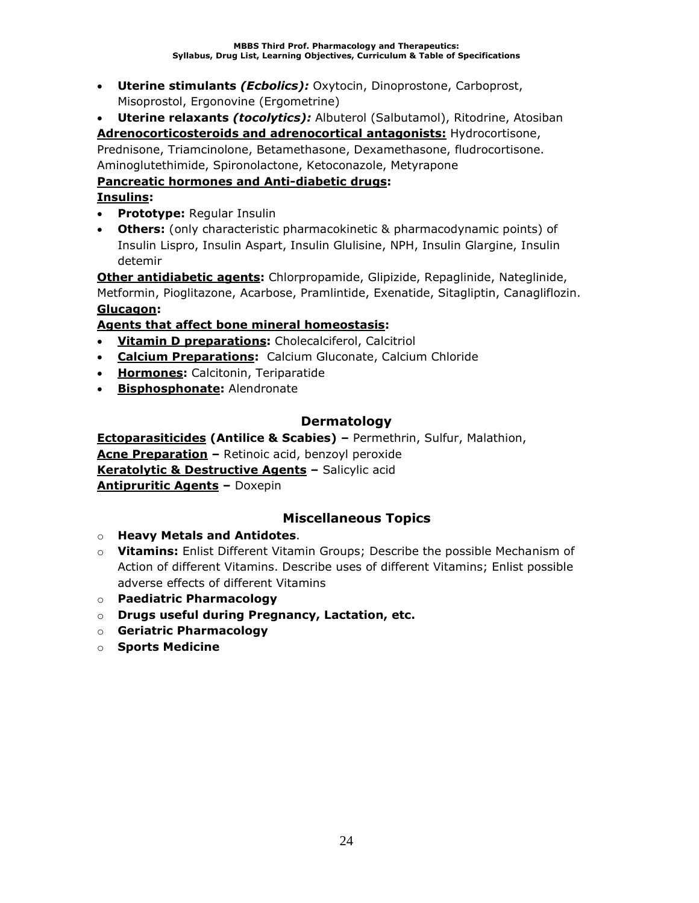• **Uterine stimulants** *(Ecbolics):* Oxytocin, Dinoprostone, Carboprost, Misoprostol, Ergonovine (Ergometrine)

• **Uterine relaxants** *(tocolytics):* Albuterol (Salbutamol), Ritodrine, Atosiban **Adrenocorticosteroids and adrenocortical antagonists:** Hydrocortisone, Prednisone, Triamcinolone, Betamethasone, Dexamethasone, fludrocortisone. Aminoglutethimide, Spironolactone, Ketoconazole, Metyrapone

## **Pancreatic hormones and Anti-diabetic drugs:**

## **Insulins:**

- **Prototype:** Regular Insulin
- **Others:** (only characteristic pharmacokinetic & pharmacodynamic points) of Insulin Lispro, Insulin Aspart, Insulin Glulisine, NPH, Insulin Glargine, Insulin detemir

**Other antidiabetic agents:** Chlorpropamide, Glipizide, Repaglinide, Nateglinide, Metformin, Pioglitazone, Acarbose, Pramlintide, Exenatide, Sitagliptin, Canagliflozin. **Glucagon:** 

## **Agents that affect bone mineral homeostasis:**

- **Vitamin D preparations:** Cholecalciferol, Calcitriol
- **Calcium Preparations:** Calcium Gluconate, Calcium Chloride
- **Hormones:** Calcitonin, Teriparatide
- **Bisphosphonate:** Alendronate

## **Dermatology**

**Ectoparasiticides (Antilice & Scabies) –** Permethrin, Sulfur, Malathion, **Acne Preparation –** Retinoic acid, benzoyl peroxide **Keratolytic & Destructive Agents –** Salicylic acid **Antipruritic Agents –** Doxepin

## **Miscellaneous Topics**

- o **Heavy Metals and Antidotes**.
- o **Vitamins:** Enlist Different Vitamin Groups; Describe the possible Mechanism of Action of different Vitamins. Describe uses of different Vitamins; Enlist possible adverse effects of different Vitamins
- o **Paediatric Pharmacology**
- o **Drugs useful during Pregnancy, Lactation, etc.**
- o **Geriatric Pharmacology**
- o **Sports Medicine**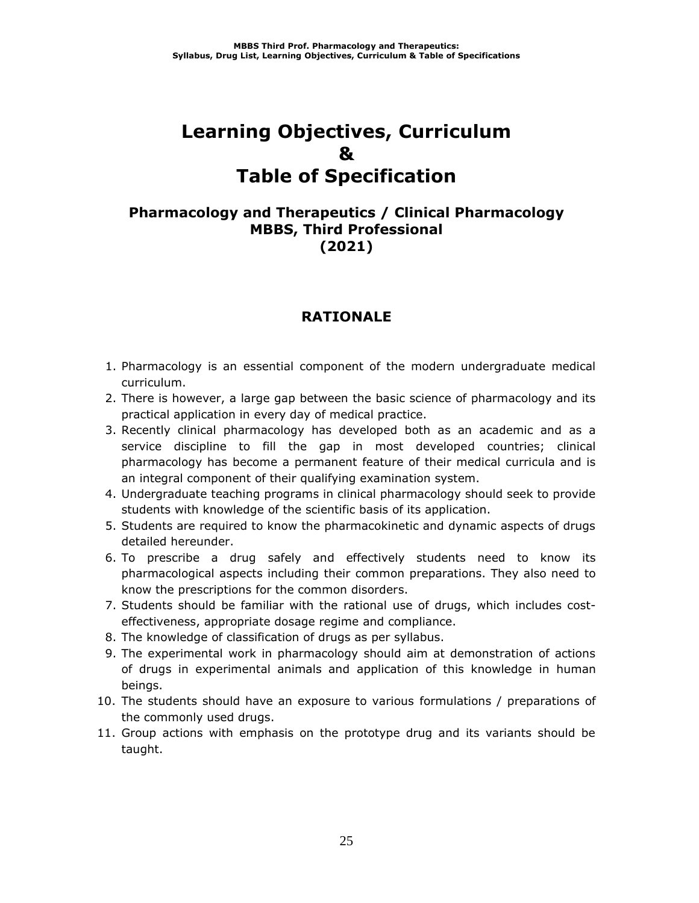# **Learning Objectives, Curriculum & Table of Specification**

## **Pharmacology and Therapeutics / Clinical Pharmacology MBBS, Third Professional (2021)**

## **RATIONALE**

- 1. Pharmacology is an essential component of the modern undergraduate medical curriculum.
- 2. There is however, a large gap between the basic science of pharmacology and its practical application in every day of medical practice.
- 3. Recently clinical pharmacology has developed both as an academic and as a service discipline to fill the gap in most developed countries; clinical pharmacology has become a permanent feature of their medical curricula and is an integral component of their qualifying examination system.
- 4. Undergraduate teaching programs in clinical pharmacology should seek to provide students with knowledge of the scientific basis of its application.
- 5. Students are required to know the pharmacokinetic and dynamic aspects of drugs detailed hereunder.
- 6. To prescribe a drug safely and effectively students need to know its pharmacological aspects including their common preparations. They also need to know the prescriptions for the common disorders.
- 7. Students should be familiar with the rational use of drugs, which includes costeffectiveness, appropriate dosage regime and compliance.
- 8. The knowledge of classification of drugs as per syllabus.
- 9. The experimental work in pharmacology should aim at demonstration of actions of drugs in experimental animals and application of this knowledge in human beings.
- 10. The students should have an exposure to various formulations / preparations of the commonly used drugs.
- 11. Group actions with emphasis on the prototype drug and its variants should be taught.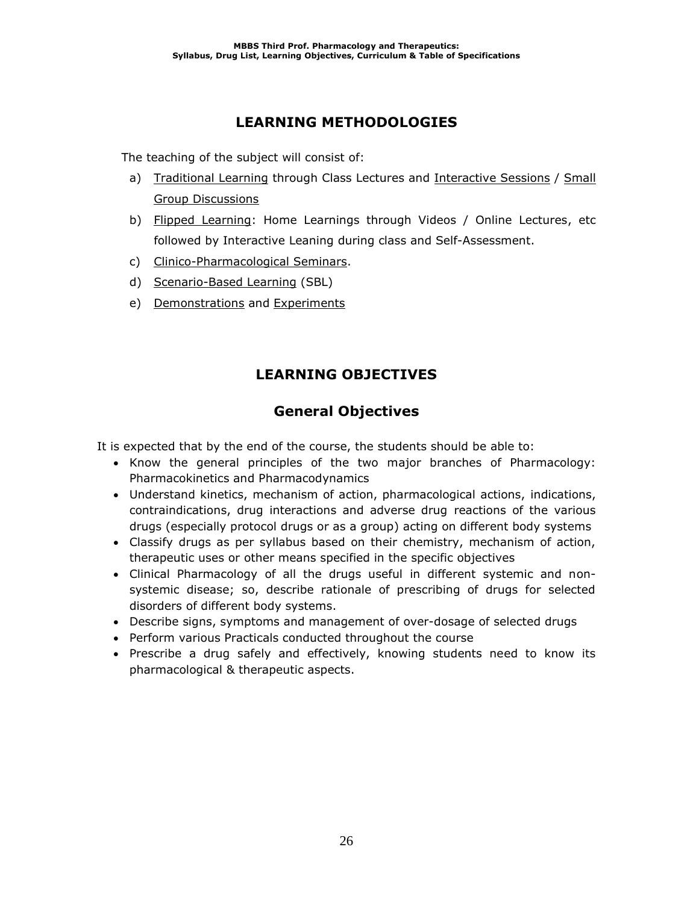# **LEARNING METHODOLOGIES**

The teaching of the subject will consist of:

- a) Traditional Learning through Class Lectures and Interactive Sessions / Small Group Discussions
- b) Flipped Learning: Home Learnings through Videos / Online Lectures, etc followed by Interactive Leaning during class and Self-Assessment.
- c) Clinico-Pharmacological Seminars.
- d) Scenario-Based Learning (SBL)
- e) Demonstrations and Experiments

# **LEARNING OBJECTIVES**

# **General Objectives**

It is expected that by the end of the course, the students should be able to:

- Know the general principles of the two major branches of Pharmacology: Pharmacokinetics and Pharmacodynamics
- Understand kinetics, mechanism of action, pharmacological actions, indications, contraindications, drug interactions and adverse drug reactions of the various drugs (especially protocol drugs or as a group) acting on different body systems
- Classify drugs as per syllabus based on their chemistry, mechanism of action, therapeutic uses or other means specified in the specific objectives
- Clinical Pharmacology of all the drugs useful in different systemic and nonsystemic disease; so, describe rationale of prescribing of drugs for selected disorders of different body systems.
- Describe signs, symptoms and management of over-dosage of selected drugs
- Perform various Practicals conducted throughout the course
- Prescribe a drug safely and effectively, knowing students need to know its pharmacological & therapeutic aspects.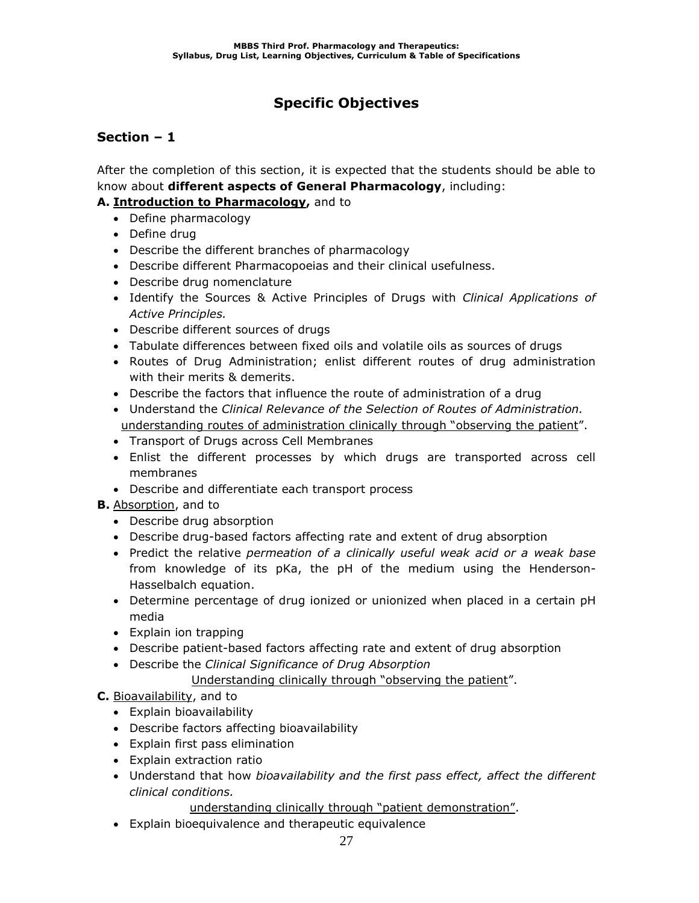# **Specific Objectives**

## **Section – 1**

After the completion of this section, it is expected that the students should be able to know about **different aspects of General Pharmacology**, including:

### **A. Introduction to Pharmacology,** and to

- Define pharmacology
- Define drug
- Describe the different branches of pharmacology
- Describe different Pharmacopoeias and their clinical usefulness.
- Describe drug nomenclature
- Identify the Sources & Active Principles of Drugs with *Clinical Applications of Active Principles.*
- Describe different sources of drugs
- Tabulate differences between fixed oils and volatile oils as sources of drugs
- Routes of Drug Administration; enlist different routes of drug administration with their merits & demerits.
- Describe the factors that influence the route of administration of a drug
- Understand the *Clinical Relevance of the Selection of Routes of Administration.* understanding routes of administration clinically through "observing the patient".
- Transport of Drugs across Cell Membranes
- Enlist the different processes by which drugs are transported across cell membranes
- Describe and differentiate each transport process

## **B.** Absorption, and to

- Describe drug absorption
- Describe drug-based factors affecting rate and extent of drug absorption
- Predict the relative *permeation of a clinically useful weak acid or a weak base* from knowledge of its pKa, the pH of the medium using the Henderson-Hasselbalch equation.
- Determine percentage of drug ionized or unionized when placed in a certain pH media
- Explain ion trapping
- Describe patient-based factors affecting rate and extent of drug absorption
- Describe the *Clinical Significance of Drug Absorption* Understanding clinically through "observing the patient".

## **C.** Bioavailability, and to

- Explain bioavailability
- Describe factors affecting bioavailability
- Explain first pass elimination
- Explain extraction ratio
- Understand that how *bioavailability and the first pass effect, affect the different clinical conditions.*

understanding clinically through "patient demonstration".

• Explain bioequivalence and therapeutic equivalence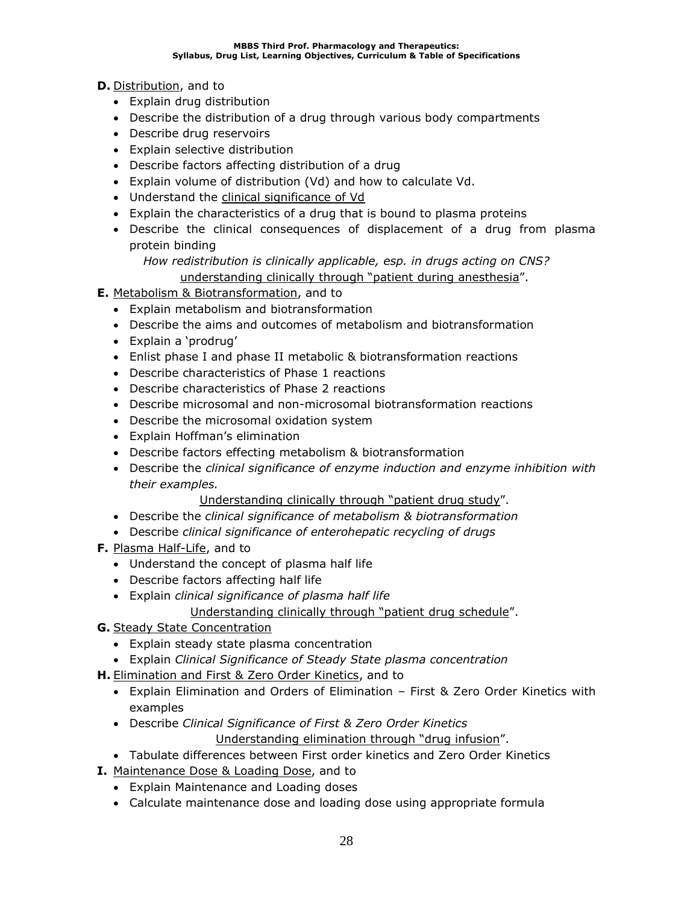### **D.** Distribution, and to

- Explain drug distribution
- Describe the distribution of a drug through various body compartments
- Describe drug reservoirs
- Explain selective distribution
- Describe factors affecting distribution of a drug
- Explain volume of distribution (Vd) and how to calculate Vd.
- Understand the clinical significance of Vd
- Explain the characteristics of a drug that is bound to plasma proteins
- Describe the clinical consequences of displacement of a drug from plasma protein binding
	- *How redistribution is clinically applicable, esp. in drugs acting on CNS?* understanding clinically through "patient during anesthesia".
- **E.** Metabolism & Biotransformation, and to
	- Explain metabolism and biotransformation
	- Describe the aims and outcomes of metabolism and biotransformation
	- Explain a 'prodrug'
	- Enlist phase I and phase II metabolic & biotransformation reactions
	- Describe characteristics of Phase 1 reactions
	- Describe characteristics of Phase 2 reactions
	- Describe microsomal and non-microsomal biotransformation reactions
	- Describe the microsomal oxidation system
	- Explain Hoffman's elimination
	- Describe factors effecting metabolism & biotransformation
	- Describe the *clinical significance of enzyme induction and enzyme inhibition with their examples.*

Understanding clinically through "patient drug study".

- Describe the *clinical significance of metabolism & biotransformation*
- Describe *clinical significance of enterohepatic recycling of drugs*
- **F.** Plasma Half-Life, and to
	- Understand the concept of plasma half life
	- Describe factors affecting half life
	- Explain *clinical significance of plasma half life*
		- Understanding clinically through "patient drug schedule".
- **G.** Steady State Concentration
	- Explain steady state plasma concentration
	- Explain *Clinical Significance of Steady State plasma concentration*
- **H.** Elimination and First & Zero Order Kinetics, and to
	- Explain Elimination and Orders of Elimination First & Zero Order Kinetics with examples
	- Describe *Clinical Significance of First & Zero Order Kinetics* Understanding elimination through "drug infusion".
	- Tabulate differences between First order kinetics and Zero Order Kinetics
- **I.** Maintenance Dose & Loading Dose, and to
	- Explain Maintenance and Loading doses
	- Calculate maintenance dose and loading dose using appropriate formula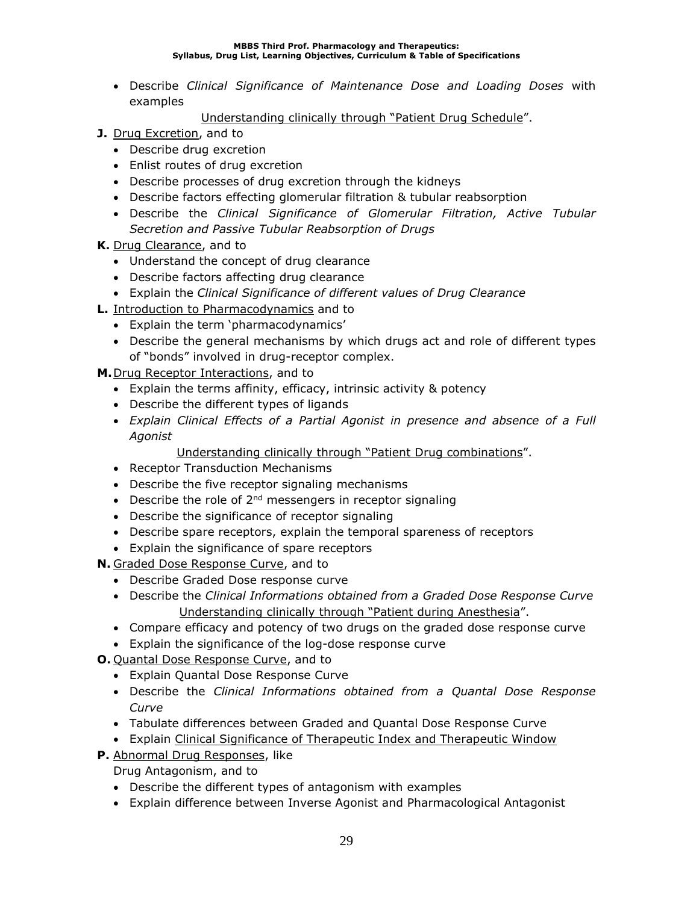#### **MBBS Third Prof. Pharmacology and Therapeutics: Syllabus, Drug List, Learning Objectives, Curriculum & Table of Specifications**

• Describe *Clinical Significance of Maintenance Dose and Loading Doses* with examples

Understanding clinically through "Patient Drug Schedule".

- **J.** Drug Excretion, and to
	- Describe drug excretion
	- Enlist routes of drug excretion
	- Describe processes of drug excretion through the kidneys
	- Describe factors effecting glomerular filtration & tubular reabsorption
	- Describe the *Clinical Significance of Glomerular Filtration, Active Tubular Secretion and Passive Tubular Reabsorption of Drugs*
- **K.** Drug Clearance, and to
	- Understand the concept of drug clearance
	- Describe factors affecting drug clearance
	- Explain the *Clinical Significance of different values of Drug Clearance*
- **L.** Introduction to Pharmacodynamics and to
	- Explain the term 'pharmacodynamics'
	- Describe the general mechanisms by which drugs act and role of different types of "bonds" involved in drug-receptor complex.

**M.**Drug Receptor Interactions, and to

- Explain the terms affinity, efficacy, intrinsic activity & potency
- Describe the different types of ligands
- *Explain Clinical Effects of a Partial Agonist in presence and absence of a Full Agonist*

Understanding clinically through "Patient Drug combinations".

- Receptor Transduction Mechanisms
- Describe the five receptor signaling mechanisms
- Describe the role of  $2^{nd}$  messengers in receptor signaling
- Describe the significance of receptor signaling
- Describe spare receptors, explain the temporal spareness of receptors
- Explain the significance of spare receptors

**N.** Graded Dose Response Curve, and to

- Describe Graded Dose response curve
- Describe the *Clinical Informations obtained from a Graded Dose Response Curve* Understanding clinically through "Patient during Anesthesia".
- Compare efficacy and potency of two drugs on the graded dose response curve
- Explain the significance of the log-dose response curve
- **O.** Quantal Dose Response Curve, and to
	- Explain Quantal Dose Response Curve
	- Describe the *Clinical Informations obtained from a Quantal Dose Response Curve*
	- Tabulate differences between Graded and Quantal Dose Response Curve
	- Explain Clinical Significance of Therapeutic Index and Therapeutic Window
- **P.** Abnormal Drug Responses, like

Drug Antagonism, and to

- Describe the different types of antagonism with examples
- Explain difference between Inverse Agonist and Pharmacological Antagonist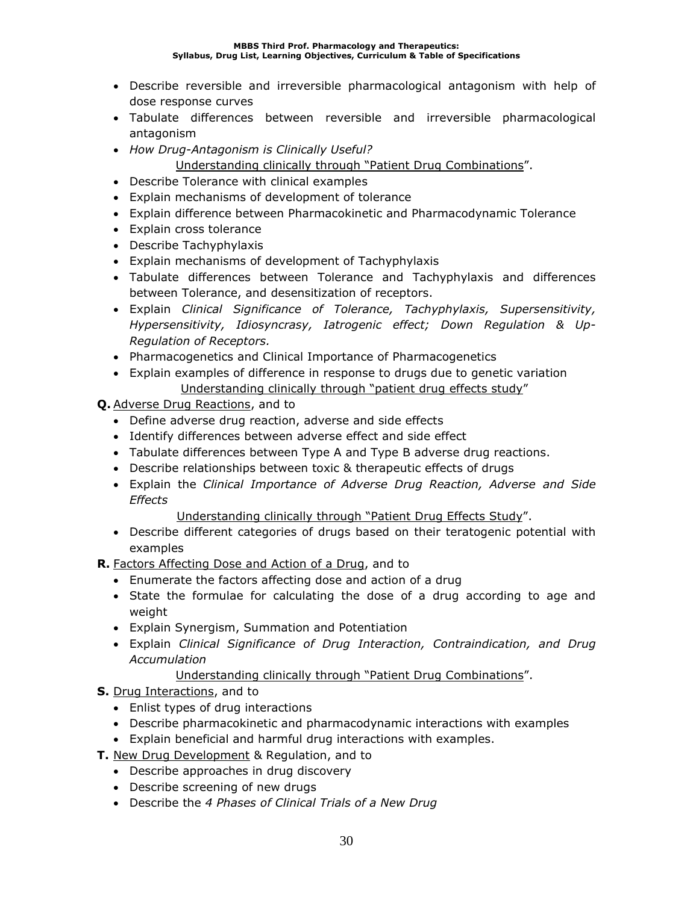- Describe reversible and irreversible pharmacological antagonism with help of dose response curves
- Tabulate differences between reversible and irreversible pharmacological antagonism
- *How Drug-Antagonism is Clinically Useful?*
	- Understanding clinically through "Patient Drug Combinations".
- Describe Tolerance with clinical examples
- Explain mechanisms of development of tolerance
- Explain difference between Pharmacokinetic and Pharmacodynamic Tolerance
- Explain cross tolerance
- Describe Tachyphylaxis
- Explain mechanisms of development of Tachyphylaxis
- Tabulate differences between Tolerance and Tachyphylaxis and differences between Tolerance, and desensitization of receptors.
- Explain *Clinical Significance of Tolerance, Tachyphylaxis, Supersensitivity, Hypersensitivity, Idiosyncrasy, Iatrogenic effect; Down Regulation & Up-Regulation of Receptors.*
- Pharmacogenetics and Clinical Importance of Pharmacogenetics
- Explain examples of difference in response to drugs due to genetic variation Understanding clinically through "patient drug effects study"
- **Q.** Adverse Drug Reactions, and to
	- Define adverse drug reaction, adverse and side effects
	- Identify differences between adverse effect and side effect
	- Tabulate differences between Type A and Type B adverse drug reactions.
	- Describe relationships between toxic & therapeutic effects of drugs
	- Explain the *Clinical Importance of Adverse Drug Reaction, Adverse and Side Effects*
		- Understanding clinically through "Patient Drug Effects Study".
	- Describe different categories of drugs based on their teratogenic potential with examples
- **R.** Factors Affecting Dose and Action of a Drug, and to
	- Enumerate the factors affecting dose and action of a drug
	- State the formulae for calculating the dose of a drug according to age and weight
	- Explain Synergism, Summation and Potentiation
	- Explain *Clinical Significance of Drug Interaction, Contraindication, and Drug Accumulation*

## Understanding clinically through "Patient Drug Combinations".

- **S.** Drug Interactions, and to
	- Enlist types of drug interactions
	- Describe pharmacokinetic and pharmacodynamic interactions with examples
	- Explain beneficial and harmful drug interactions with examples.
- **T.** New Drug Development & Regulation, and to
	- Describe approaches in drug discovery
	- Describe screening of new drugs
	- Describe the *4 Phases of Clinical Trials of a New Drug*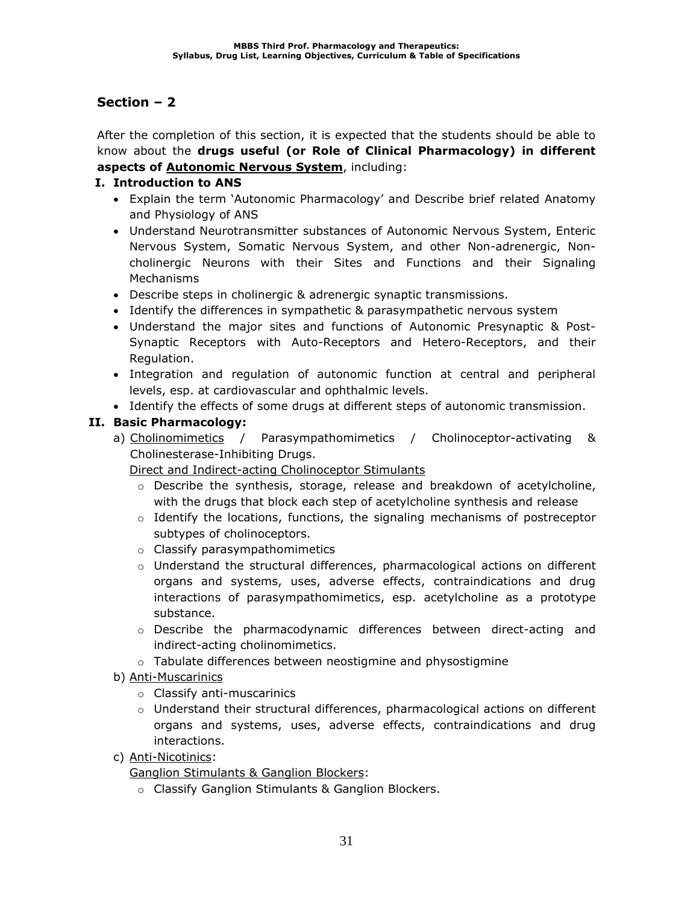After the completion of this section, it is expected that the students should be able to know about the **drugs useful (or Role of Clinical Pharmacology) in different aspects of Autonomic Nervous System**, including:

### **I. Introduction to ANS**

- Explain the term 'Autonomic Pharmacology' and Describe brief related Anatomy and Physiology of ANS
- Understand Neurotransmitter substances of Autonomic Nervous System, Enteric Nervous System, Somatic Nervous System, and other Non-adrenergic, Noncholinergic Neurons with their Sites and Functions and their Signaling Mechanisms
- Describe steps in cholinergic & adrenergic synaptic transmissions.
- Identify the differences in sympathetic & parasympathetic nervous system
- Understand the major sites and functions of Autonomic Presynaptic & Post-Synaptic Receptors with Auto-Receptors and Hetero-Receptors, and their Regulation.
- Integration and regulation of autonomic function at central and peripheral levels, esp. at cardiovascular and ophthalmic levels.
- Identify the effects of some drugs at different steps of autonomic transmission.

### **II. Basic Pharmacology:**

a) Cholinomimetics / Parasympathomimetics / Cholinoceptor-activating & Cholinesterase-Inhibiting Drugs.

Direct and Indirect-acting Cholinoceptor Stimulants

- $\circ$  Describe the synthesis, storage, release and breakdown of acetylcholine, with the drugs that block each step of acetylcholine synthesis and release
- $\circ$  Identify the locations, functions, the signaling mechanisms of postreceptor subtypes of cholinoceptors.
- o Classify parasympathomimetics
- $\circ$  Understand the structural differences, pharmacological actions on different organs and systems, uses, adverse effects, contraindications and drug interactions of parasympathomimetics, esp. acetylcholine as a prototype substance.
- o Describe the pharmacodynamic differences between direct-acting and indirect-acting cholinomimetics.
- o Tabulate differences between neostigmine and physostigmine
- b) Anti-Muscarinics
	- o Classify anti-muscarinics
	- o Understand their structural differences, pharmacological actions on different organs and systems, uses, adverse effects, contraindications and drug interactions.
- c) Anti-Nicotinics:

Ganglion Stimulants & Ganglion Blockers:

o Classify Ganglion Stimulants & Ganglion Blockers.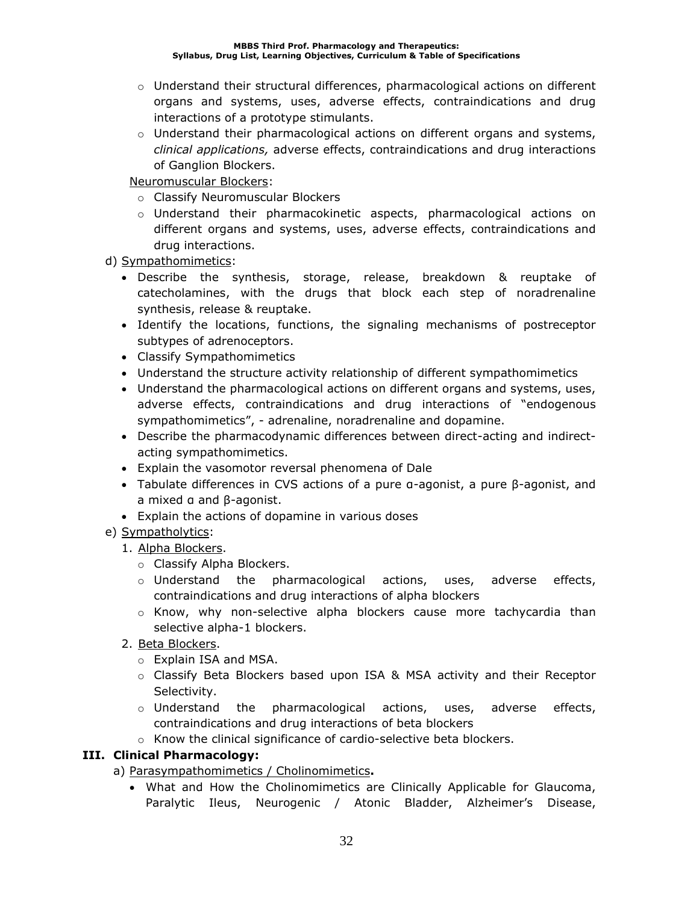- $\circ$  Understand their structural differences, pharmacological actions on different organs and systems, uses, adverse effects, contraindications and drug interactions of a prototype stimulants.
- $\circ$  Understand their pharmacological actions on different organs and systems, *clinical applications,* adverse effects, contraindications and drug interactions of Ganglion Blockers.

Neuromuscular Blockers:

- o Classify Neuromuscular Blockers
- o Understand their pharmacokinetic aspects, pharmacological actions on different organs and systems, uses, adverse effects, contraindications and drug interactions.

d) Sympathomimetics:

- Describe the synthesis, storage, release, breakdown & reuptake of catecholamines, with the drugs that block each step of noradrenaline synthesis, release & reuptake.
- Identify the locations, functions, the signaling mechanisms of postreceptor subtypes of adrenoceptors.
- Classify Sympathomimetics
- Understand the structure activity relationship of different sympathomimetics
- Understand the pharmacological actions on different organs and systems, uses, adverse effects, contraindications and drug interactions of "endogenous sympathomimetics", - adrenaline, noradrenaline and dopamine.
- Describe the pharmacodynamic differences between direct-acting and indirectacting sympathomimetics.
- Explain the vasomotor reversal phenomena of Dale
- Tabulate differences in CVS actions of a pure α-agonist, a pure β-agonist, and a mixed α and β-agonist.
- Explain the actions of dopamine in various doses
- e) Sympatholytics:
	- 1. Alpha Blockers.
		- o Classify Alpha Blockers.
		- $\circ$  Understand the pharmacological actions, uses, adverse effects, contraindications and drug interactions of alpha blockers
		- o Know, why non-selective alpha blockers cause more tachycardia than selective alpha-1 blockers.
	- 2. Beta Blockers.
		- o Explain ISA and MSA.
		- o Classify Beta Blockers based upon ISA & MSA activity and their Receptor Selectivity.
		- $\circ$  Understand the pharmacological actions, uses, adverse effects, contraindications and drug interactions of beta blockers
		- o Know the clinical significance of cardio-selective beta blockers.

## **III. Clinical Pharmacology:**

a) Parasympathomimetics / Cholinomimetics**.**

• What and How the Cholinomimetics are Clinically Applicable for Glaucoma, Paralytic Ileus, Neurogenic / Atonic Bladder, Alzheimer's Disease,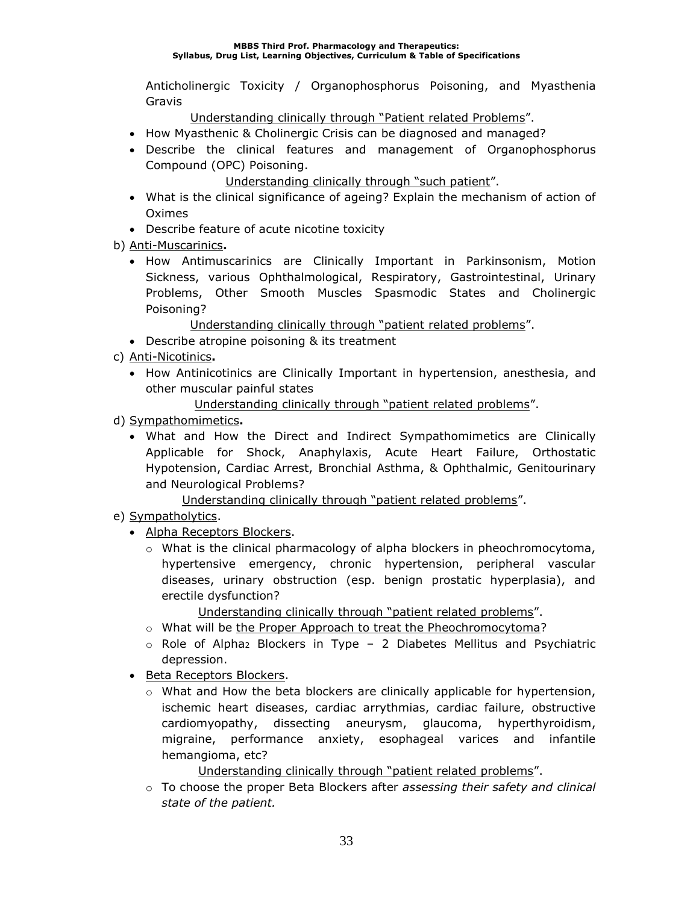Anticholinergic Toxicity / Organophosphorus Poisoning, and Myasthenia Gravis

Understanding clinically through "Patient related Problems".

- How Myasthenic & Cholinergic Crisis can be diagnosed and managed?
- Describe the clinical features and management of Organophosphorus Compound (OPC) Poisoning.

Understanding clinically through "such patient".

- What is the clinical significance of ageing? Explain the mechanism of action of Oximes
- Describe feature of acute nicotine toxicity
- b) Anti-Muscarinics**.**
	- How Antimuscarinics are Clinically Important in Parkinsonism, Motion Sickness, various Ophthalmological, Respiratory, Gastrointestinal, Urinary Problems, Other Smooth Muscles Spasmodic States and Cholinergic Poisoning?

Understanding clinically through "patient related problems".

- Describe atropine poisoning & its treatment
- c) Anti-Nicotinics**.**
	- How Antinicotinics are Clinically Important in hypertension, anesthesia, and other muscular painful states

Understanding clinically through "patient related problems".

- d) Sympathomimetics**.**
	- What and How the Direct and Indirect Sympathomimetics are Clinically Applicable for Shock, Anaphylaxis, Acute Heart Failure, Orthostatic Hypotension, Cardiac Arrest, Bronchial Asthma, & Ophthalmic, Genitourinary and Neurological Problems?

Understanding clinically through "patient related problems".

- e) Sympatholytics.
	- Alpha Receptors Blockers.
		- $\circ$  What is the clinical pharmacology of alpha blockers in pheochromocytoma, hypertensive emergency, chronic hypertension, peripheral vascular diseases, urinary obstruction (esp. benign prostatic hyperplasia), and erectile dysfunction?

Understanding clinically through "patient related problems".

- $\circ$  What will be the Proper Approach to treat the Pheochromocytoma?
- $\circ$  Role of Alpha<sub>2</sub> Blockers in Type 2 Diabetes Mellitus and Psychiatric depression.
- Beta Receptors Blockers.
	- $\circ$  What and How the beta blockers are clinically applicable for hypertension, ischemic heart diseases, cardiac arrythmias, cardiac failure, obstructive cardiomyopathy, dissecting aneurysm, glaucoma, hyperthyroidism, migraine, performance anxiety, esophageal varices and infantile hemangioma, etc?

Understanding clinically through "patient related problems".

o To choose the proper Beta Blockers after *assessing their safety and clinical state of the patient.*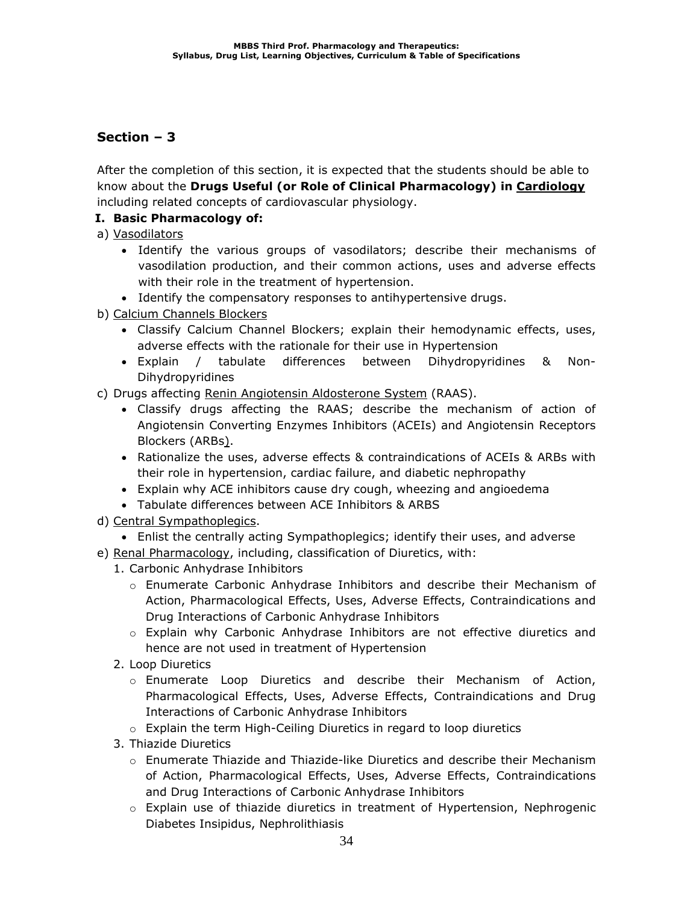After the completion of this section, it is expected that the students should be able to know about the **Drugs Useful (or Role of Clinical Pharmacology) in Cardiology** including related concepts of cardiovascular physiology.

### **I. Basic Pharmacology of:**

a) Vasodilators

- Identify the various groups of vasodilators; describe their mechanisms of vasodilation production, and their common actions, uses and adverse effects with their role in the treatment of hypertension.
- Identify the compensatory responses to antihypertensive drugs.
- b) Calcium Channels Blockers
	- Classify Calcium Channel Blockers; explain their hemodynamic effects, uses, adverse effects with the rationale for their use in Hypertension
	- Explain / tabulate differences between Dihydropyridines & Non-Dihydropyridines
- c) Drugs affecting Renin Angiotensin Aldosterone System (RAAS).
	- Classify drugs affecting the RAAS; describe the mechanism of action of Angiotensin Converting Enzymes Inhibitors (ACEIs) and Angiotensin Receptors Blockers (ARBs).
	- Rationalize the uses, adverse effects & contraindications of ACEIs & ARBs with their role in hypertension, cardiac failure, and diabetic nephropathy
	- Explain why ACE inhibitors cause dry cough, wheezing and angioedema
	- Tabulate differences between ACE Inhibitors & ARBS
- d) Central Sympathoplegics.
	- Enlist the centrally acting Sympathoplegics; identify their uses, and adverse
- e) Renal Pharmacology, including, classification of Diuretics, with:
	- 1. Carbonic Anhydrase Inhibitors
		- o Enumerate Carbonic Anhydrase Inhibitors and describe their Mechanism of Action, Pharmacological Effects, Uses, Adverse Effects, Contraindications and Drug Interactions of Carbonic Anhydrase Inhibitors
		- o Explain why Carbonic Anhydrase Inhibitors are not effective diuretics and hence are not used in treatment of Hypertension
	- 2. Loop Diuretics
		- o Enumerate Loop Diuretics and describe their Mechanism of Action, Pharmacological Effects, Uses, Adverse Effects, Contraindications and Drug Interactions of Carbonic Anhydrase Inhibitors
		- o Explain the term High-Ceiling Diuretics in regard to loop diuretics
	- 3. Thiazide Diuretics
		- $\circ$  Enumerate Thiazide and Thiazide-like Diuretics and describe their Mechanism of Action, Pharmacological Effects, Uses, Adverse Effects, Contraindications and Drug Interactions of Carbonic Anhydrase Inhibitors
		- o Explain use of thiazide diuretics in treatment of Hypertension, Nephrogenic Diabetes Insipidus, Nephrolithiasis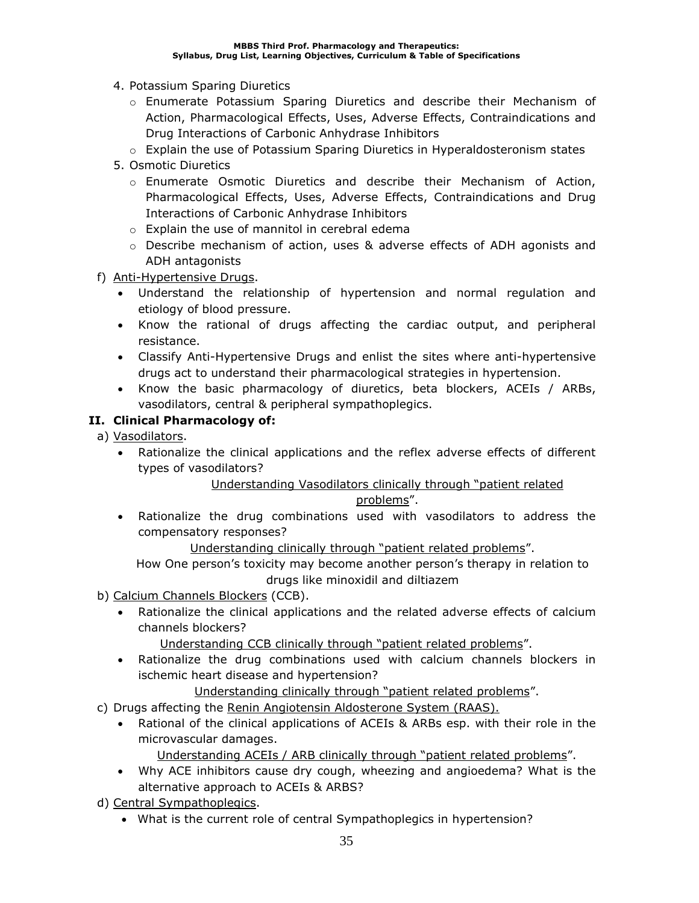- 4. Potassium Sparing Diuretics
	- o Enumerate Potassium Sparing Diuretics and describe their Mechanism of Action, Pharmacological Effects, Uses, Adverse Effects, Contraindications and Drug Interactions of Carbonic Anhydrase Inhibitors
	- o Explain the use of Potassium Sparing Diuretics in Hyperaldosteronism states
- 5. Osmotic Diuretics
	- o Enumerate Osmotic Diuretics and describe their Mechanism of Action, Pharmacological Effects, Uses, Adverse Effects, Contraindications and Drug Interactions of Carbonic Anhydrase Inhibitors
	- o Explain the use of mannitol in cerebral edema
	- o Describe mechanism of action, uses & adverse effects of ADH agonists and ADH antagonists
- f) Anti-Hypertensive Drugs.
	- Understand the relationship of hypertension and normal regulation and etiology of blood pressure.
	- Know the rational of drugs affecting the cardiac output, and peripheral resistance.
	- Classify Anti-Hypertensive Drugs and enlist the sites where anti-hypertensive drugs act to understand their pharmacological strategies in hypertension.
	- Know the basic pharmacology of diuretics, beta blockers, ACEIs / ARBs, vasodilators, central & peripheral sympathoplegics.

### **II. Clinical Pharmacology of:**

- a) Vasodilators.
	- Rationalize the clinical applications and the reflex adverse effects of different types of vasodilators?

### Understanding Vasodilators clinically through "patient related

### problems".

• Rationalize the drug combinations used with vasodilators to address the compensatory responses?

Understanding clinically through "patient related problems".

How One person's toxicity may become another person's therapy in relation to drugs like minoxidil and diltiazem

- b) Calcium Channels Blockers (CCB).
	- Rationalize the clinical applications and the related adverse effects of calcium channels blockers?

Understanding CCB clinically through "patient related problems".

• Rationalize the drug combinations used with calcium channels blockers in ischemic heart disease and hypertension?

Understanding clinically through "patient related problems".

- c) Drugs affecting the Renin Angiotensin Aldosterone System (RAAS).
	- Rational of the clinical applications of ACEIs & ARBs esp. with their role in the microvascular damages.

Understanding ACEIs / ARB clinically through "patient related problems".

- Why ACE inhibitors cause dry cough, wheezing and angioedema? What is the alternative approach to ACEIs & ARBS?
- d) Central Sympathoplegics.
	- What is the current role of central Sympathoplegics in hypertension?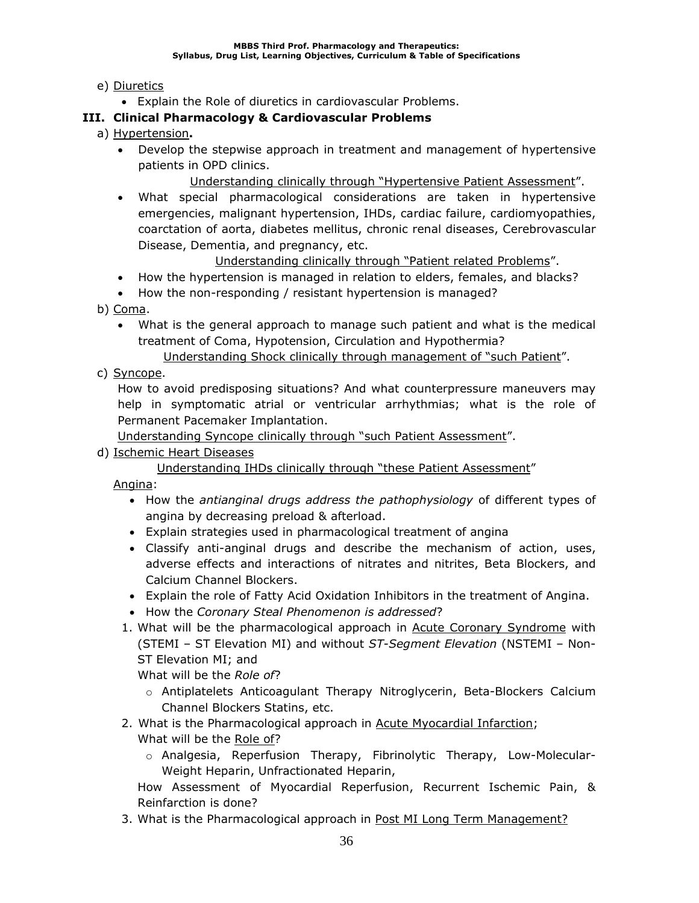## e) Diuretics

• Explain the Role of diuretics in cardiovascular Problems.

## **III. Clinical Pharmacology & Cardiovascular Problems**

- a) Hypertension**.**
	- Develop the stepwise approach in treatment and management of hypertensive patients in OPD clinics.
		- Understanding clinically through "Hypertensive Patient Assessment".
	- What special pharmacological considerations are taken in hypertensive emergencies, malignant hypertension, IHDs, cardiac failure, cardiomyopathies, coarctation of aorta, diabetes mellitus, chronic renal diseases, Cerebrovascular Disease, Dementia, and pregnancy, etc.

Understanding clinically through "Patient related Problems".

- How the hypertension is managed in relation to elders, females, and blacks?
- How the non-responding / resistant hypertension is managed?
- b) Coma.
	- What is the general approach to manage such patient and what is the medical treatment of Coma, Hypotension, Circulation and Hypothermia?
		- Understanding Shock clinically through management of "such Patient".
- c) Syncope.

How to avoid predisposing situations? And what counterpressure maneuvers may help in symptomatic atrial or ventricular arrhythmias; what is the role of Permanent Pacemaker Implantation.

Understanding Syncope clinically through "such Patient Assessment".

d) Ischemic Heart Diseases

Understanding IHDs clinically through "these Patient Assessment"

Angina:

- How the *antianginal drugs address the pathophysiology* of different types of angina by decreasing preload & afterload.
- Explain strategies used in pharmacological treatment of angina
- Classify anti-anginal drugs and describe the mechanism of action, uses, adverse effects and interactions of nitrates and nitrites, Beta Blockers, and Calcium Channel Blockers.
- Explain the role of Fatty Acid Oxidation Inhibitors in the treatment of Angina.
- How the *Coronary Steal Phenomenon is addressed*?
- 1. What will be the pharmacological approach in Acute Coronary Syndrome with (STEMI – ST Elevation MI) and without *ST-Segment Elevation* (NSTEMI – Non-ST Elevation MI; and

What will be the *Role of*?

- o Antiplatelets Anticoagulant Therapy Nitroglycerin, Beta-Blockers Calcium Channel Blockers Statins, etc.
- 2. What is the Pharmacological approach in Acute Myocardial Infarction; What will be the Role of?
	- o Analgesia, Reperfusion Therapy, Fibrinolytic Therapy, Low-Molecular-Weight Heparin, Unfractionated Heparin,

How Assessment of Myocardial Reperfusion, Recurrent Ischemic Pain, & Reinfarction is done?

3. What is the Pharmacological approach in Post MI Long Term Management?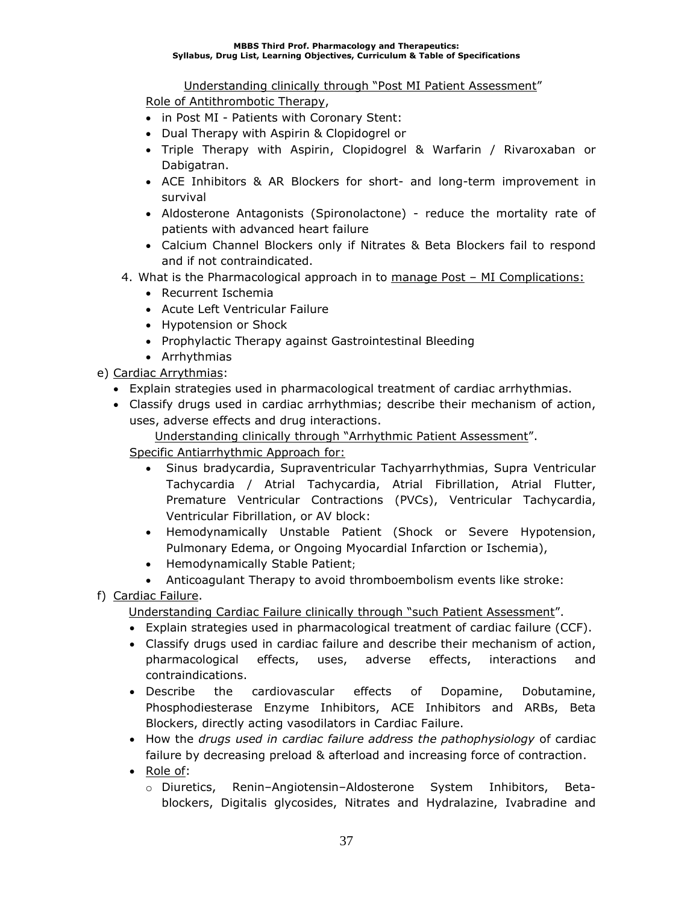Understanding clinically through "Post MI Patient Assessment"

Role of Antithrombotic Therapy,

- in Post MI Patients with Coronary Stent:
- Dual Therapy with Aspirin & Clopidogrel or
- Triple Therapy with Aspirin, Clopidogrel & Warfarin / Rivaroxaban or Dabigatran.
- ACE Inhibitors & AR Blockers for short- and long-term improvement in survival
- Aldosterone Antagonists (Spironolactone) reduce the mortality rate of patients with advanced heart failure
- Calcium Channel Blockers only if Nitrates & Beta Blockers fail to respond and if not contraindicated.
- 4. What is the Pharmacological approach in to manage Post MI Complications:
	- Recurrent Ischemia
	- Acute Left Ventricular Failure
	- Hypotension or Shock
	- Prophylactic Therapy against Gastrointestinal Bleeding
- Arrhythmias
- e) Cardiac Arrythmias:
	- Explain strategies used in pharmacological treatment of cardiac arrhythmias.
	- Classify drugs used in cardiac arrhythmias; describe their mechanism of action, uses, adverse effects and drug interactions.

Understanding clinically through "Arrhythmic Patient Assessment".

Specific Antiarrhythmic Approach for:

- Sinus bradycardia, Supraventricular Tachyarrhythmias, Supra Ventricular Tachycardia / Atrial Tachycardia, Atrial Fibrillation, Atrial Flutter, Premature Ventricular Contractions (PVCs), Ventricular Tachycardia, Ventricular Fibrillation, or AV block:
- Hemodynamically Unstable Patient (Shock or Severe Hypotension, Pulmonary Edema, or Ongoing Myocardial Infarction or Ischemia),
- Hemodynamically Stable Patient;
- Anticoagulant Therapy to avoid thromboembolism events like stroke:
- f) Cardiac Failure.

Understanding Cardiac Failure clinically through "such Patient Assessment".

- Explain strategies used in pharmacological treatment of cardiac failure (CCF).
- Classify drugs used in cardiac failure and describe their mechanism of action, pharmacological effects, uses, adverse effects, interactions and contraindications.
- Describe the cardiovascular effects of Dopamine, Dobutamine, Phosphodiesterase Enzyme Inhibitors, ACE Inhibitors and ARBs, Beta Blockers, directly acting vasodilators in Cardiac Failure.
- How the *drugs used in cardiac failure address the pathophysiology* of cardiac failure by decreasing preload & afterload and increasing force of contraction.
- Role of:
	- o Diuretics, Renin–Angiotensin–Aldosterone System Inhibitors, Betablockers, Digitalis glycosides, Nitrates and Hydralazine, Ivabradine and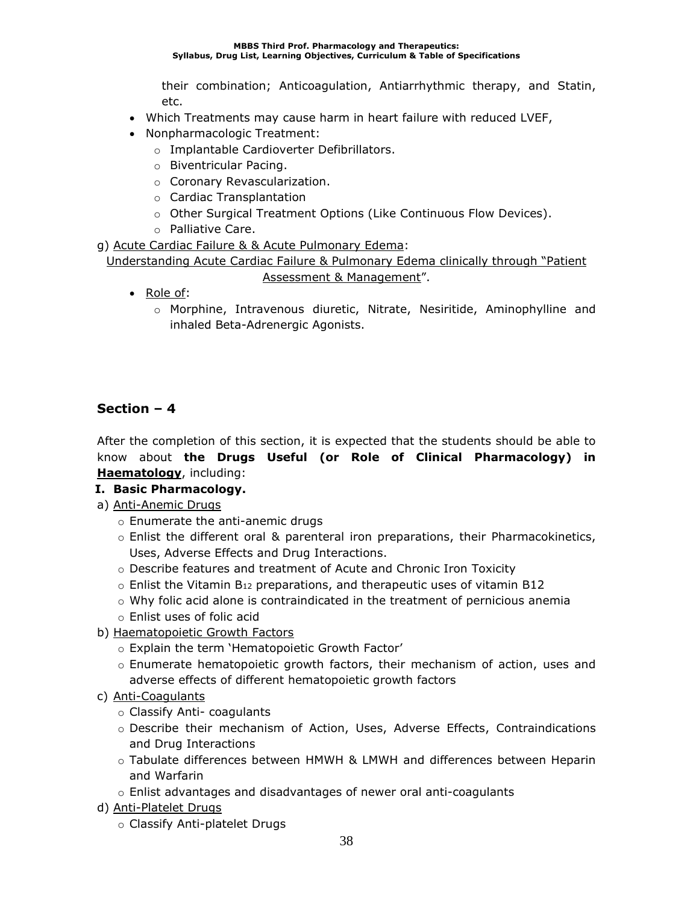their combination; Anticoagulation, Antiarrhythmic therapy, and Statin, etc.

- Which Treatments may cause harm in heart failure with reduced LVEF,
- Nonpharmacologic Treatment:
	- o Implantable Cardioverter Defibrillators.
	- o Biventricular Pacing.
	- o Coronary Revascularization.
	- o Cardiac Transplantation
	- o Other Surgical Treatment Options (Like Continuous Flow Devices).
	- o Palliative Care.

g) Acute Cardiac Failure & & Acute Pulmonary Edema:

Understanding Acute Cardiac Failure & Pulmonary Edema clinically through "Patient Assessment & Management".

- Role of:
	- o Morphine, Intravenous diuretic, Nitrate, Nesiritide, Aminophylline and inhaled Beta-Adrenergic Agonists.

### **Section – 4**

After the completion of this section, it is expected that the students should be able to know about **the Drugs Useful (or Role of Clinical Pharmacology) in Haematology**, including:

### **I. Basic Pharmacology.**

- a) Anti-Anemic Drugs
	- o Enumerate the anti-anemic drugs
	- o Enlist the different oral & parenteral iron preparations, their Pharmacokinetics, Uses, Adverse Effects and Drug Interactions.
	- o Describe features and treatment of Acute and Chronic Iron Toxicity
	- $\circ$  Enlist the Vitamin B<sub>12</sub> preparations, and therapeutic uses of vitamin B12
	- $\circ$  Why folic acid alone is contraindicated in the treatment of pernicious anemia
	- o Enlist uses of folic acid
- b) Haematopoietic Growth Factors
	- o Explain the term 'Hematopoietic Growth Factor'
	- o Enumerate hematopoietic growth factors, their mechanism of action, uses and adverse effects of different hematopoietic growth factors
- c) Anti-Coagulants
	- o Classify Anti- coagulants
	- o Describe their mechanism of Action, Uses, Adverse Effects, Contraindications and Drug Interactions
	- o Tabulate differences between HMWH & LMWH and differences between Heparin and Warfarin
	- o Enlist advantages and disadvantages of newer oral anti-coagulants
- d) Anti-Platelet Drugs
	- o Classify Anti-platelet Drugs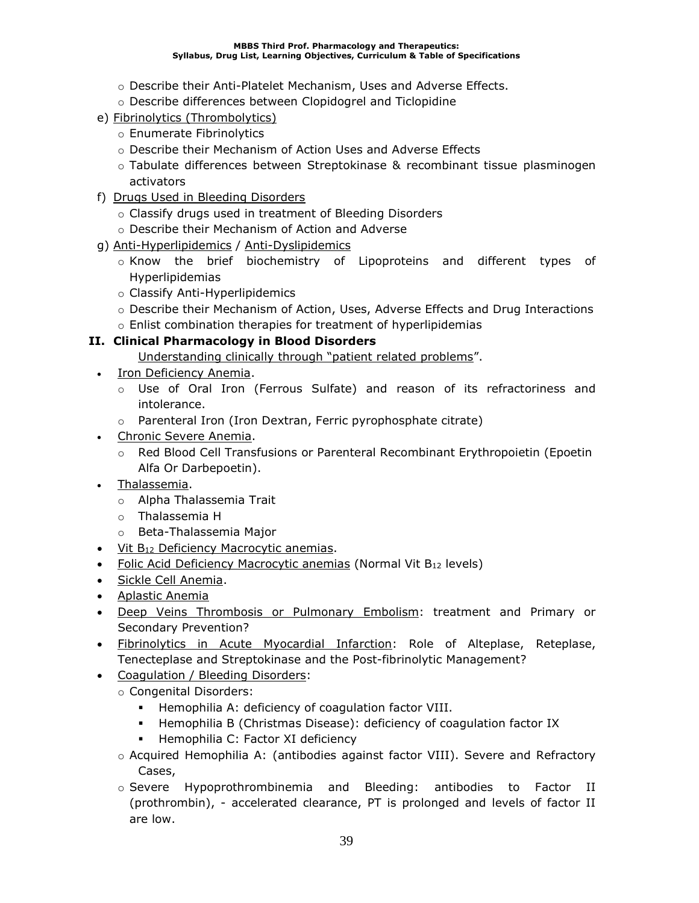- o Describe their Anti-Platelet Mechanism, Uses and Adverse Effects.
- o Describe differences between Clopidogrel and Ticlopidine
- e) Fibrinolytics (Thrombolytics)
	- o Enumerate Fibrinolytics
	- o Describe their Mechanism of Action Uses and Adverse Effects
	- o Tabulate differences between Streptokinase & recombinant tissue plasminogen activators
- f) Drugs Used in Bleeding Disorders
	- o Classify drugs used in treatment of Bleeding Disorders
	- o Describe their Mechanism of Action and Adverse
- g) Anti-Hyperlipidemics / Anti-Dyslipidemics
	- $\circ$  Know the brief biochemistry of Lipoproteins and different types of Hyperlipidemias
	- o Classify Anti-Hyperlipidemics
	- o Describe their Mechanism of Action, Uses, Adverse Effects and Drug Interactions
	- o Enlist combination therapies for treatment of hyperlipidemias

### **II. Clinical Pharmacology in Blood Disorders**

- Understanding clinically through "patient related problems".
- Iron Deficiency Anemia.
	- o Use of Oral Iron (Ferrous Sulfate) and reason of its refractoriness and intolerance.
	- o Parenteral Iron (Iron Dextran, Ferric pyrophosphate citrate)
- Chronic Severe Anemia.
	- o Red Blood Cell Transfusions or Parenteral Recombinant Erythropoietin (Epoetin Alfa Or Darbepoetin).
- Thalassemia.
	- o Alpha Thalassemia Trait
	- o Thalassemia H
	- o Beta-Thalassemia Major
- Vit B<sub>12</sub> Deficiency Macrocytic anemias.
- **Folic Acid Deficiency Macrocytic anemias (Normal Vit B12 levels)**
- Sickle Cell Anemia.
- Aplastic Anemia
- Deep Veins Thrombosis or Pulmonary Embolism: treatment and Primary or Secondary Prevention?
- **Fibrinolytics in Acute Myocardial Infarction:** Role of Alteplase, Reteplase, Tenecteplase and Streptokinase and the Post-fibrinolytic Management?
- Coagulation / Bleeding Disorders:
	- o Congenital Disorders:
		- Hemophilia A: deficiency of coagulation factor VIII.
		- Hemophilia B (Christmas Disease): deficiency of coagulation factor IX
		- Hemophilia C: Factor XI deficiency
	- o Acquired Hemophilia A: (antibodies against factor VIII). Severe and Refractory Cases,
	- o Severe Hypoprothrombinemia and Bleeding: antibodies to Factor II (prothrombin), - accelerated clearance, PT is prolonged and levels of factor II are low.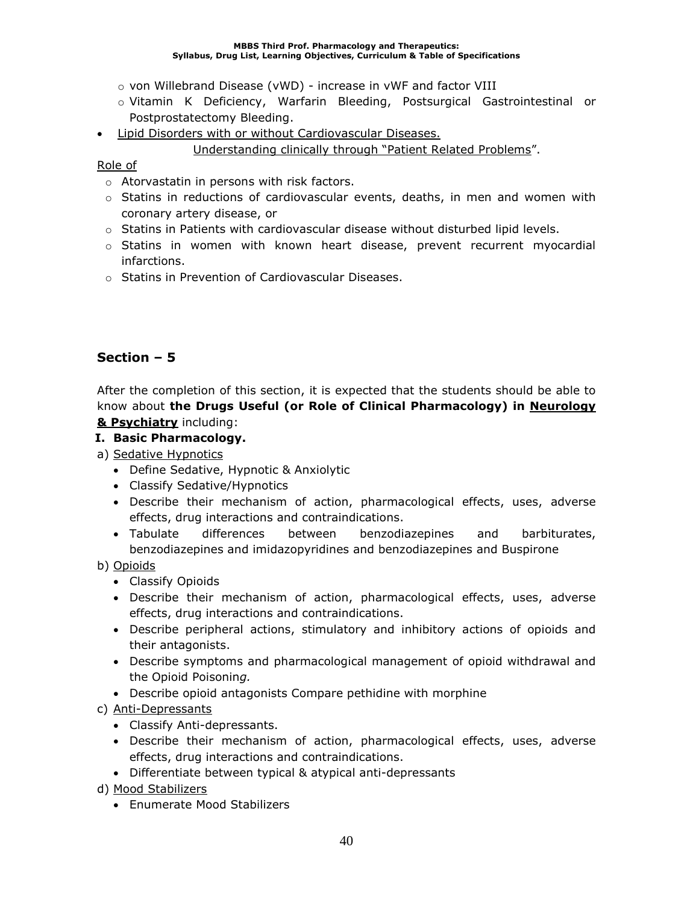- o von Willebrand Disease (vWD) increase in vWF and factor VIII
- o Vitamin K Deficiency, Warfarin Bleeding, Postsurgical Gastrointestinal or Postprostatectomy Bleeding.
- Lipid Disorders with or without Cardiovascular Diseases.

### Understanding clinically through "Patient Related Problems".

### Role of

- o Atorvastatin in persons with risk factors.
- o Statins in reductions of cardiovascular events, deaths, in men and women with coronary artery disease, or
- $\circ$  Statins in Patients with cardiovascular disease without disturbed lipid levels.
- $\circ$  Statins in women with known heart disease, prevent recurrent myocardial infarctions.
- o Statins in Prevention of Cardiovascular Diseases.

## **Section – 5**

After the completion of this section, it is expected that the students should be able to know about **the Drugs Useful (or Role of Clinical Pharmacology) in Neurology & Psychiatry** including:

### **I. Basic Pharmacology.**

- a) Sedative Hypnotics
	- Define Sedative, Hypnotic & Anxiolytic
	- Classify Sedative/Hypnotics
	- Describe their mechanism of action, pharmacological effects, uses, adverse effects, drug interactions and contraindications.
	- Tabulate differences between benzodiazepines and barbiturates, benzodiazepines and imidazopyridines and benzodiazepines and Buspirone

### b) Opioids

- Classify Opioids
- Describe their mechanism of action, pharmacological effects, uses, adverse effects, drug interactions and contraindications.
- Describe peripheral actions, stimulatory and inhibitory actions of opioids and their antagonists.
- Describe symptoms and pharmacological management of opioid withdrawal and the Opioid Poisonin*g.*
- Describe opioid antagonists Compare pethidine with morphine
- c) Anti-Depressants
	- Classify Anti-depressants.
	- Describe their mechanism of action, pharmacological effects, uses, adverse effects, drug interactions and contraindications.
	- Differentiate between typical & atypical anti-depressants

d) Mood Stabilizers

• Enumerate Mood Stabilizers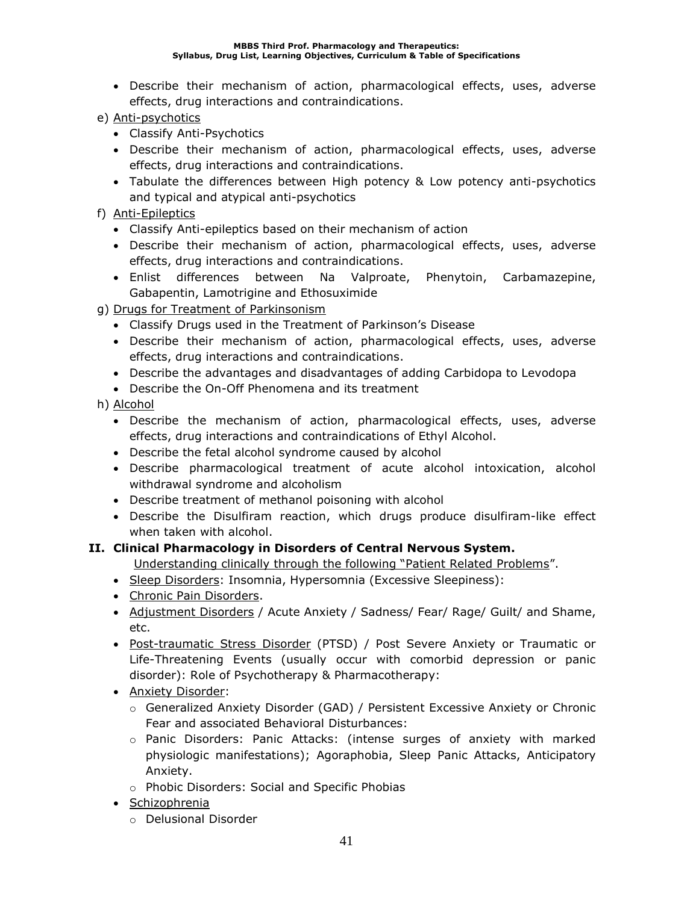- Describe their mechanism of action, pharmacological effects, uses, adverse effects, drug interactions and contraindications.
- e) Anti-psychotics
	- Classify Anti-Psychotics
	- Describe their mechanism of action, pharmacological effects, uses, adverse effects, drug interactions and contraindications.
	- Tabulate the differences between High potency & Low potency anti-psychotics and typical and atypical anti-psychotics
- f) Anti-Epileptics
	- Classify Anti-epileptics based on their mechanism of action
	- Describe their mechanism of action, pharmacological effects, uses, adverse effects, drug interactions and contraindications.
	- Enlist differences between Na Valproate, Phenytoin, Carbamazepine, Gabapentin, Lamotrigine and Ethosuximide
- g) Drugs for Treatment of Parkinsonism
	- Classify Drugs used in the Treatment of Parkinson's Disease
	- Describe their mechanism of action, pharmacological effects, uses, adverse effects, drug interactions and contraindications.
	- Describe the advantages and disadvantages of adding Carbidopa to Levodopa
	- Describe the On-Off Phenomena and its treatment
- h) Alcohol
	- Describe the mechanism of action, pharmacological effects, uses, adverse effects, drug interactions and contraindications of Ethyl Alcohol.
	- Describe the fetal alcohol syndrome caused by alcohol
	- Describe pharmacological treatment of acute alcohol intoxication, alcohol withdrawal syndrome and alcoholism
	- Describe treatment of methanol poisoning with alcohol
	- Describe the Disulfiram reaction, which drugs produce disulfiram-like effect when taken with alcohol.

## **II. Clinical Pharmacology in Disorders of Central Nervous System.**

- Understanding clinically through the following "Patient Related Problems".
- Sleep Disorders: Insomnia, Hypersomnia (Excessive Sleepiness):
- Chronic Pain Disorders.
- Adjustment Disorders / Acute Anxiety / Sadness/ Fear/ Rage/ Guilt/ and Shame, etc.
- Post-traumatic Stress Disorder (PTSD) / Post Severe Anxiety or Traumatic or Life-Threatening Events (usually occur with comorbid depression or panic disorder): Role of Psychotherapy & Pharmacotherapy:
- Anxiety Disorder:
	- o Generalized Anxiety Disorder (GAD) / Persistent Excessive Anxiety or Chronic Fear and associated Behavioral Disturbances:
	- o Panic Disorders: Panic Attacks: (intense surges of anxiety with marked physiologic manifestations); Agoraphobia, Sleep Panic Attacks, Anticipatory Anxiety.
	- o Phobic Disorders: Social and Specific Phobias
- Schizophrenia
	- o Delusional Disorder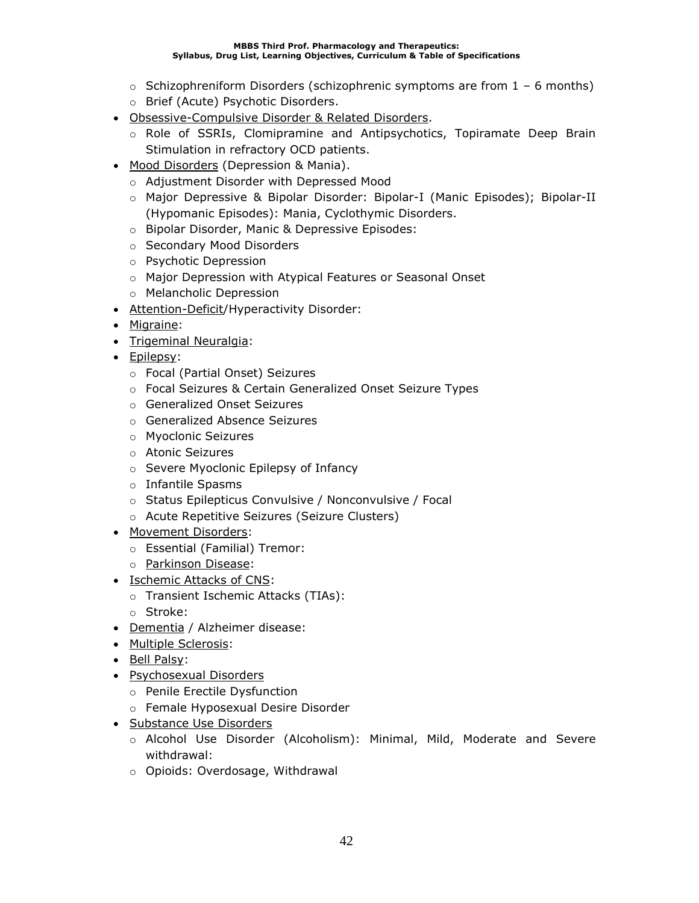- $\circ$  Schizophreniform Disorders (schizophrenic symptoms are from 1 6 months)
- o Brief (Acute) Psychotic Disorders.
- Obsessive-Compulsive Disorder & Related Disorders.
	- $\circ$  Role of SSRIs, Clomipramine and Antipsychotics, Topiramate Deep Brain Stimulation in refractory OCD patients.
- Mood Disorders (Depression & Mania).
	- o Adjustment Disorder with Depressed Mood
	- o Major Depressive & Bipolar Disorder: Bipolar-I (Manic Episodes); Bipolar-II (Hypomanic Episodes): Mania, Cyclothymic Disorders.
	- o Bipolar Disorder, Manic & Depressive Episodes:
	- o Secondary Mood Disorders
	- o Psychotic Depression
	- o Major Depression with Atypical Features or Seasonal Onset
	- o Melancholic Depression
- Attention-Deficit/Hyperactivity Disorder:
- Migraine:
- Trigeminal Neuralgia:
- Epilepsy:
	- o Focal (Partial Onset) Seizures
	- o Focal Seizures & Certain Generalized Onset Seizure Types
	- o Generalized Onset Seizures
	- o Generalized Absence Seizures
	- o Myoclonic Seizures
	- o Atonic Seizures
	- o Severe Myoclonic Epilepsy of Infancy
	- o Infantile Spasms
	- o Status Epilepticus Convulsive / Nonconvulsive / Focal
	- o Acute Repetitive Seizures (Seizure Clusters)
- Movement Disorders:
	- o Essential (Familial) Tremor:
	- o Parkinson Disease:
- Ischemic Attacks of CNS:
	- o Transient Ischemic Attacks (TIAs):
	- o Stroke:
- Dementia / Alzheimer disease:
- Multiple Sclerosis:
- Bell Palsy:
- Psychosexual Disorders
	- o Penile Erectile Dysfunction
	- o Female Hyposexual Desire Disorder
- Substance Use Disorders
	- o Alcohol Use Disorder (Alcoholism): Minimal, Mild, Moderate and Severe withdrawal:
	- o Opioids: Overdosage, Withdrawal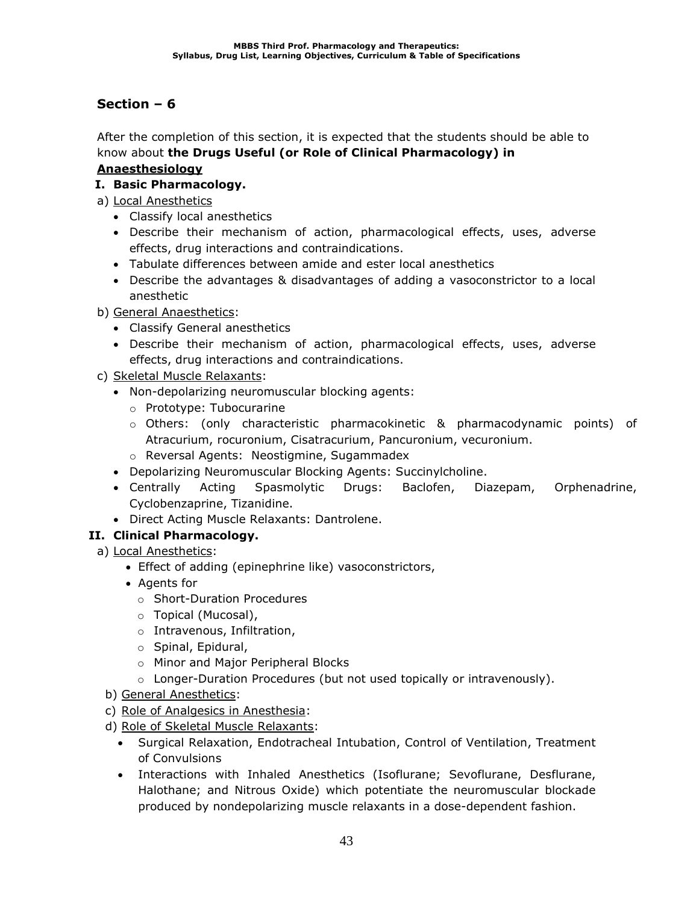After the completion of this section, it is expected that the students should be able to know about **the Drugs Useful (or Role of Clinical Pharmacology) in Anaesthesiology**

## **I. Basic Pharmacology.**

- a) Local Anesthetics
	- Classify local anesthetics
	- Describe their mechanism of action, pharmacological effects, uses, adverse effects, drug interactions and contraindications.
	- Tabulate differences between amide and ester local anesthetics
	- Describe the advantages & disadvantages of adding a vasoconstrictor to a local anesthetic
- b) General Anaesthetics:
	- Classify General anesthetics
	- Describe their mechanism of action, pharmacological effects, uses, adverse effects, drug interactions and contraindications.
- c) Skeletal Muscle Relaxants:
	- Non-depolarizing neuromuscular blocking agents:
		- o Prototype: Tubocurarine
		- o Others: (only characteristic pharmacokinetic & pharmacodynamic points) of Atracurium, rocuronium, Cisatracurium, Pancuronium, vecuronium.
		- o Reversal Agents: Neostigmine, Sugammadex
	- Depolarizing Neuromuscular Blocking Agents: Succinylcholine.
	- Centrally Acting Spasmolytic Drugs: Baclofen, Diazepam, Orphenadrine, Cyclobenzaprine, Tizanidine.
	- Direct Acting Muscle Relaxants: Dantrolene.

## **II. Clinical Pharmacology.**

- a) Local Anesthetics:
	- Effect of adding (epinephrine like) vasoconstrictors,
	- Agents for
		- o Short-Duration Procedures
		- o Topical (Mucosal),
		- o Intravenous, Infiltration,
		- o Spinal, Epidural,
		- o Minor and Major Peripheral Blocks
		- $\circ$  Longer-Duration Procedures (but not used topically or intravenously).
	- b) General Anesthetics:
	- c) Role of Analgesics in Anesthesia:
	- d) Role of Skeletal Muscle Relaxants:
		- Surgical Relaxation, Endotracheal Intubation, Control of Ventilation, Treatment of Convulsions
		- Interactions with Inhaled Anesthetics (Isoflurane; Sevoflurane, Desflurane, Halothane; and Nitrous Oxide) which potentiate the neuromuscular blockade produced by nondepolarizing muscle relaxants in a dose-dependent fashion.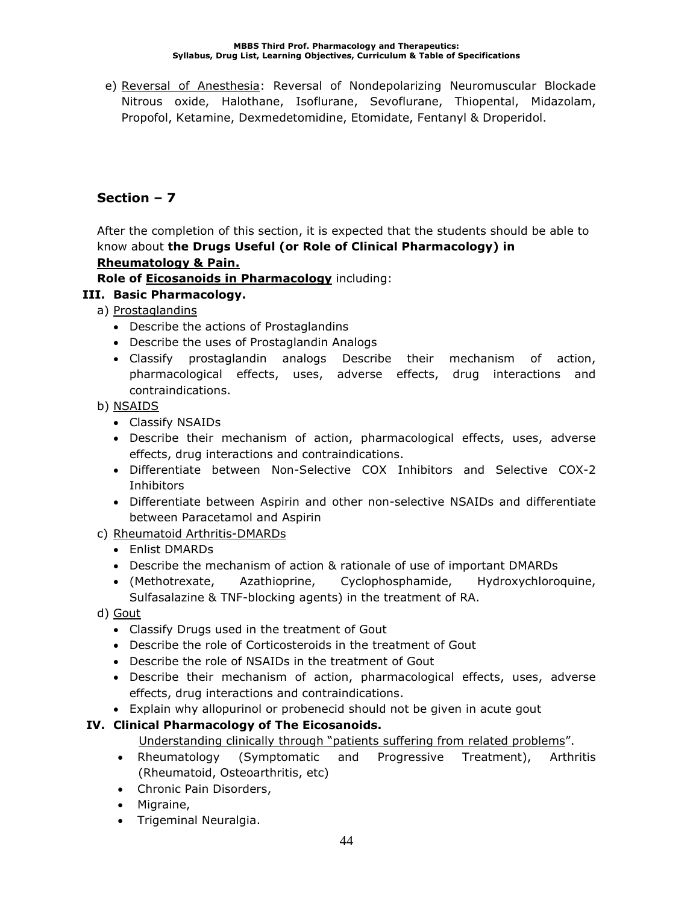e) Reversal of Anesthesia: Reversal of Nondepolarizing Neuromuscular Blockade Nitrous oxide, Halothane, Isoflurane, Sevoflurane, Thiopental, Midazolam, Propofol, Ketamine, Dexmedetomidine, Etomidate, Fentanyl & Droperidol.

# **Section – 7**

After the completion of this section, it is expected that the students should be able to know about **the Drugs Useful (or Role of Clinical Pharmacology) in** 

## **Rheumatology & Pain.**

**Role of Eicosanoids in Pharmacology** including:

## **III. Basic Pharmacology.**

- a) Prostaglandins
	- Describe the actions of Prostaglandins
	- Describe the uses of Prostaglandin Analogs
	- Classify prostaglandin analogs Describe their mechanism of action, pharmacological effects, uses, adverse effects, drug interactions and contraindications.

b) NSAIDS

- Classify NSAIDs
- Describe their mechanism of action, pharmacological effects, uses, adverse effects, drug interactions and contraindications.
- Differentiate between Non-Selective COX Inhibitors and Selective COX-2 **Inhibitors**
- Differentiate between Aspirin and other non-selective NSAIDs and differentiate between Paracetamol and Aspirin

## c) Rheumatoid Arthritis-DMARDs

- Enlist DMARDs
- Describe the mechanism of action & rationale of use of important DMARDs
- (Methotrexate, Azathioprine, Cyclophosphamide, Hydroxychloroquine, Sulfasalazine & TNF-blocking agents) in the treatment of RA.
- d) Gout
	- Classify Drugs used in the treatment of Gout
	- Describe the role of Corticosteroids in the treatment of Gout
	- Describe the role of NSAIDs in the treatment of Gout
	- Describe their mechanism of action, pharmacological effects, uses, adverse effects, drug interactions and contraindications.
	- Explain why allopurinol or probenecid should not be given in acute gout

## **IV. Clinical Pharmacology of The Eicosanoids.**

Understanding clinically through "patients suffering from related problems".

- Rheumatology (Symptomatic and Progressive Treatment), Arthritis (Rheumatoid, Osteoarthritis, etc)
- Chronic Pain Disorders,
- Migraine,
- Trigeminal Neuralgia.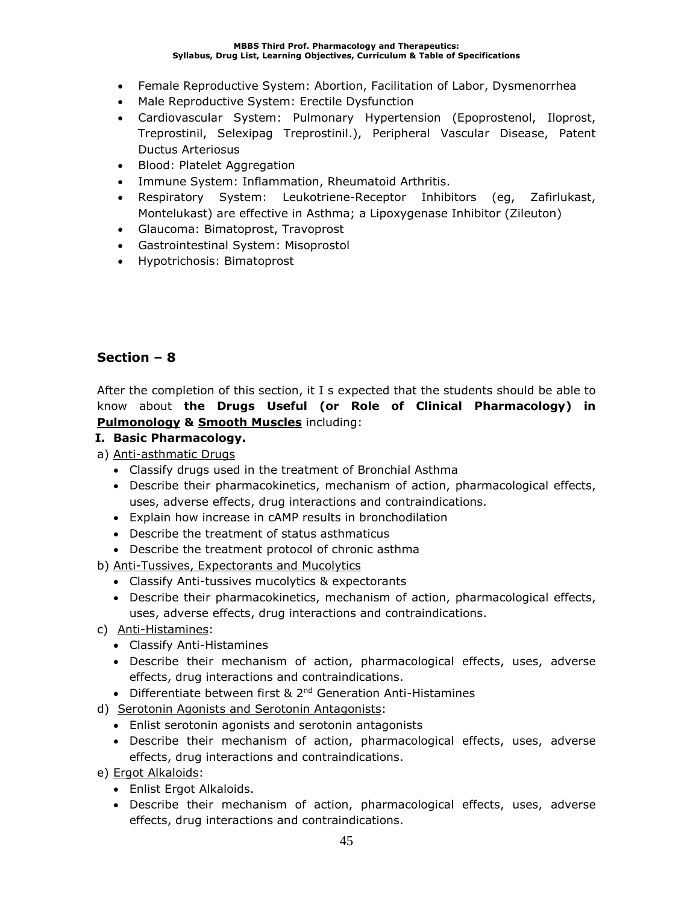- Female Reproductive System: Abortion, Facilitation of Labor, Dysmenorrhea
- Male Reproductive System: Erectile Dysfunction
- Cardiovascular System: Pulmonary Hypertension (Epoprostenol, Iloprost, Treprostinil, Selexipag Treprostinil.), Peripheral Vascular Disease, Patent Ductus Arteriosus
- Blood: Platelet Aggregation
- Immune System: Inflammation, Rheumatoid Arthritis.
- Respiratory System: Leukotriene-Receptor Inhibitors (eg, Zafirlukast, Montelukast) are effective in Asthma; a Lipoxygenase Inhibitor (Zileuton)
- Glaucoma: Bimatoprost, Travoprost
- Gastrointestinal System: Misoprostol
- Hypotrichosis: Bimatoprost

After the completion of this section, it I s expected that the students should be able to know about **the Drugs Useful (or Role of Clinical Pharmacology) in Pulmonology & Smooth Muscles** including:

### **I. Basic Pharmacology.**

- a) Anti-asthmatic Drugs
	- Classify drugs used in the treatment of Bronchial Asthma
	- Describe their pharmacokinetics, mechanism of action, pharmacological effects, uses, adverse effects, drug interactions and contraindications.
	- Explain how increase in cAMP results in bronchodilation
	- Describe the treatment of status asthmaticus
	- Describe the treatment protocol of chronic asthma
- b) Anti-Tussives, Expectorants and Mucolytics
	- Classify Anti-tussives mucolytics & expectorants
	- Describe their pharmacokinetics, mechanism of action, pharmacological effects, uses, adverse effects, drug interactions and contraindications.
- c) Anti-Histamines:
	- Classify Anti-Histamines
	- Describe their mechanism of action, pharmacological effects, uses, adverse effects, drug interactions and contraindications.
	- Differentiate between first & 2<sup>nd</sup> Generation Anti-Histamines
- d) Serotonin Agonists and Serotonin Antagonists:
	- Enlist serotonin agonists and serotonin antagonists
	- Describe their mechanism of action, pharmacological effects, uses, adverse effects, drug interactions and contraindications.
- e) Ergot Alkaloids:
	- Enlist Ergot Alkaloids.
	- Describe their mechanism of action, pharmacological effects, uses, adverse effects, drug interactions and contraindications.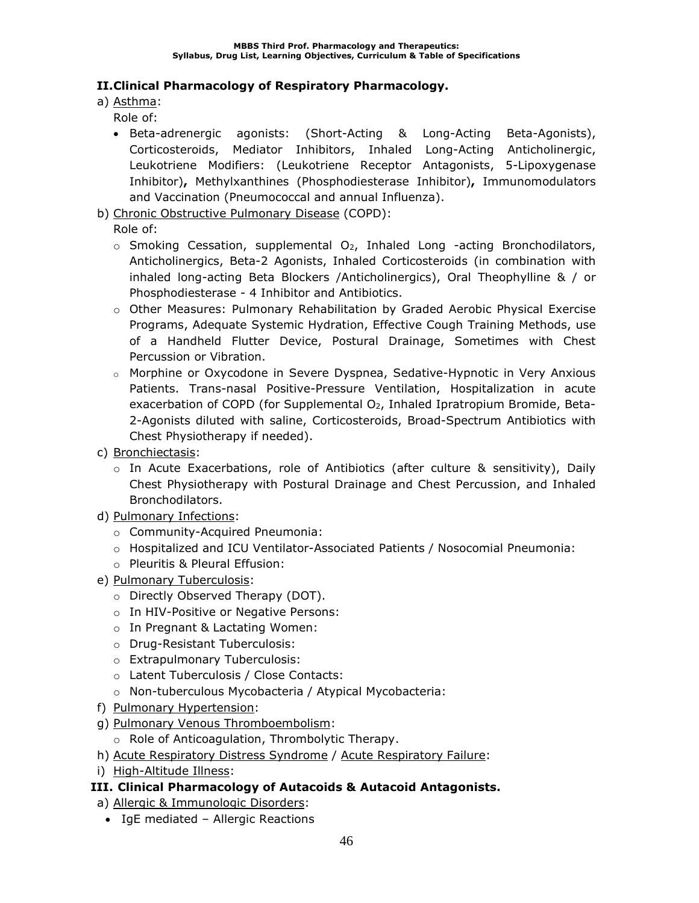## **II.Clinical Pharmacology of Respiratory Pharmacology.**

a) Asthma:

Role of:

- Beta-adrenergic agonists: (Short-Acting & Long-Acting Beta-Agonists), Corticosteroids, Mediator Inhibitors, Inhaled Long-Acting Anticholinergic, Leukotriene Modifiers: (Leukotriene Receptor Antagonists, 5-Lipoxygenase Inhibitor)**,** Methylxanthines (Phosphodiesterase Inhibitor)**,** Immunomodulators and Vaccination (Pneumococcal and annual Influenza).
- b) Chronic Obstructive Pulmonary Disease (COPD):

Role of:

- $\circ$  Smoking Cessation, supplemental O<sub>2</sub>, Inhaled Long -acting Bronchodilators, Anticholinergics, Beta-2 Agonists, Inhaled Corticosteroids (in combination with inhaled long-acting Beta Blockers /Anticholinergics), Oral Theophylline & / or Phosphodiesterase - 4 Inhibitor and Antibiotics.
- o Other Measures: Pulmonary Rehabilitation by Graded Aerobic Physical Exercise Programs, Adequate Systemic Hydration, Effective Cough Training Methods, use of a Handheld Flutter Device, Postural Drainage, Sometimes with Chest Percussion or Vibration.
- o Morphine or Oxycodone in Severe Dyspnea, Sedative-Hypnotic in Very Anxious Patients. Trans-nasal Positive-Pressure Ventilation, Hospitalization in acute exacerbation of COPD (for Supplemental O<sub>2</sub>, Inhaled Ipratropium Bromide, Beta-2-Agonists diluted with saline, Corticosteroids, Broad-Spectrum Antibiotics with Chest Physiotherapy if needed).
- c) Bronchiectasis:
	- $\circ$  In Acute Exacerbations, role of Antibiotics (after culture & sensitivity), Daily Chest Physiotherapy with Postural Drainage and Chest Percussion, and Inhaled Bronchodilators.
- d) Pulmonary Infections:
	- o Community-Acquired Pneumonia:
	- o Hospitalized and ICU Ventilator-Associated Patients / Nosocomial Pneumonia:
	- o Pleuritis & Pleural Effusion:
- e) Pulmonary Tuberculosis:
	- o Directly Observed Therapy (DOT).
	- o In HIV-Positive or Negative Persons:
	- o In Pregnant & Lactating Women:
	- o Drug-Resistant Tuberculosis:
	- o Extrapulmonary Tuberculosis:
	- o Latent Tuberculosis / Close Contacts:
	- o Non-tuberculous Mycobacteria / Atypical Mycobacteria:
- f) Pulmonary Hypertension:
- g) Pulmonary Venous Thromboembolism:
	- o Role of Anticoagulation, Thrombolytic Therapy.
- h) Acute Respiratory Distress Syndrome / Acute Respiratory Failure:
- i) High-Altitude Illness:

## **III. Clinical Pharmacology of Autacoids & Autacoid Antagonists.**

- a) Allergic & Immunologic Disorders:
- IgE mediated Allergic Reactions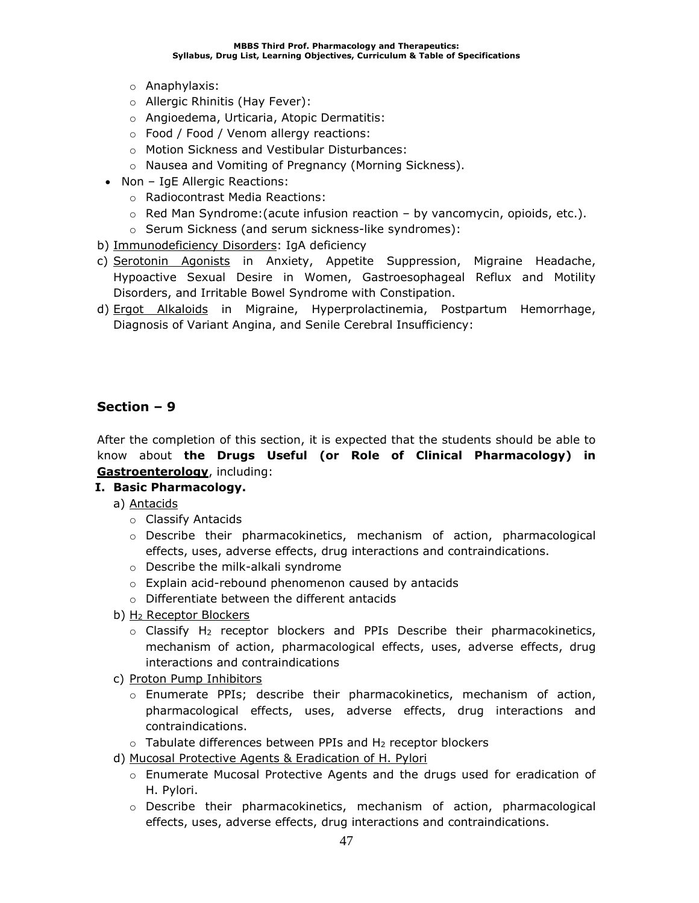- o Anaphylaxis:
- o Allergic Rhinitis (Hay Fever):
- o Angioedema, Urticaria, Atopic Dermatitis:
- o Food / Food / Venom allergy reactions:
- o Motion Sickness and Vestibular Disturbances:
- o Nausea and Vomiting of Pregnancy (Morning Sickness).
- Non IgE Allergic Reactions:
	- o Radiocontrast Media Reactions:
	- $\circ$  Red Man Syndrome: (acute infusion reaction by vancomycin, opioids, etc.).
	- o Serum Sickness (and serum sickness-like syndromes):
- b) Immunodeficiency Disorders: IgA deficiency
- c) Serotonin Agonists in Anxiety, Appetite Suppression, Migraine Headache, Hypoactive Sexual Desire in Women, Gastroesophageal Reflux and Motility Disorders, and Irritable Bowel Syndrome with Constipation.
- d) Ergot Alkaloids in Migraine, Hyperprolactinemia, Postpartum Hemorrhage, Diagnosis of Variant Angina, and Senile Cerebral Insufficiency:

After the completion of this section, it is expected that the students should be able to know about **the Drugs Useful (or Role of Clinical Pharmacology) in Gastroenterology**, including:

### **I. Basic Pharmacology.**

- a) Antacids
	- o Classify Antacids
	- o Describe their pharmacokinetics, mechanism of action, pharmacological effects, uses, adverse effects, drug interactions and contraindications.
	- o Describe the milk-alkali syndrome
	- o Explain acid-rebound phenomenon caused by antacids
	- o Differentiate between the different antacids
- b) H<sup>2</sup> Receptor Blockers
	- $\circ$  Classify H<sub>2</sub> receptor blockers and PPIs Describe their pharmacokinetics, mechanism of action, pharmacological effects, uses, adverse effects, drug interactions and contraindications
- c) Proton Pump Inhibitors
	- o Enumerate PPIs; describe their pharmacokinetics, mechanism of action, pharmacological effects, uses, adverse effects, drug interactions and contraindications.
	- $\circ$  Tabulate differences between PPIs and H<sub>2</sub> receptor blockers
- d) Mucosal Protective Agents & Eradication of H. Pylori
	- o Enumerate Mucosal Protective Agents and the drugs used for eradication of H. Pylori.
	- o Describe their pharmacokinetics, mechanism of action, pharmacological effects, uses, adverse effects, drug interactions and contraindications.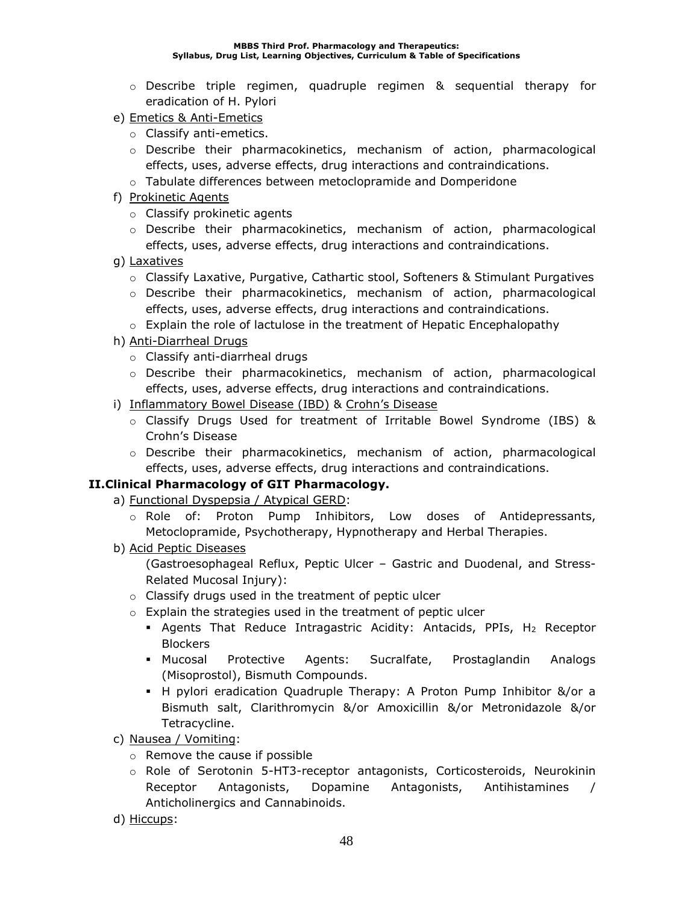- o Describe triple regimen, quadruple regimen & sequential therapy for eradication of H. Pylori
- e) Emetics & Anti-Emetics
	- o Classify anti-emetics.
	- o Describe their pharmacokinetics, mechanism of action, pharmacological effects, uses, adverse effects, drug interactions and contraindications.
	- o Tabulate differences between metoclopramide and Domperidone
- f) Prokinetic Agents
	- o Classify prokinetic agents
	- o Describe their pharmacokinetics, mechanism of action, pharmacological effects, uses, adverse effects, drug interactions and contraindications.
- g) Laxatives
	- $\circ$  Classify Laxative, Purgative, Cathartic stool, Softeners & Stimulant Purgatives
	- o Describe their pharmacokinetics, mechanism of action, pharmacological effects, uses, adverse effects, drug interactions and contraindications.
	- o Explain the role of lactulose in the treatment of Hepatic Encephalopathy
- h) Anti-Diarrheal Drugs
	- o Classify anti-diarrheal drugs
	- o Describe their pharmacokinetics, mechanism of action, pharmacological effects, uses, adverse effects, drug interactions and contraindications.
- i) Inflammatory Bowel Disease (IBD) & Crohn's Disease
	- o Classify Drugs Used for treatment of Irritable Bowel Syndrome (IBS) & Crohn's Disease
	- o Describe their pharmacokinetics, mechanism of action, pharmacological effects, uses, adverse effects, drug interactions and contraindications.

## **II.Clinical Pharmacology of GIT Pharmacology.**

- a) Functional Dyspepsia / Atypical GERD:
	- o Role of: Proton Pump Inhibitors, Low doses of Antidepressants, Metoclopramide, Psychotherapy, Hypnotherapy and Herbal Therapies.
- b) Acid Peptic Diseases

(Gastroesophageal Reflux, Peptic Ulcer – Gastric and Duodenal, and Stress-Related Mucosal Injury):

- o Classify drugs used in the treatment of peptic ulcer
- o Explain the strategies used in the treatment of peptic ulcer
	- **EX Agents That Reduce Intragastric Acidity: Antacids, PPIs, H<sub>2</sub> Receptor** Blockers
	- Mucosal Protective Agents: Sucralfate, Prostaglandin Analogs (Misoprostol), Bismuth Compounds.
	- H pylori eradication Quadruple Therapy: A Proton Pump Inhibitor &/or a Bismuth salt, Clarithromycin &/or Amoxicillin &/or Metronidazole &/or Tetracycline.
- c) Nausea / Vomiting:
	- o Remove the cause if possible
	- o Role of Serotonin 5-HT3-receptor antagonists, Corticosteroids, Neurokinin Receptor Antagonists, Dopamine Antagonists, Antihistamines / Anticholinergics and Cannabinoids.
- d) Hiccups: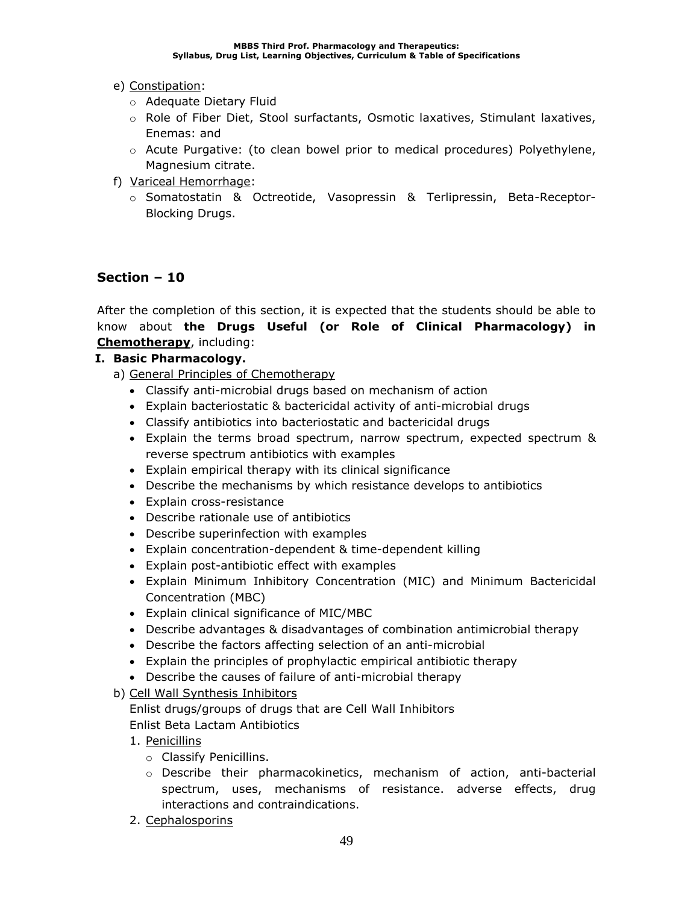### e) Constipation:

- o Adequate Dietary Fluid
- o Role of Fiber Diet, Stool surfactants, Osmotic laxatives, Stimulant laxatives, Enemas: and
- o Acute Purgative: (to clean bowel prior to medical procedures) Polyethylene, Magnesium citrate.
- f) Variceal Hemorrhage:
	- o Somatostatin & Octreotide, Vasopressin & Terlipressin, Beta-Receptor-Blocking Drugs.

## **Section – 10**

After the completion of this section, it is expected that the students should be able to know about **the Drugs Useful (or Role of Clinical Pharmacology) in Chemotherapy**, including:

### **I. Basic Pharmacology.**

- a) General Principles of Chemotherapy
	- Classify anti-microbial drugs based on mechanism of action
	- Explain bacteriostatic & bactericidal activity of anti-microbial drugs
	- Classify antibiotics into bacteriostatic and bactericidal drugs
	- Explain the terms broad spectrum, narrow spectrum, expected spectrum & reverse spectrum antibiotics with examples
	- Explain empirical therapy with its clinical significance
	- Describe the mechanisms by which resistance develops to antibiotics
	- Explain cross-resistance
	- Describe rationale use of antibiotics
	- Describe superinfection with examples
	- Explain concentration-dependent & time-dependent killing
	- Explain post-antibiotic effect with examples
	- Explain Minimum Inhibitory Concentration (MIC) and Minimum Bactericidal Concentration (MBC)
	- Explain clinical significance of MIC/MBC
	- Describe advantages & disadvantages of combination antimicrobial therapy
	- Describe the factors affecting selection of an anti-microbial
	- Explain the principles of prophylactic empirical antibiotic therapy
	- Describe the causes of failure of anti-microbial therapy
- b) Cell Wall Synthesis Inhibitors

Enlist drugs/groups of drugs that are Cell Wall Inhibitors Enlist Beta Lactam Antibiotics

- 1. Penicillins
	- o Classify Penicillins.
	- o Describe their pharmacokinetics, mechanism of action, anti-bacterial spectrum, uses, mechanisms of resistance. adverse effects, drug interactions and contraindications.
- 2. Cephalosporins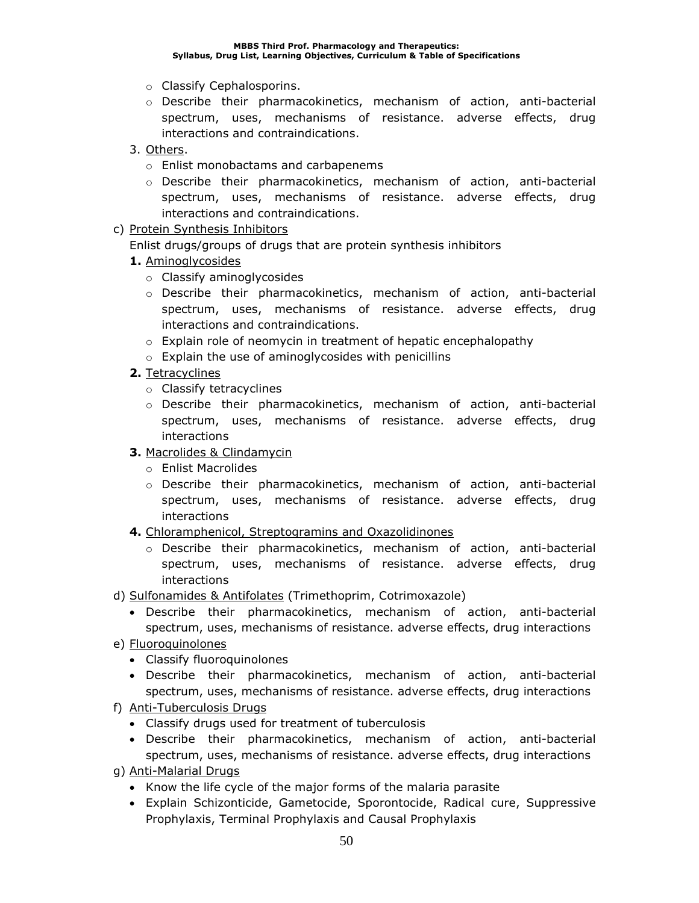- o Classify Cephalosporins.
- o Describe their pharmacokinetics, mechanism of action, anti-bacterial spectrum, uses, mechanisms of resistance. adverse effects, drug interactions and contraindications.
- 3. Others.
	- o Enlist monobactams and carbapenems
	- o Describe their pharmacokinetics, mechanism of action, anti-bacterial spectrum, uses, mechanisms of resistance. adverse effects, drug interactions and contraindications.
- c) Protein Synthesis Inhibitors

Enlist drugs/groups of drugs that are protein synthesis inhibitors

- **1.** Aminoglycosides
	- o Classify aminoglycosides
	- o Describe their pharmacokinetics, mechanism of action, anti-bacterial spectrum, uses, mechanisms of resistance. adverse effects, drug interactions and contraindications.
	- o Explain role of neomycin in treatment of hepatic encephalopathy
	- o Explain the use of aminoglycosides with penicillins
- **2.** Tetracyclines
	- o Classify tetracyclines
	- o Describe their pharmacokinetics, mechanism of action, anti-bacterial spectrum, uses, mechanisms of resistance. adverse effects, drug interactions
- **3.** Macrolides & Clindamycin
	- o Enlist Macrolides
	- o Describe their pharmacokinetics, mechanism of action, anti-bacterial spectrum, uses, mechanisms of resistance. adverse effects, drug interactions
- **4.** Chloramphenicol, Streptogramins and Oxazolidinones
	- o Describe their pharmacokinetics, mechanism of action, anti-bacterial spectrum, uses, mechanisms of resistance. adverse effects, drug interactions
- d) Sulfonamides & Antifolates (Trimethoprim, Cotrimoxazole)
	- Describe their pharmacokinetics, mechanism of action, anti-bacterial spectrum, uses, mechanisms of resistance. adverse effects, drug interactions
- e) Fluoroquinolones
	- Classify fluoroquinolones
	- Describe their pharmacokinetics, mechanism of action, anti-bacterial spectrum, uses, mechanisms of resistance. adverse effects, drug interactions
- f) Anti-Tuberculosis Drugs
	- Classify drugs used for treatment of tuberculosis
	- Describe their pharmacokinetics, mechanism of action, anti-bacterial spectrum, uses, mechanisms of resistance. adverse effects, drug interactions
- g) Anti-Malarial Drugs
	- Know the life cycle of the major forms of the malaria parasite
	- Explain Schizonticide, Gametocide, Sporontocide, Radical cure, Suppressive Prophylaxis, Terminal Prophylaxis and Causal Prophylaxis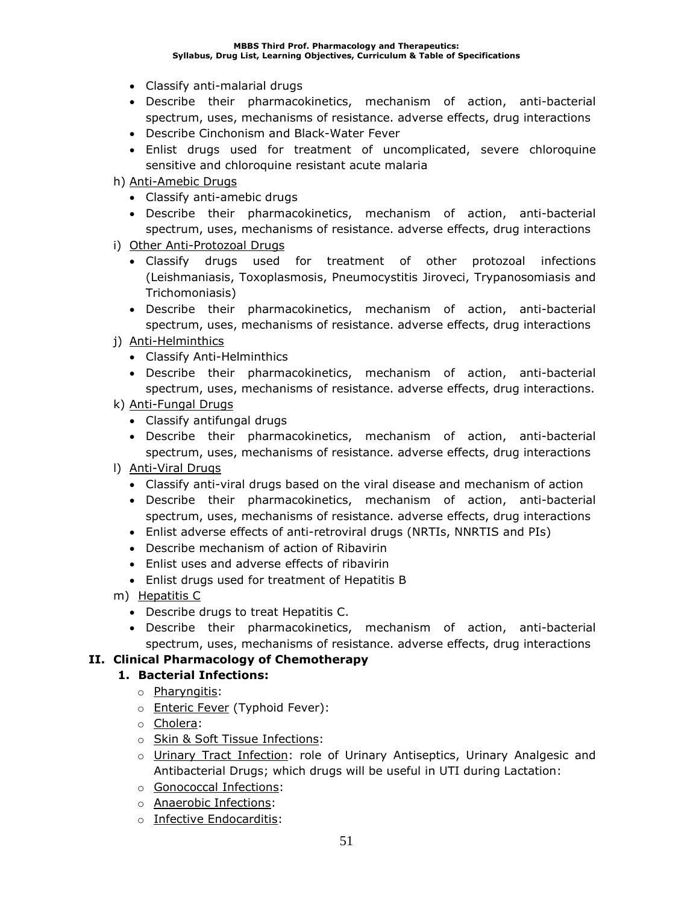#### **MBBS Third Prof. Pharmacology and Therapeutics: Syllabus, Drug List, Learning Objectives, Curriculum & Table of Specifications**

- Classify anti-malarial drugs
- Describe their pharmacokinetics, mechanism of action, anti-bacterial spectrum, uses, mechanisms of resistance. adverse effects, drug interactions
- Describe Cinchonism and Black-Water Fever
- Enlist drugs used for treatment of uncomplicated, severe chloroquine sensitive and chloroquine resistant acute malaria
- h) Anti-Amebic Drugs
	- Classify anti-amebic drugs
	- Describe their pharmacokinetics, mechanism of action, anti-bacterial spectrum, uses, mechanisms of resistance. adverse effects, drug interactions
- i) Other Anti-Protozoal Drugs
	- Classify drugs used for treatment of other protozoal infections (Leishmaniasis, Toxoplasmosis, Pneumocystitis Jiroveci, Trypanosomiasis and Trichomoniasis)
	- Describe their pharmacokinetics, mechanism of action, anti-bacterial spectrum, uses, mechanisms of resistance. adverse effects, drug interactions
- j) Anti-Helminthics
	- Classify Anti-Helminthics
	- Describe their pharmacokinetics, mechanism of action, anti-bacterial spectrum, uses, mechanisms of resistance. adverse effects, drug interactions.
- k) Anti-Fungal Drugs
	- Classify antifungal drugs
	- Describe their pharmacokinetics, mechanism of action, anti-bacterial spectrum, uses, mechanisms of resistance. adverse effects, drug interactions
- l) Anti-Viral Drugs
	- Classify anti-viral drugs based on the viral disease and mechanism of action
	- Describe their pharmacokinetics, mechanism of action, anti-bacterial spectrum, uses, mechanisms of resistance. adverse effects, drug interactions
	- Enlist adverse effects of anti-retroviral drugs (NRTIs, NNRTIS and PIs)
	- Describe mechanism of action of Ribavirin
	- Enlist uses and adverse effects of ribavirin
	- Enlist drugs used for treatment of Hepatitis B
- m) Hepatitis C
	- Describe drugs to treat Hepatitis C.
	- Describe their pharmacokinetics, mechanism of action, anti-bacterial spectrum, uses, mechanisms of resistance. adverse effects, drug interactions

### **II. Clinical Pharmacology of Chemotherapy**

### **1. Bacterial Infections:**

- o Pharyngitis:
- o **Enteric Fever** (Typhoid Fever):
- o Cholera:
- o Skin & Soft Tissue Infections:
- o Urinary Tract Infection: role of Urinary Antiseptics, Urinary Analgesic and Antibacterial Drugs; which drugs will be useful in UTI during Lactation:
- o Gonococcal Infections:
- o Anaerobic Infections:
- o Infective Endocarditis: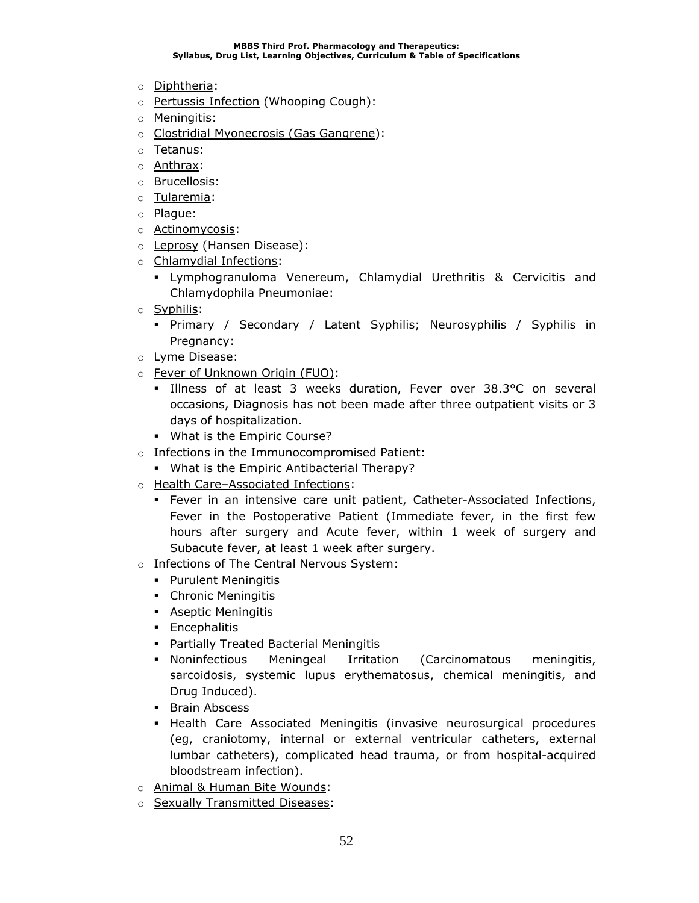- o Diphtheria:
- o Pertussis Infection (Whooping Cough):
- o Meningitis:
- o Clostridial Myonecrosis (Gas Gangrene):
- o Tetanus:
- o Anthrax:
- o Brucellosis:
- o Tularemia:
- o Plague:
- o Actinomycosis:
- o Leprosy (Hansen Disease):
- o Chlamydial Infections:
	- Lymphogranuloma Venereum, Chlamydial Urethritis & Cervicitis and Chlamydophila Pneumoniae:
- o Syphilis:
	- Primary / Secondary / Latent Syphilis; Neurosyphilis / Syphilis in Pregnancy:
- o Lyme Disease:
- o Fever of Unknown Origin (FUO):
	- Illness of at least 3 weeks duration, Fever over 38.3°C on several occasions, Diagnosis has not been made after three outpatient visits or 3 days of hospitalization.
	- What is the Empiric Course?
- o Infections in the Immunocompromised Patient:
- What is the Empiric Antibacterial Therapy?
- o Health Care–Associated Infections:
	- **•** Fever in an intensive care unit patient, Catheter-Associated Infections, Fever in the Postoperative Patient (Immediate fever, in the first few hours after surgery and Acute fever, within 1 week of surgery and Subacute fever, at least 1 week after surgery.
- o Infections of The Central Nervous System:
	- Purulent Meningitis
	- Chronic Meningitis
	- **•** Aseptic Meningitis
	- **•** Encephalitis
	- Partially Treated Bacterial Meningitis
	- Noninfectious Meningeal Irritation (Carcinomatous meningitis, sarcoidosis, systemic lupus erythematosus, chemical meningitis, and Drug Induced).
	- **•** Brain Abscess
	- **EXTE Associated Meningitis (invasive neurosurgical procedures** (eg, craniotomy, internal or external ventricular catheters, external lumbar catheters), complicated head trauma, or from hospital-acquired bloodstream infection).
- o Animal & Human Bite Wounds:
- o Sexually Transmitted Diseases: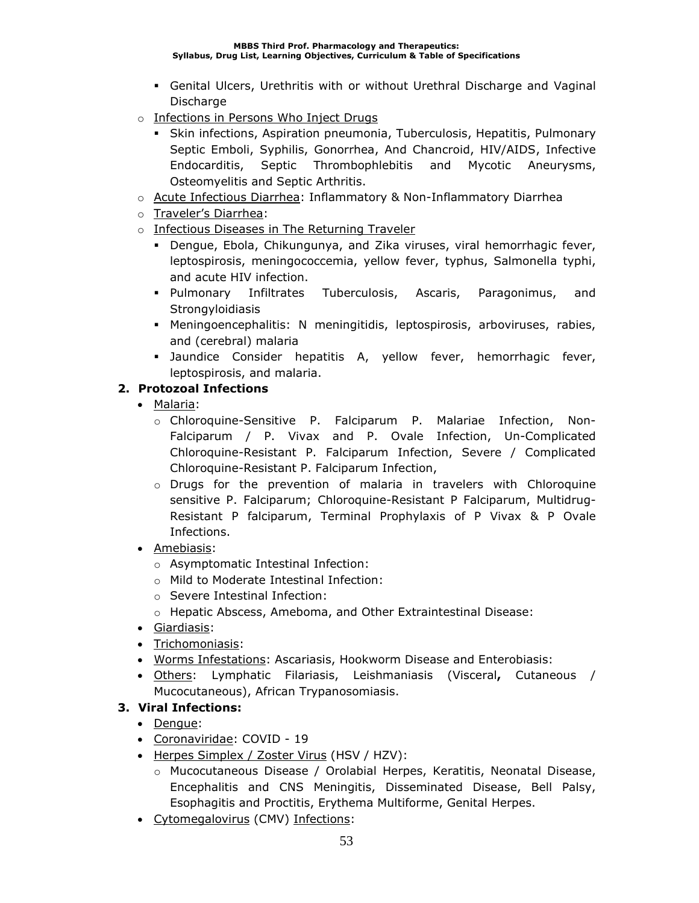- **Genital Ulcers, Urethritis with or without Urethral Discharge and Vaginal Discharge**
- o Infections in Persons Who Inject Drugs
	- **Skin infections, Aspiration pneumonia, Tuberculosis, Hepatitis, Pulmonary** Septic Emboli, Syphilis, Gonorrhea, And Chancroid, HIV/AIDS, Infective Endocarditis, Septic Thrombophlebitis and Mycotic Aneurysms, Osteomyelitis and Septic Arthritis.
- o Acute Infectious Diarrhea: Inflammatory & Non-Inflammatory Diarrhea
- o Traveler's Diarrhea:
- o Infectious Diseases in The Returning Traveler
	- **•** Dengue, Ebola, Chikungunya, and Zika viruses, viral hemorrhagic fever, leptospirosis, meningococcemia, yellow fever, typhus, Salmonella typhi, and acute HIV infection.
	- Pulmonary Infiltrates Tuberculosis, Ascaris, Paragonimus, and **Strongyloidiasis**
	- Meningoencephalitis: N meningitidis, leptospirosis, arboviruses, rabies, and (cerebral) malaria
	- **Jaundice Consider hepatitis A, yellow fever, hemorrhagic fever,** leptospirosis, and malaria.

### **2. Protozoal Infections**

- Malaria:
	- o Chloroquine-Sensitive P. Falciparum P. Malariae Infection, Non-Falciparum / P. Vivax and P. Ovale Infection, Un-Complicated Chloroquine-Resistant P. Falciparum Infection, Severe / Complicated Chloroquine-Resistant P. Falciparum Infection,
	- $\circ$  Drugs for the prevention of malaria in travelers with Chloroquine sensitive P. Falciparum; Chloroquine-Resistant P Falciparum, Multidrug-Resistant P falciparum, Terminal Prophylaxis of P Vivax & P Ovale Infections.
- Amebiasis:
	- o Asymptomatic Intestinal Infection:
	- o Mild to Moderate Intestinal Infection:
	- o Severe Intestinal Infection:
	- o Hepatic Abscess, Ameboma, and Other Extraintestinal Disease:
- Giardiasis:
- Trichomoniasis:
- Worms Infestations: Ascariasis, Hookworm Disease and Enterobiasis:
- Others: Lymphatic Filariasis, Leishmaniasis (Visceral**,** Cutaneous / Mucocutaneous), African Trypanosomiasis.

## **3. Viral Infections:**

- Dengue:
- Coronaviridae: COVID 19
- Herpes Simplex / Zoster Virus (HSV / HZV):
	- o Mucocutaneous Disease / Orolabial Herpes, Keratitis, Neonatal Disease, Encephalitis and CNS Meningitis, Disseminated Disease, Bell Palsy, Esophagitis and Proctitis, Erythema Multiforme, Genital Herpes.
- Cytomegalovirus (CMV) Infections: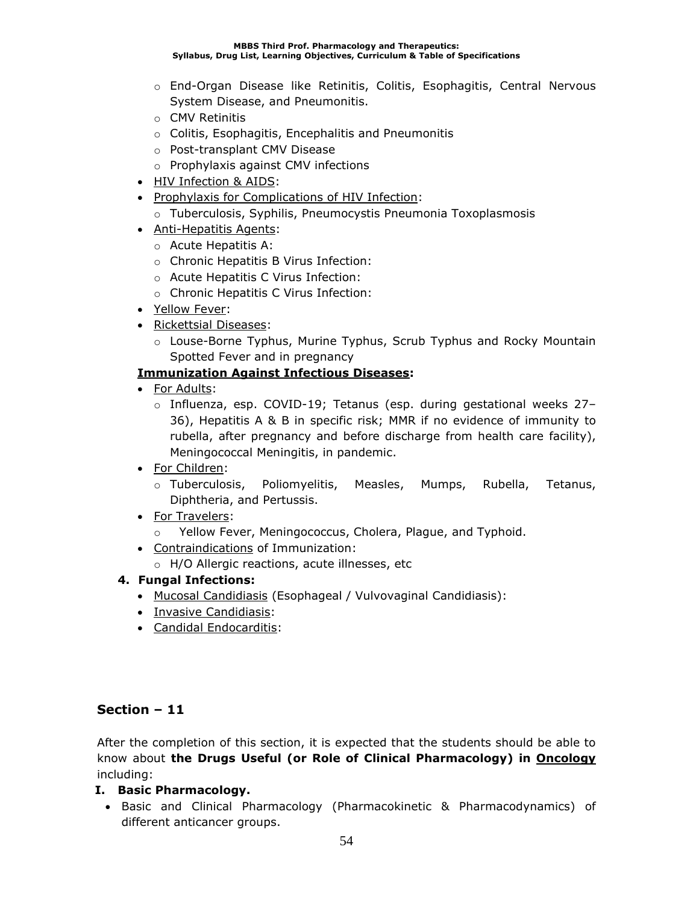- o End-Organ Disease like Retinitis, Colitis, Esophagitis, Central Nervous System Disease, and Pneumonitis.
- o CMV Retinitis
- o Colitis, Esophagitis, Encephalitis and Pneumonitis
- o Post-transplant CMV Disease
- o Prophylaxis against CMV infections
- HIV Infection & AIDS:
- Prophylaxis for Complications of HIV Infection:
	- o Tuberculosis, Syphilis, Pneumocystis Pneumonia Toxoplasmosis
- Anti-Hepatitis Agents:
	- o Acute Hepatitis A:
	- o Chronic Hepatitis B Virus Infection:
	- o Acute Hepatitis C Virus Infection:
	- o Chronic Hepatitis C Virus Infection:
- Yellow Fever:
- Rickettsial Diseases:
	- o Louse-Borne Typhus, Murine Typhus, Scrub Typhus and Rocky Mountain Spotted Fever and in pregnancy

### **Immunization Against Infectious Diseases:**

- For Adults:
	- $\circ$  Influenza, esp. COVID-19; Tetanus (esp. during gestational weeks 27– 36), Hepatitis A & B in specific risk; MMR if no evidence of immunity to rubella, after pregnancy and before discharge from health care facility), Meningococcal Meningitis, in pandemic.
- For Children:
	- o Tuberculosis, Poliomyelitis, Measles, Mumps, Rubella, Tetanus, Diphtheria, and Pertussis.
- For Travelers:
	- o Yellow Fever, Meningococcus, Cholera, Plague, and Typhoid.
- Contraindications of Immunization:
	- o H/O Allergic reactions, acute illnesses, etc

### **4. Fungal Infections:**

- Mucosal Candidiasis (Esophageal / Vulvovaginal Candidiasis):
- Invasive Candidiasis:
- Candidal Endocarditis:

## **Section – 11**

After the completion of this section, it is expected that the students should be able to know about **the Drugs Useful (or Role of Clinical Pharmacology) in Oncology** including:

### **I. Basic Pharmacology.**

• Basic and Clinical Pharmacology (Pharmacokinetic & Pharmacodynamics) of different anticancer groups.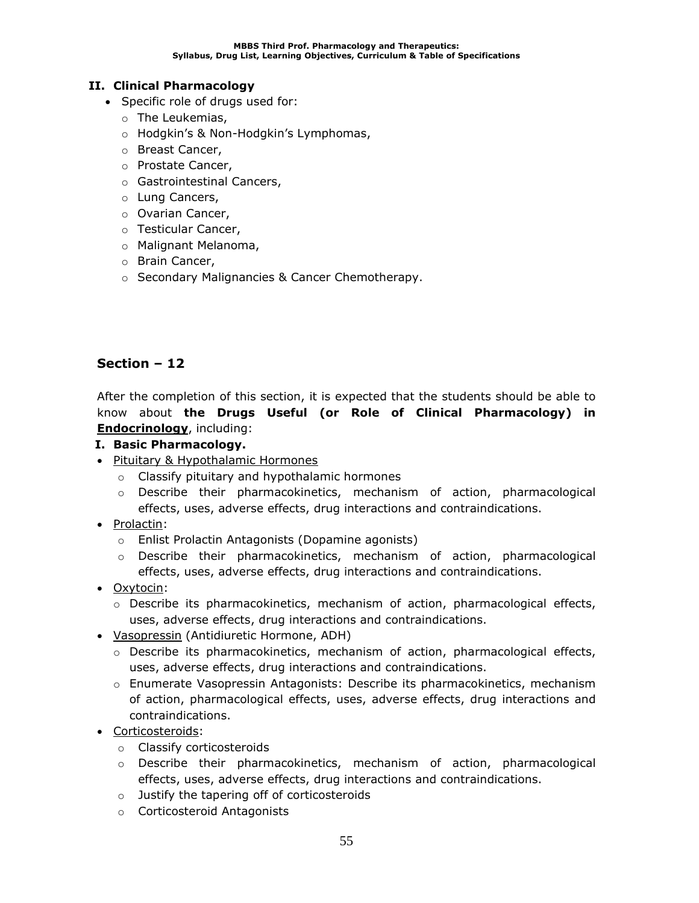### **II. Clinical Pharmacology**

- Specific role of drugs used for:
	- o The Leukemias,
	- o Hodgkin's & Non-Hodgkin's Lymphomas,
	- o Breast Cancer,
	- o Prostate Cancer,
	- o Gastrointestinal Cancers,
	- o Lung Cancers,
	- o Ovarian Cancer,
	- o Testicular Cancer,
	- o Malignant Melanoma,
	- o Brain Cancer,
	- o Secondary Malignancies & Cancer Chemotherapy.

## **Section – 12**

After the completion of this section, it is expected that the students should be able to know about **the Drugs Useful (or Role of Clinical Pharmacology) in Endocrinology**, including:

### **I. Basic Pharmacology.**

- Pituitary & Hypothalamic Hormones
	- o Classify pituitary and hypothalamic hormones
	- o Describe their pharmacokinetics, mechanism of action, pharmacological effects, uses, adverse effects, drug interactions and contraindications.
- Prolactin:
	- o Enlist Prolactin Antagonists (Dopamine agonists)
	- $\circ$  Describe their pharmacokinetics, mechanism of action, pharmacological effects, uses, adverse effects, drug interactions and contraindications.
- Oxytocin:
	- $\circ$  Describe its pharmacokinetics, mechanism of action, pharmacological effects, uses, adverse effects, drug interactions and contraindications.
- Vasopressin (Antidiuretic Hormone, ADH)
	- o Describe its pharmacokinetics, mechanism of action, pharmacological effects, uses, adverse effects, drug interactions and contraindications.
	- o Enumerate Vasopressin Antagonists: Describe its pharmacokinetics, mechanism of action, pharmacological effects, uses, adverse effects, drug interactions and contraindications.
- Corticosteroids:
	- o Classify corticosteroids
	- $\circ$  Describe their pharmacokinetics, mechanism of action, pharmacological effects, uses, adverse effects, drug interactions and contraindications.
	- o Justify the tapering off of corticosteroids
	- o Corticosteroid Antagonists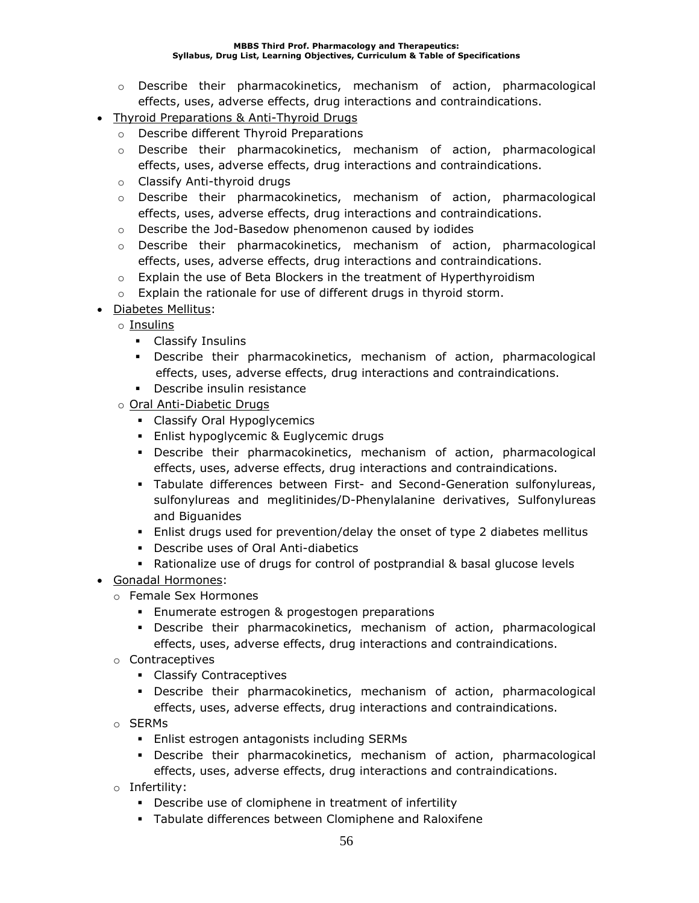- $\circ$  Describe their pharmacokinetics, mechanism of action, pharmacological effects, uses, adverse effects, drug interactions and contraindications.
- Thyroid Preparations & Anti-Thyroid Drugs
	- o Describe different Thyroid Preparations
	- $\circ$  Describe their pharmacokinetics, mechanism of action, pharmacological effects, uses, adverse effects, drug interactions and contraindications.
	- o Classify Anti-thyroid drugs
	- $\circ$  Describe their pharmacokinetics, mechanism of action, pharmacological effects, uses, adverse effects, drug interactions and contraindications.
	- o Describe the Jod-Basedow phenomenon caused by iodides
	- $\circ$  Describe their pharmacokinetics, mechanism of action, pharmacological effects, uses, adverse effects, drug interactions and contraindications.
	- $\circ$  Explain the use of Beta Blockers in the treatment of Hyperthyroidism
	- o Explain the rationale for use of different drugs in thyroid storm.
- Diabetes Mellitus:
	- o Insulins
		- Classify Insulins
		- Describe their pharmacokinetics, mechanism of action, pharmacological effects, uses, adverse effects, drug interactions and contraindications.
		- Describe insulin resistance
	- o Oral Anti-Diabetic Drugs
		- **•** Classify Oral Hypoglycemics
		- Enlist hypoglycemic & Euglycemic drugs
		- Describe their pharmacokinetics, mechanism of action, pharmacological effects, uses, adverse effects, drug interactions and contraindications.
		- Tabulate differences between First- and Second-Generation sulfonylureas, sulfonylureas and meglitinides/D-Phenylalanine derivatives, Sulfonylureas and Biguanides
		- **E** Enlist drugs used for prevention/delay the onset of type 2 diabetes mellitus
		- Describe uses of Oral Anti-diabetics
		- Rationalize use of drugs for control of postprandial & basal glucose levels
- Gonadal Hormones:
	- o Female Sex Hormones
		- **Enumerate estrogen & progestogen preparations**
		- Describe their pharmacokinetics, mechanism of action, pharmacological effects, uses, adverse effects, drug interactions and contraindications.
	- o Contraceptives
		- Classify Contraceptives
		- Describe their pharmacokinetics, mechanism of action, pharmacological effects, uses, adverse effects, drug interactions and contraindications.
	- o SERMs
		- Enlist estrogen antagonists including SERMs
		- Describe their pharmacokinetics, mechanism of action, pharmacological effects, uses, adverse effects, drug interactions and contraindications.
	- o Infertility:
		- Describe use of clomiphene in treatment of infertility
		- Tabulate differences between Clomiphene and Raloxifene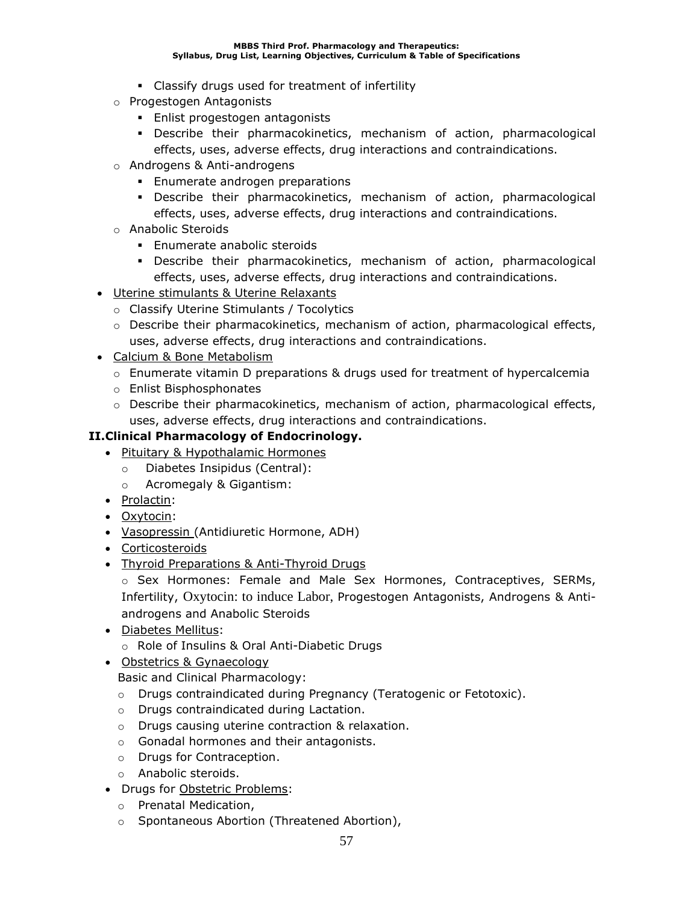- Classify drugs used for treatment of infertility
- o Progestogen Antagonists
	- **Enlist progestogen antagonists**
	- Describe their pharmacokinetics, mechanism of action, pharmacological effects, uses, adverse effects, drug interactions and contraindications.
- o Androgens & Anti-androgens
	- **Enumerate androgen preparations**
	- Describe their pharmacokinetics, mechanism of action, pharmacological effects, uses, adverse effects, drug interactions and contraindications.
- o Anabolic Steroids
	- **Enumerate anabolic steroids**
	- Describe their pharmacokinetics, mechanism of action, pharmacological effects, uses, adverse effects, drug interactions and contraindications.
- Uterine stimulants & Uterine Relaxants
	- o Classify Uterine Stimulants / Tocolytics
	- o Describe their pharmacokinetics, mechanism of action, pharmacological effects, uses, adverse effects, drug interactions and contraindications.
- Calcium & Bone Metabolism
	- $\circ$  Enumerate vitamin D preparations & drugs used for treatment of hypercalcemia
	- o Enlist Bisphosphonates
	- $\circ$  Describe their pharmacokinetics, mechanism of action, pharmacological effects, uses, adverse effects, drug interactions and contraindications.

### **II.Clinical Pharmacology of Endocrinology.**

- Pituitary & Hypothalamic Hormones
	- o Diabetes Insipidus (Central):
	- o Acromegaly & Gigantism:
- Prolactin:
- Oxytocin:
- Vasopressin (Antidiuretic Hormone, ADH)
- Corticosteroids
- Thyroid Preparations & Anti-Thyroid Drugs

o Sex Hormones: Female and Male Sex Hormones, Contraceptives, SERMs, Infertility, Oxytocin: to induce Labor, Progestogen Antagonists, Androgens & Antiandrogens and Anabolic Steroids

- Diabetes Mellitus:
	- o Role of Insulins & Oral Anti-Diabetic Drugs
- Obstetrics & Gynaecology

Basic and Clinical Pharmacology:

- o Drugs contraindicated during Pregnancy (Teratogenic or Fetotoxic).
- o Drugs contraindicated during Lactation.
- o Drugs causing uterine contraction & relaxation.
- o Gonadal hormones and their antagonists.
- o Drugs for Contraception.
- o Anabolic steroids.
- Drugs for Obstetric Problems:
	- o Prenatal Medication,
	- o Spontaneous Abortion (Threatened Abortion),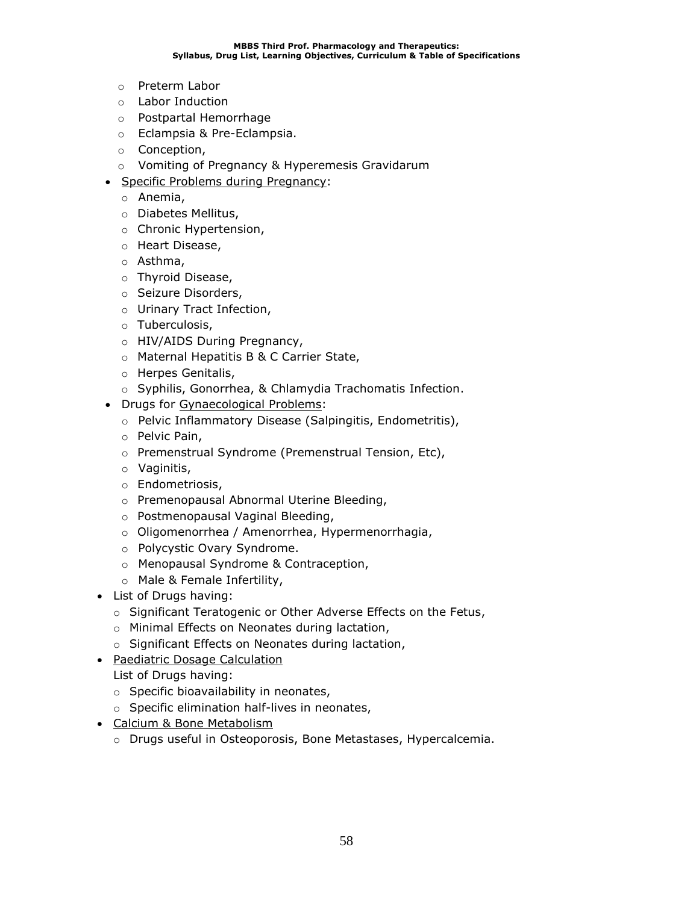- o Preterm Labor
- o Labor Induction
- o Postpartal Hemorrhage
- o Eclampsia & Pre-Eclampsia.
- o Conception,
- o Vomiting of Pregnancy & Hyperemesis Gravidarum
- Specific Problems during Pregnancy:
	- o Anemia,
	- o Diabetes Mellitus,
	- o Chronic Hypertension,
	- o Heart Disease,
	- o Asthma,
	- o Thyroid Disease,
	- o Seizure Disorders,
	- o Urinary Tract Infection,
	- o Tuberculosis,
	- o HIV/AIDS During Pregnancy,
	- o Maternal Hepatitis B & C Carrier State,
	- o Herpes Genitalis,
	- o Syphilis, Gonorrhea, & Chlamydia Trachomatis Infection.
- Drugs for Gynaecological Problems:
	- o Pelvic Inflammatory Disease (Salpingitis, Endometritis),
	- o Pelvic Pain,
	- o Premenstrual Syndrome (Premenstrual Tension, Etc),
	- o Vaginitis,
	- o Endometriosis,
	- o Premenopausal Abnormal Uterine Bleeding,
	- o Postmenopausal Vaginal Bleeding,
	- o Oligomenorrhea / Amenorrhea, Hypermenorrhagia,
	- o Polycystic Ovary Syndrome.
	- o Menopausal Syndrome & Contraception,
	- o Male & Female Infertility,
- List of Drugs having:
	- o Significant Teratogenic or Other Adverse Effects on the Fetus,
	- o Minimal Effects on Neonates during lactation,
	- o Significant Effects on Neonates during lactation,
- Paediatric Dosage Calculation
	- List of Drugs having:
	- o Specific bioavailability in neonates,
	- o Specific elimination half-lives in neonates,
- Calcium & Bone Metabolism
	- o Drugs useful in Osteoporosis, Bone Metastases, Hypercalcemia.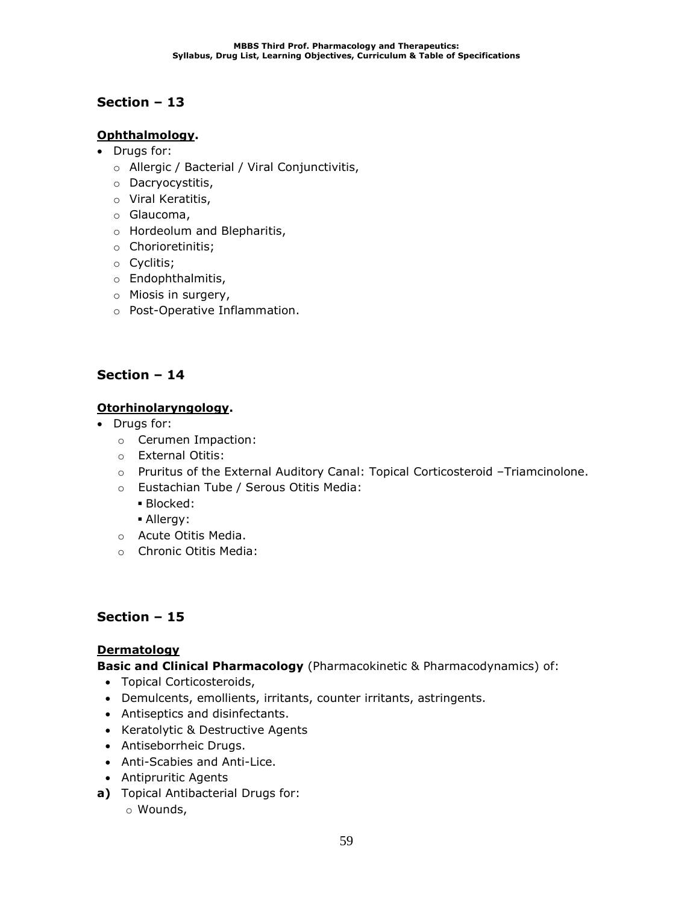## **Ophthalmology.**

- Drugs for:
	- o Allergic / Bacterial / Viral Conjunctivitis,
	- o Dacryocystitis,
	- o Viral Keratitis,
	- o Glaucoma,
	- o Hordeolum and Blepharitis,
	- o Chorioretinitis;
	- o Cyclitis;
	- o Endophthalmitis,
	- o Miosis in surgery,
	- o Post-Operative Inflammation.

## **Section – 14**

## **Otorhinolaryngology.**

- Drugs for:
	- o Cerumen Impaction:
	- o External Otitis:
	- o Pruritus of the External Auditory Canal: Topical Corticosteroid –Triamcinolone.
	- o Eustachian Tube / Serous Otitis Media:
		- Blocked:
		- Allergy:
	- o Acute Otitis Media.
	- o Chronic Otitis Media:

## **Section – 15**

### **Dermatology**

**Basic and Clinical Pharmacology** (Pharmacokinetic & Pharmacodynamics) of:

- Topical Corticosteroids,
- Demulcents, emollients, irritants, counter irritants, astringents.
- Antiseptics and disinfectants.
- Keratolytic & Destructive Agents
- Antiseborrheic Drugs.
- Anti-Scabies and Anti-Lice.
- Antipruritic Agents
- **a)** Topical Antibacterial Drugs for:
	- o Wounds,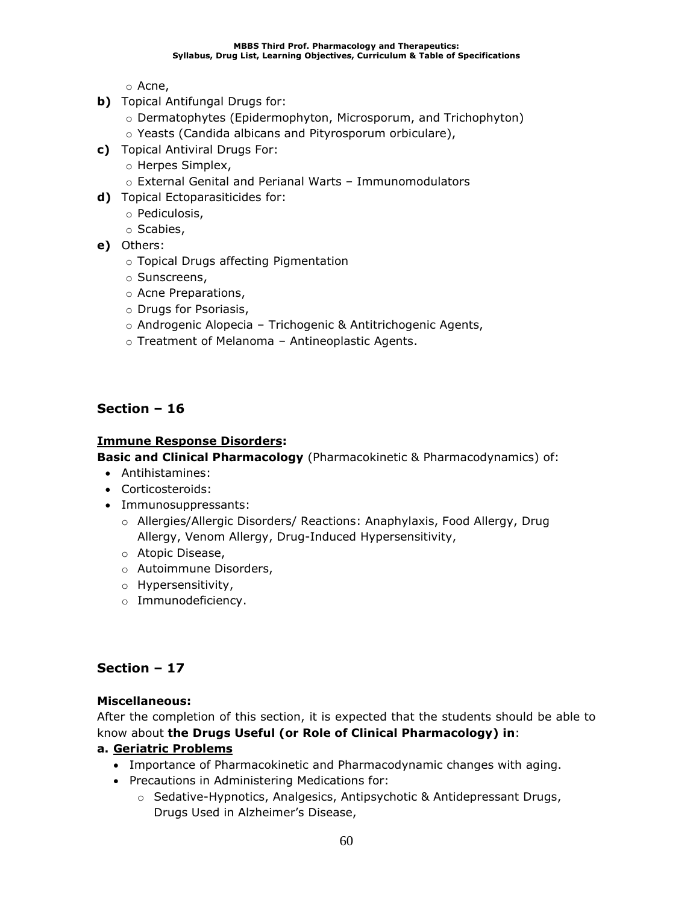o Acne,

- **b)** Topical Antifungal Drugs for:
	- o Dermatophytes (Epidermophyton, Microsporum, and Trichophyton)
	- o Yeasts (Candida albicans and Pityrosporum orbiculare),
- **c)** Topical Antiviral Drugs For:
	- o Herpes Simplex,
	- o External Genital and Perianal Warts Immunomodulators
- **d)** Topical Ectoparasiticides for:
	- o Pediculosis,
	- o Scabies,
- **e)** Others:
	- o Topical Drugs affecting Pigmentation
	- o Sunscreens,
	- o Acne Preparations,
	- o Drugs for Psoriasis,
	- o Androgenic Alopecia Trichogenic & Antitrichogenic Agents,
	- o Treatment of Melanoma Antineoplastic Agents.

### **Section – 16**

### **Immune Response Disorders:**

**Basic and Clinical Pharmacology** (Pharmacokinetic & Pharmacodynamics) of:

- Antihistamines:
- Corticosteroids:
- Immunosuppressants:
	- o Allergies/Allergic Disorders/ Reactions: Anaphylaxis, Food Allergy, Drug Allergy, Venom Allergy, Drug-Induced Hypersensitivity,
	- o Atopic Disease,
	- o Autoimmune Disorders,
	- o Hypersensitivity,
	- o Immunodeficiency.

### **Section – 17**

### **Miscellaneous:**

After the completion of this section, it is expected that the students should be able to know about **the Drugs Useful (or Role of Clinical Pharmacology) in**:

### **a. Geriatric Problems**

- Importance of Pharmacokinetic and Pharmacodynamic changes with aging.
- Precautions in Administering Medications for:
	- o Sedative-Hypnotics, Analgesics, Antipsychotic & Antidepressant Drugs, Drugs Used in Alzheimer's Disease,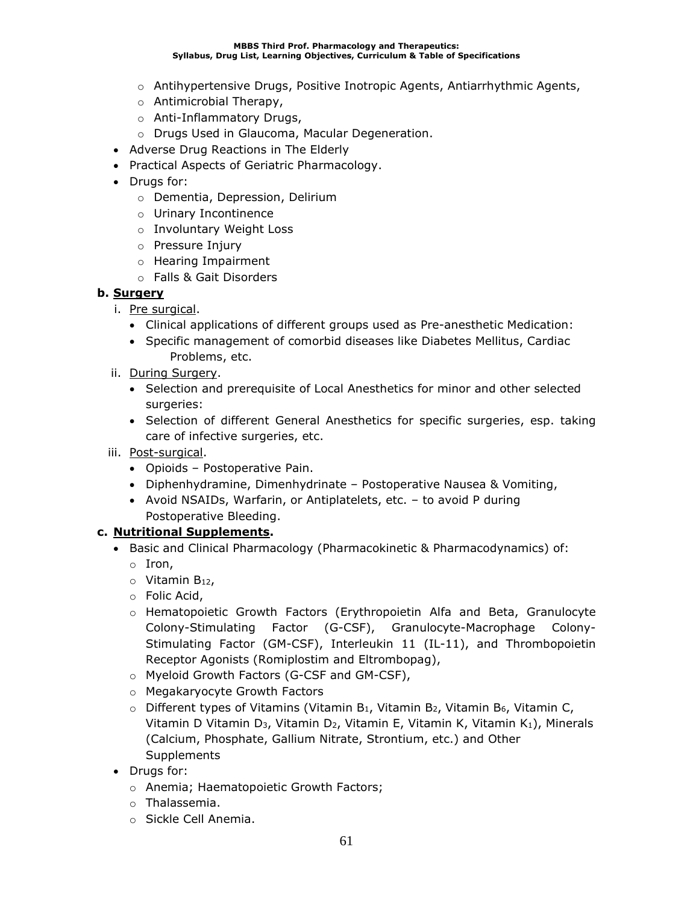- o Antihypertensive Drugs, Positive Inotropic Agents, Antiarrhythmic Agents,
- o Antimicrobial Therapy,
- o Anti-Inflammatory Drugs,
- o Drugs Used in Glaucoma, Macular Degeneration.
- Adverse Drug Reactions in The Elderly
- Practical Aspects of Geriatric Pharmacology.
- Drugs for:
	- o Dementia, Depression, Delirium
	- o Urinary Incontinence
	- o Involuntary Weight Loss
	- o Pressure Injury
	- o Hearing Impairment
	- o Falls & Gait Disorders

### **b. Surgery**

- i. Pre surgical.
	- Clinical applications of different groups used as Pre-anesthetic Medication:
	- Specific management of comorbid diseases like Diabetes Mellitus, Cardiac Problems, etc.
- ii. During Surgery.
	- Selection and prerequisite of Local Anesthetics for minor and other selected surgeries:
	- Selection of different General Anesthetics for specific surgeries, esp. taking care of infective surgeries, etc.
- iii. Post-surgical.
	- Opioids Postoperative Pain.
	- Diphenhydramine, Dimenhydrinate Postoperative Nausea & Vomiting,
	- Avoid NSAIDs, Warfarin, or Antiplatelets, etc. to avoid P during Postoperative Bleeding.

### **c. Nutritional Supplements.**

- Basic and Clinical Pharmacology (Pharmacokinetic & Pharmacodynamics) of:
	- o Iron,
	- $\circ$  Vitamin B<sub>12</sub>,
	- o Folic Acid,
	- o Hematopoietic Growth Factors (Erythropoietin Alfa and Beta, Granulocyte Colony-Stimulating Factor (G-CSF), Granulocyte-Macrophage Colony-Stimulating Factor (GM-CSF), Interleukin 11 (IL-11), and Thrombopoietin Receptor Agonists (Romiplostim and Eltrombopag),
	- o Myeloid Growth Factors (G-CSF and GM-CSF),
	- o Megakaryocyte Growth Factors
	- $\circ$  Different types of Vitamins (Vitamin B<sub>1</sub>, Vitamin B<sub>2</sub>, Vitamin B<sub>6</sub>, Vitamin C, Vitamin D Vitamin D<sub>3</sub>, Vitamin D<sub>2</sub>, Vitamin E, Vitamin K, Vitamin K<sub>1</sub>), Minerals (Calcium, Phosphate, Gallium Nitrate, Strontium, etc.) and Other Supplements
- Drugs for:
	- o Anemia; Haematopoietic Growth Factors;
	- o Thalassemia.
	- o Sickle Cell Anemia.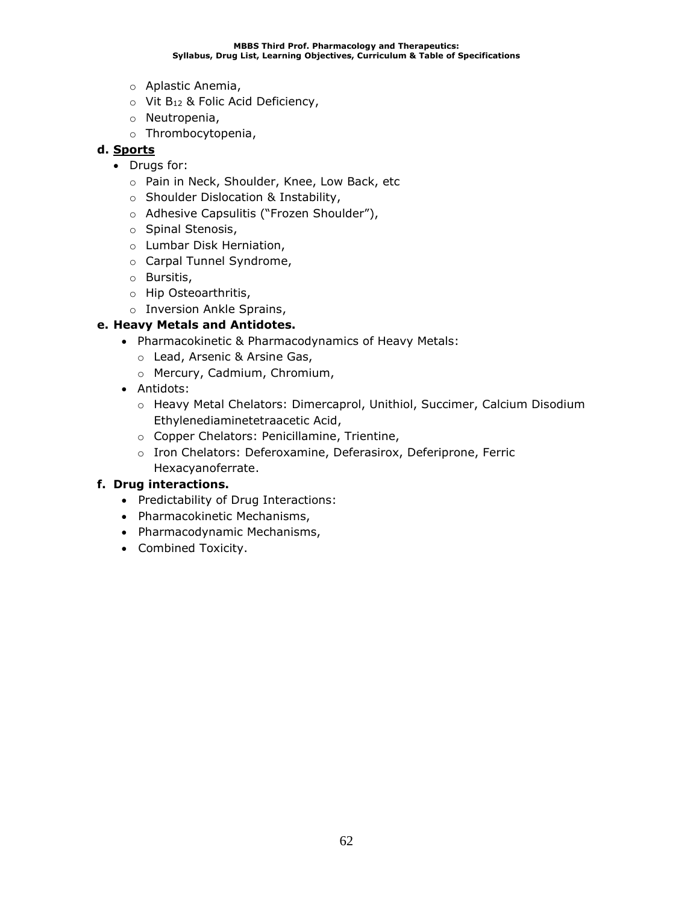- o Aplastic Anemia,
- $\circ$  Vit B<sub>12</sub> & Folic Acid Deficiency,
- o Neutropenia,
- o Thrombocytopenia,

### **d. Sports**

- Drugs for:
	- o Pain in Neck, Shoulder, Knee, Low Back, etc
	- o Shoulder Dislocation & Instability,
	- o Adhesive Capsulitis ("Frozen Shoulder"),
	- o Spinal Stenosis,
	- o Lumbar Disk Herniation,
	- o Carpal Tunnel Syndrome,
	- o Bursitis,
	- o Hip Osteoarthritis,
	- o Inversion Ankle Sprains,

### **e. Heavy Metals and Antidotes.**

- Pharmacokinetic & Pharmacodynamics of Heavy Metals:
	- o Lead, Arsenic & Arsine Gas,
	- o Mercury, Cadmium, Chromium,
- Antidots:
	- o Heavy Metal Chelators: Dimercaprol, Unithiol, Succimer, Calcium Disodium Ethylenediaminetetraacetic Acid,
	- o Copper Chelators: Penicillamine, Trientine,
	- o Iron Chelators: Deferoxamine, Deferasirox, Deferiprone, Ferric Hexacyanoferrate.

### **f. Drug interactions.**

- Predictability of Drug Interactions:
- Pharmacokinetic Mechanisms,
- Pharmacodynamic Mechanisms,
- Combined Toxicity.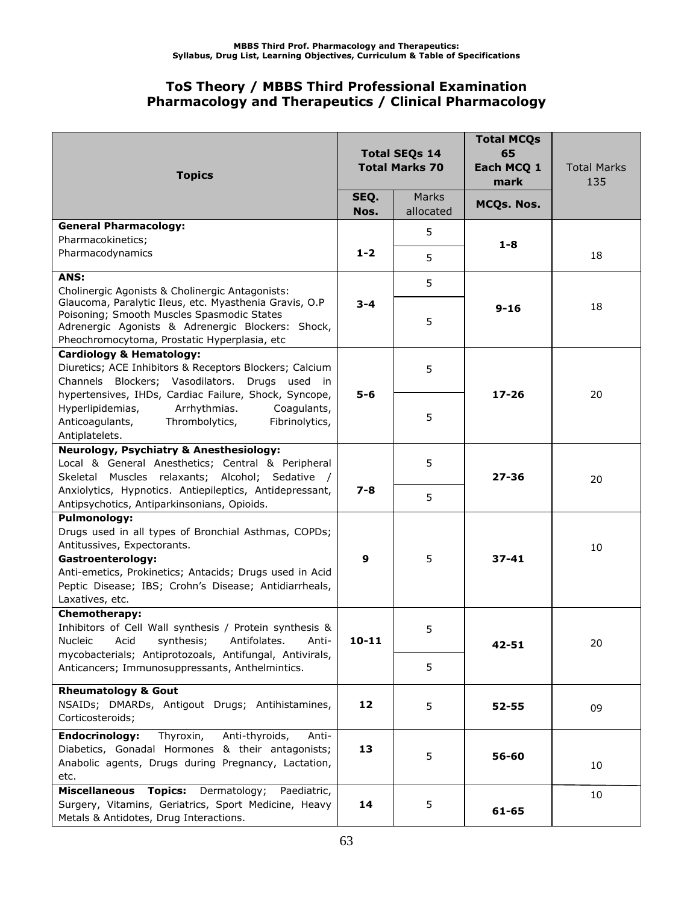## **ToS Theory / MBBS Third Professional Examination Pharmacology and Therapeutics / Clinical Pharmacology**

| <b>Topics</b>                                                                                                                                                                                             | <b>Total SEQs 14</b><br><b>Total Marks 70</b><br>SEQ.<br>Marks |           | <b>Total MCQs</b><br>65<br>Each MCQ 1<br>mark | <b>Total Marks</b><br>135 |
|-----------------------------------------------------------------------------------------------------------------------------------------------------------------------------------------------------------|----------------------------------------------------------------|-----------|-----------------------------------------------|---------------------------|
|                                                                                                                                                                                                           | Nos.                                                           | allocated | MCQs. Nos.                                    |                           |
| <b>General Pharmacology:</b><br>Pharmacokinetics;                                                                                                                                                         |                                                                | 5         |                                               |                           |
| Pharmacodynamics                                                                                                                                                                                          | $1 - 2$                                                        | 5         | $1 - 8$                                       | 18                        |
| ANS:                                                                                                                                                                                                      |                                                                | 5         |                                               |                           |
| Cholinergic Agonists & Cholinergic Antagonists:                                                                                                                                                           |                                                                |           |                                               |                           |
| Glaucoma, Paralytic Ileus, etc. Myasthenia Gravis, O.P<br>Poisoning; Smooth Muscles Spasmodic States<br>Adrenergic Agonists & Adrenergic Blockers: Shock,<br>Pheochromocytoma, Prostatic Hyperplasia, etc | $3 - 4$                                                        | 5         | $9 - 16$                                      | 18                        |
| <b>Cardiology &amp; Hematology:</b>                                                                                                                                                                       |                                                                |           |                                               |                           |
| Diuretics; ACE Inhibitors & Receptors Blockers; Calcium                                                                                                                                                   |                                                                | 5         |                                               |                           |
| Channels Blockers; Vasodilators. Drugs used in<br>hypertensives, IHDs, Cardiac Failure, Shock, Syncope,                                                                                                   | $5 - 6$                                                        |           | $17 - 26$                                     | 20                        |
| Hyperlipidemias,<br>Arrhythmias.<br>Coagulants,<br>Anticoagulants,<br>Thrombolytics,<br>Fibrinolytics,<br>Antiplatelets.                                                                                  |                                                                | 5         |                                               |                           |
| <b>Neurology, Psychiatry &amp; Anesthesiology:</b>                                                                                                                                                        |                                                                |           |                                               |                           |
| Local & General Anesthetics; Central & Peripheral                                                                                                                                                         |                                                                | 5         |                                               |                           |
| Skeletal Muscles relaxants; Alcohol; Sedative /<br>Anxiolytics, Hypnotics. Antiepileptics, Antidepressant,                                                                                                | $7 - 8$                                                        |           | $27 - 36$                                     | 20                        |
| Antipsychotics, Antiparkinsonians, Opioids.                                                                                                                                                               |                                                                | 5         |                                               |                           |
| <b>Pulmonology:</b>                                                                                                                                                                                       |                                                                |           |                                               |                           |
| Drugs used in all types of Bronchial Asthmas, COPDs;                                                                                                                                                      |                                                                |           |                                               |                           |
| Antitussives, Expectorants.                                                                                                                                                                               |                                                                |           |                                               | 10                        |
| Gastroenterology:                                                                                                                                                                                         | 9                                                              | 5         | $37 - 41$                                     |                           |
| Anti-emetics, Prokinetics; Antacids; Drugs used in Acid                                                                                                                                                   |                                                                |           |                                               |                           |
| Peptic Disease; IBS; Crohn's Disease; Antidiarrheals,<br>Laxatives, etc.                                                                                                                                  |                                                                |           |                                               |                           |
| <b>Chemotherapy:</b>                                                                                                                                                                                      |                                                                |           |                                               |                           |
| Inhibitors of Cell Wall synthesis / Protein synthesis &                                                                                                                                                   |                                                                | 5         |                                               |                           |
| Nucleic Acid synthesis; Antifolates. Anti-                                                                                                                                                                | $10 - 11$                                                      |           | $42 - 51$                                     | 20                        |
| mycobacterials; Antiprotozoals, Antifungal, Antivirals,                                                                                                                                                   |                                                                |           |                                               |                           |
| Anticancers; Immunosuppressants, Anthelmintics.                                                                                                                                                           |                                                                | 5         |                                               |                           |
| <b>Rheumatology &amp; Gout</b>                                                                                                                                                                            |                                                                |           |                                               |                           |
| NSAIDs; DMARDs, Antigout Drugs; Antihistamines,                                                                                                                                                           | 12                                                             | 5         | $52 - 55$                                     | 09                        |
| Corticosteroids;                                                                                                                                                                                          |                                                                |           |                                               |                           |
| <b>Endocrinology:</b><br>Thyroxin,<br>Anti-thyroids,<br>Anti-                                                                                                                                             |                                                                |           |                                               |                           |
| Diabetics, Gonadal Hormones & their antagonists;<br>Anabolic agents, Drugs during Pregnancy, Lactation,                                                                                                   | 13                                                             | 5         | 56-60                                         |                           |
| etc.                                                                                                                                                                                                      |                                                                |           |                                               | 10                        |
| <b>Topics:</b> Dermatology;<br>Miscellaneous<br>Paediatric,                                                                                                                                               |                                                                |           |                                               | 10                        |
| Surgery, Vitamins, Geriatrics, Sport Medicine, Heavy                                                                                                                                                      | 14                                                             | 5         | 61-65                                         |                           |
| Metals & Antidotes, Drug Interactions.                                                                                                                                                                    |                                                                |           |                                               |                           |